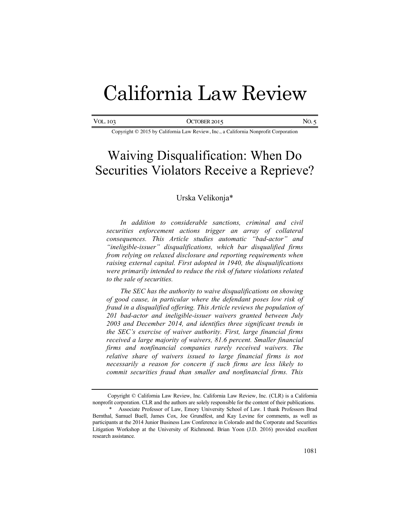# California Law Review

| <b>VOL. 103</b> | OCTOBER 2015 | NO. |
|-----------------|--------------|-----|
|                 |              |     |

#### Copyright © 2015 by California Law Review, Inc., a California Nonprofit Corporation

## Waiving Disqualification: When Do Securities Violators Receive a Reprieve?

## Urska Velikonja\*

*In addition to considerable sanctions, criminal and civil securities enforcement actions trigger an array of collateral consequences. This Article studies automatic "bad-actor" and "ineligible-issuer" disqualifications, which bar disqualified firms from relying on relaxed disclosure and reporting requirements when raising external capital. First adopted in 1940, the disqualifications were primarily intended to reduce the risk of future violations related to the sale of securities.*

*The SEC has the authority to waive disqualifications on showing of good cause, in particular where the defendant poses low risk of fraud in a disqualified offering. This Article reviews the population of 201 bad-actor and ineligible-issuer waivers granted between July 2003 and December 2014, and identifies three significant trends in the SEC's exercise of waiver authority. First, large financial firms received a large majority of waivers, 81.6 percent. Smaller financial firms and nonfinancial companies rarely received waivers. The relative share of waivers issued to large financial firms is not necessarily a reason for concern if such firms are less likely to commit securities fraud than smaller and nonfinancial firms. This* 

Copyright © California Law Review, Inc. California Law Review, Inc. (CLR) is a California nonprofit corporation. CLR and the authors are solely responsible for the content of their publications.

<sup>\*</sup> Associate Professor of Law, Emory University School of Law. I thank Professors Brad Bernthal, Samuel Buell, James Cox, Joe Grundfest, and Kay Levine for comments, as well as participants at the 2014 Junior Business Law Conference in Colorado and the Corporate and Securities Litigation Workshop at the University of Richmond. Brian Yoon (J.D. 2016) provided excellent research assistance.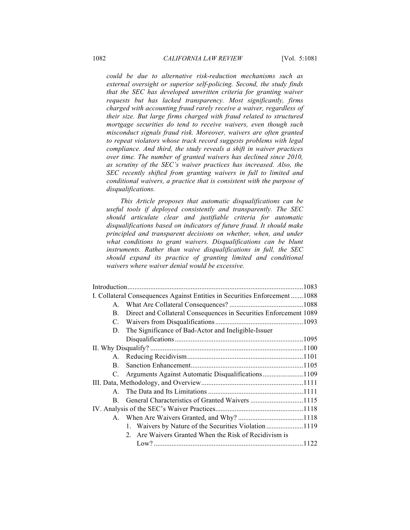*could be due to alternative risk-reduction mechanisms such as external oversight or superior self-policing. Second, the study finds that the SEC has developed unwritten criteria for granting waiver requests but has lacked transparency. Most significantly, firms charged with accounting fraud rarely receive a waiver, regardless of their size. But large firms charged with fraud related to structured mortgage securities do tend to receive waivers, even though such misconduct signals fraud risk. Moreover, waivers are often granted to repeat violators whose track record suggests problems with legal compliance. And third, the study reveals a shift in waiver practices over time. The number of granted waivers has declined since 2010, as scrutiny of the SEC's waiver practices has increased. Also, the SEC recently shifted from granting waivers in full to limited and conditional waivers, a practice that is consistent with the purpose of disqualifications.*

*This Article proposes that automatic disqualifications can be useful tools if deployed consistently and transparently. The SEC should articulate clear and justifiable criteria for automatic disqualifications based on indicators of future fraud. It should make principled and transparent decisions on whether, when, and under what conditions to grant waivers. Disqualifications can be blunt instruments. Rather than waive disqualifications in full, the SEC should expand its practice of granting limited and conditional waivers where waiver denial would be excessive.*

|         | I. Collateral Consequences Against Entities in Securities Enforcement 1088 |  |
|---------|----------------------------------------------------------------------------|--|
|         |                                                                            |  |
| В.      | Direct and Collateral Consequences in Securities Enforcement 1089          |  |
|         |                                                                            |  |
| D.      | The Significance of Bad-Actor and Ineligible-Issuer                        |  |
|         |                                                                            |  |
|         |                                                                            |  |
|         |                                                                            |  |
| $B_{-}$ |                                                                            |  |
| C.      | Arguments Against Automatic Disqualifications1109                          |  |
|         |                                                                            |  |
|         |                                                                            |  |
| B.      |                                                                            |  |
|         |                                                                            |  |
|         |                                                                            |  |
|         | 1. Waivers by Nature of the Securities Violation1119                       |  |
|         | 2. Are Waivers Granted When the Risk of Recidivism is                      |  |
|         |                                                                            |  |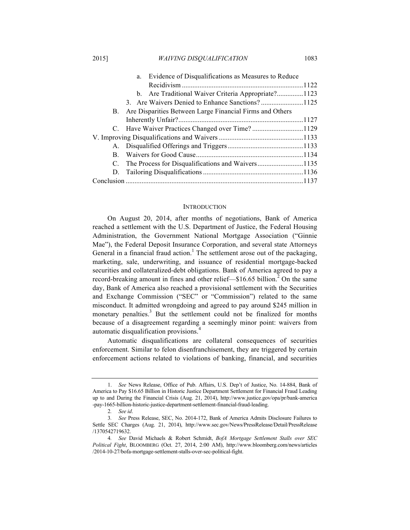2015] *WAIVING DISQUALIFICATION* 1083

| b. Are Traditional Waiver Criteria Appropriate?1123         |                                                 |  |  |
|-------------------------------------------------------------|-------------------------------------------------|--|--|
|                                                             |                                                 |  |  |
| B. Are Disparities Between Large Financial Firms and Others |                                                 |  |  |
|                                                             |                                                 |  |  |
|                                                             |                                                 |  |  |
|                                                             |                                                 |  |  |
|                                                             |                                                 |  |  |
|                                                             |                                                 |  |  |
| C. The Process for Disqualifications and Waivers1135        |                                                 |  |  |
|                                                             |                                                 |  |  |
|                                                             |                                                 |  |  |
|                                                             | 3. Are Waivers Denied to Enhance Sanctions?1125 |  |  |

#### **INTRODUCTION**

On August 20, 2014, after months of negotiations, Bank of America reached a settlement with the U.S. Department of Justice, the Federal Housing Administration, the Government National Mortgage Association ("Ginnie Mae"), the Federal Deposit Insurance Corporation, and several state Attorneys General in a financial fraud action.<sup>1</sup> The settlement arose out of the packaging, marketing, sale, underwriting, and issuance of residential mortgage-backed securities and collateralized-debt obligations. Bank of America agreed to pay a record-breaking amount in fines and other relief—\$16.65 billion.<sup>2</sup> On the same day, Bank of America also reached a provisional settlement with the Securities and Exchange Commission ("SEC" or "Commission") related to the same misconduct. It admitted wrongdoing and agreed to pay around \$245 million in monetary penalties.<sup>3</sup> But the settlement could not be finalized for months because of a disagreement regarding a seemingly minor point: waivers from automatic disqualification provisions.<sup>4</sup>

Automatic disqualifications are collateral consequences of securities enforcement. Similar to felon disenfranchisement, they are triggered by certain enforcement actions related to violations of banking, financial, and securities

<sup>1.</sup> *See* News Release, Office of Pub. Affairs, U.S. Dep't of Justice, No. 14-884, Bank of America to Pay \$16.65 Billion in Historic Justice Department Settlement for Financial Fraud Leading up to and During the Financial Crisis (Aug. 21, 2014), http://www.justice.gov/opa/pr/bank-america -pay-1665-billion-historic-justice-department-settlement-financial-fraud-leading.

<sup>2</sup>*. See id*.

<sup>3</sup>*. See* Press Release, SEC, No. 2014-172, Bank of America Admits Disclosure Failures to Settle SEC Charges (Aug. 21, 2014), http://www.sec.gov/News/PressRelease/Detail/PressRelease /1370542719632.

<sup>4</sup>*. See* David Michaels & Robert Schmidt, *BofA Mortgage Settlement Stalls over SEC Political Fight*, BLOOMBERG (Oct. 27, 2014, 2:00 AM), http://www.bloomberg.com/news/articles /2014-10-27/bofa-mortgage-settlement-stalls-over-sec-political-fight.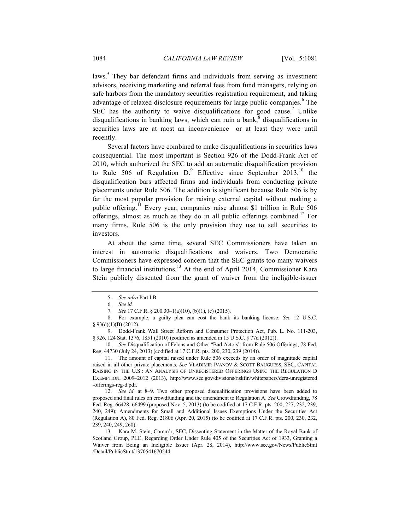laws.<sup>5</sup> They bar defendant firms and individuals from serving as investment advisors, receiving marketing and referral fees from fund managers, relying on safe harbors from the mandatory securities registration requirement, and taking advantage of relaxed disclosure requirements for large public companies.<sup>6</sup> The SEC has the authority to waive disqualifications for good cause.<sup>7</sup> Unlike disqualifications in banking laws, which can ruin a bank, $<sup>8</sup>$  disqualifications in</sup> securities laws are at most an inconvenience—or at least they were until recently.

Several factors have combined to make disqualifications in securities laws consequential. The most important is Section 926 of the Dodd-Frank Act of 2010, which authorized the SEC to add an automatic disqualification provision to Rule 506 of Regulation  $D^9$ . Effective since September 2013,<sup>10</sup> the disqualification bars affected firms and individuals from conducting private placements under Rule 506. The addition is significant because Rule 506 is by far the most popular provision for raising external capital without making a public offering.<sup>11</sup> Every year, companies raise almost \$1 trillion in Rule 506 offerings, almost as much as they do in all public offerings combined.<sup>12</sup> For many firms, Rule 506 is the only provision they use to sell securities to investors.

At about the same time, several SEC Commissioners have taken an interest in automatic disqualifications and waivers. Two Democratic Commissioners have expressed concern that the SEC grants too many waivers to large financial institutions.<sup>13</sup> At the end of April 2014, Commissioner Kara Stein publicly dissented from the grant of waiver from the ineligible-issuer

<sup>5</sup>*. See infra* Part I.B.

<sup>6</sup>*. See id.*

<sup>7</sup>*. See* 17 C.F.R. § 200.30–1(a)(10), (b)(1), (c) (2015).

<sup>8.</sup> For example, a guilty plea can cost the bank its banking license. *See* 12 U.S.C. § 93(d)(1)(B) (2012).

<sup>9.</sup> Dodd-Frank Wall Street Reform and Consumer Protection Act, Pub. L. No. 111-203, § 926, 124 Stat. 1376, 1851 (2010) (codified as amended in 15 U.S.C. § 77d (2012)).

<sup>10.</sup> *See* Disqualification of Felons and Other "Bad Actors" from Rule 506 Offerings, 78 Fed. Reg. 44730 (July 24, 2013) (codified at 17 C.F.R. pts. 200, 230, 239 (2014)).

<sup>11.</sup> The amount of capital raised under Rule 506 exceeds by an order of magnitude capital raised in all other private placements. *See* VLADIMIR IVANOV & SCOTT BAUGUESS, SEC, CAPITAL RAISING IN THE U.S.: AN ANALYSIS OF UNREGISTERED OFFERINGS USING THE REGULATION D EXEMPTION, 2009–2012 (2013), http://www.sec.gov/divisions/riskfin/whitepapers/dera-unregistered -offerings-reg-d.pdf.

<sup>12.</sup> *See id*. at 8–9. Two other proposed disqualification provisions have been added to proposed and final rules on crowdfunding and the amendment to Regulation A. *See* Crowdfunding, 78 Fed. Reg. 66428, 66499 (proposed Nov. 5, 2013) (to be codified at 17 C.F.R. pts. 200, 227, 232, 239, 240, 249); Amendments for Small and Additional Issues Exemptions Under the Securities Act (Regulation A), 80 Fed. Reg. 21806 (Apr. 20, 2015) (to be codified at 17 C.F.R. pts. 200, 230, 232, 239, 240, 249, 260).

<sup>13.</sup> Kara M. Stein, Comm'r, SEC, Dissenting Statement in the Matter of the Royal Bank of Scotland Group, PLC, Regarding Order Under Rule 405 of the Securities Act of 1933, Granting a Waiver from Being an Ineligible Issuer (Apr. 28, 2014), http://www.sec.gov/News/PublicStmt /Detail/PublicStmt/1370541670244.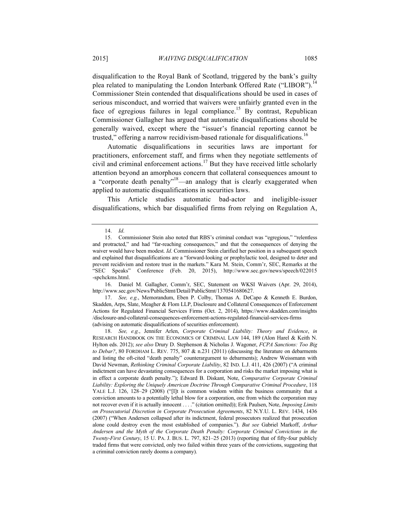disqualification to the Royal Bank of Scotland, triggered by the bank's guilty plea related to manipulating the London Interbank Offered Rate ("LIBOR").<sup>14</sup> Commissioner Stein contended that disqualifications should be used in cases of serious misconduct, and worried that waivers were unfairly granted even in the face of egregious failures in legal compliance.<sup>15</sup> By contrast, Republican Commissioner Gallagher has argued that automatic disqualifications should be generally waived, except where the "issuer's financial reporting cannot be trusted," offering a narrow recidivism-based rationale for disqualifications.<sup>16</sup>

Automatic disqualifications in securities laws are important for practitioners, enforcement staff, and firms when they negotiate settlements of civil and criminal enforcement actions.<sup>17</sup> But they have received little scholarly attention beyond an amorphous concern that collateral consequences amount to a "corporate death penalty"<sup>18</sup>—an analogy that is clearly exaggerated when applied to automatic disqualifications in securities laws.

This Article studies automatic bad-actor and ineligible-issuer disqualifications, which bar disqualified firms from relying on Regulation A,

16. Daniel M. Gallagher, Comm'r, SEC, Statement on WKSI Waivers (Apr. 29, 2014), http://www.sec.gov/News/PublicStmt/Detail/PublicStmt/1370541680627.

17. *See, e.g.*, Memorandum, Eben P. Colby, Thomas A. DeCapo & Kenneth E. Burdon, Skadden, Arps, Slate, Meagher & Flom LLP, Disclosure and Collateral Consequences of Enforcement Actions for Regulated Financial Services Firms (Oct. 2, 2014), https://www.skadden.com/insights /disclosure-and-collateral-consequences-enforcement-actions-regulated-financial-services-firms (advising on automatic disqualifications of securities enforcement).

18. *See, e.g.*, Jennifer Arlen, *Corporate Criminal Liability: Theory and Evidence*, *in*  RESEARCH HANDBOOK ON THE ECONOMICS OF CRIMINAL LAW 144, 189 (Alon Harel & Keith N. Hylton eds. 2012); *see also* Drury D. Stephenson & Nicholas J. Wagoner, *FCPA Sanctions: Too Big to Debar?*, 80 FORDHAM L. REV. 775, 807 & n.231 (2011) (discussing the literature on debarments and listing the oft-cited "death penalty" counterargument to debarments); Andrew Weissmann with David Newman, *Rethinking Criminal Corporate Liability*, 82 IND. L.J. 411, 426 (2007) ("A criminal indictment can have devastating consequences for a corporation and risks the market imposing what is in effect a corporate death penalty."); Edward B. Diskant, Note, *Comparative Corporate Criminal Liability: Exploring the Uniquely American Doctrine Through Comparative Criminal Procedure*, 118 YALE L.J. 126, 128–29 (2008) ("[I]t is common wisdom within the business community that a conviction amounts to a potentially lethal blow for a corporation, one from which the corporation may not recover even if it is actually innocent . . . ." (citation omitted)); Erik Paulsen, Note, *Imposing Limits on Prosecutorial Discretion in Corporate Prosecution Agreements*, 82 N.Y.U. L. REV. 1434, 1436 (2007) ("When Andersen collapsed after its indictment, federal prosecutors realized that prosecution alone could destroy even the most established of companies."). *But see* Gabriel Markoff, *Arthur Andersen and the Myth of the Corporate Death Penalty: Corporate Criminal Convictions in the Twenty-First Century*, 15 U. PA. J. BUS. L. 797, 821–25 (2013) (reporting that of fifty-four publicly traded firms that were convicted, only two failed within three years of the convictions, suggesting that a criminal conviction rarely dooms a company).

<sup>14.</sup> *Id*.

<sup>15.</sup> Commissioner Stein also noted that RBS's criminal conduct was "egregious," "relentless and protracted," and had "far-reaching consequences," and that the consequences of denying the waiver would have been modest. *Id*. Commissioner Stein clarified her position in a subsequent speech and explained that disqualifications are a "forward-looking or prophylactic tool, designed to deter and prevent recidivism and restore trust in the markets." Kara M. Stein, Comm'r, SEC, Remarks at the "SEC Speaks" Conference (Feb. 20, 2015), http://www.sec.gov/news/speech/022015 -spchckms.html.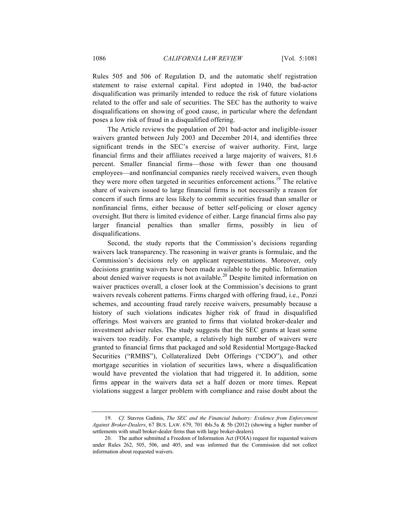Rules 505 and 506 of Regulation D, and the automatic shelf registration statement to raise external capital. First adopted in 1940, the bad-actor disqualification was primarily intended to reduce the risk of future violations related to the offer and sale of securities. The SEC has the authority to waive disqualifications on showing of good cause, in particular where the defendant poses a low risk of fraud in a disqualified offering.

The Article reviews the population of 201 bad-actor and ineligible-issuer waivers granted between July 2003 and December 2014, and identifies three significant trends in the SEC's exercise of waiver authority. First, large financial firms and their affiliates received a large majority of waivers, 81.6 percent. Smaller financial firms—those with fewer than one thousand employees—and nonfinancial companies rarely received waivers, even though they were more often targeted in securities enforcement actions.<sup>19</sup> The relative share of waivers issued to large financial firms is not necessarily a reason for concern if such firms are less likely to commit securities fraud than smaller or nonfinancial firms, either because of better self-policing or closer agency oversight. But there is limited evidence of either. Large financial firms also pay larger financial penalties than smaller firms, possibly in lieu of disqualifications.

Second, the study reports that the Commission's decisions regarding waivers lack transparency. The reasoning in waiver grants is formulaic, and the Commission's decisions rely on applicant representations. Moreover, only decisions granting waivers have been made available to the public. Information about denied waiver requests is not available.<sup>20</sup> Despite limited information on waiver practices overall, a closer look at the Commission's decisions to grant waivers reveals coherent patterns. Firms charged with offering fraud, i.e., Ponzi schemes, and accounting fraud rarely receive waivers, presumably because a history of such violations indicates higher risk of fraud in disqualified offerings. Most waivers are granted to firms that violated broker-dealer and investment adviser rules. The study suggests that the SEC grants at least some waivers too readily. For example, a relatively high number of waivers were granted to financial firms that packaged and sold Residential Mortgage-Backed Securities ("RMBS"), Collateralized Debt Offerings ("CDO"), and other mortgage securities in violation of securities laws, where a disqualification would have prevented the violation that had triggered it. In addition, some firms appear in the waivers data set a half dozen or more times. Repeat violations suggest a larger problem with compliance and raise doubt about the

<sup>19.</sup> *Cf.* Stavros Gadinis, *The SEC and the Financial Industry: Evidence from Enforcement Against Broker-Dealers*, 67 BUS. LAW. 679, 701 tbls.5a & 5b (2012) (showing a higher number of settlements with small broker-dealer firms than with large broker-dealers).

<sup>20.</sup> The author submitted a Freedom of Information Act (FOIA) request for requested waivers under Rules 262, 505, 506, and 405, and was informed that the Commission did not collect information about requested waivers.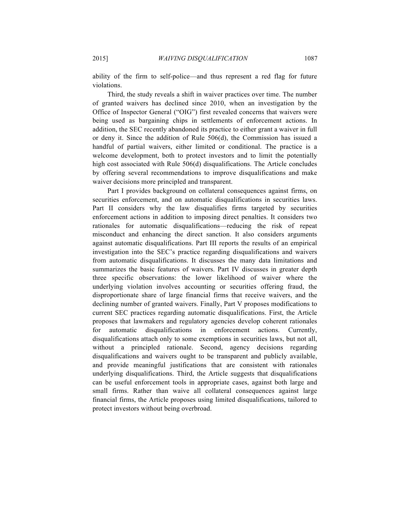ability of the firm to self-police—and thus represent a red flag for future violations.

Third, the study reveals a shift in waiver practices over time. The number of granted waivers has declined since 2010, when an investigation by the Office of Inspector General ("OIG") first revealed concerns that waivers were being used as bargaining chips in settlements of enforcement actions. In addition, the SEC recently abandoned its practice to either grant a waiver in full or deny it. Since the addition of Rule 506(d), the Commission has issued a handful of partial waivers, either limited or conditional. The practice is a welcome development, both to protect investors and to limit the potentially high cost associated with Rule 506(d) disqualifications. The Article concludes by offering several recommendations to improve disqualifications and make waiver decisions more principled and transparent.

Part I provides background on collateral consequences against firms, on securities enforcement, and on automatic disqualifications in securities laws. Part II considers why the law disqualifies firms targeted by securities enforcement actions in addition to imposing direct penalties. It considers two rationales for automatic disqualifications—reducing the risk of repeat misconduct and enhancing the direct sanction. It also considers arguments against automatic disqualifications. Part III reports the results of an empirical investigation into the SEC's practice regarding disqualifications and waivers from automatic disqualifications. It discusses the many data limitations and summarizes the basic features of waivers. Part IV discusses in greater depth three specific observations: the lower likelihood of waiver where the underlying violation involves accounting or securities offering fraud, the disproportionate share of large financial firms that receive waivers, and the declining number of granted waivers. Finally, Part V proposes modifications to current SEC practices regarding automatic disqualifications. First, the Article proposes that lawmakers and regulatory agencies develop coherent rationales for automatic disqualifications in enforcement actions. Currently, disqualifications attach only to some exemptions in securities laws, but not all, without a principled rationale. Second, agency decisions regarding disqualifications and waivers ought to be transparent and publicly available, and provide meaningful justifications that are consistent with rationales underlying disqualifications. Third, the Article suggests that disqualifications can be useful enforcement tools in appropriate cases, against both large and small firms. Rather than waive all collateral consequences against large financial firms, the Article proposes using limited disqualifications, tailored to protect investors without being overbroad.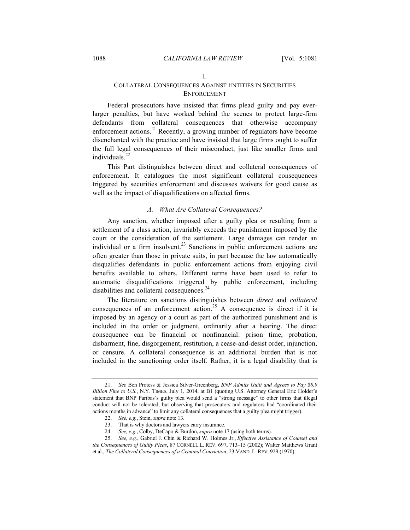#### I.

## COLLATERAL CONSEQUENCES AGAINST ENTITIES IN SECURITIES ENFORCEMENT

Federal prosecutors have insisted that firms plead guilty and pay everlarger penalties, but have worked behind the scenes to protect large-firm defendants from collateral consequences that otherwise accompany enforcement actions.<sup>21</sup> Recently, a growing number of regulators have become disenchanted with the practice and have insisted that large firms ought to suffer the full legal consequences of their misconduct, just like smaller firms and individuals. $^{22}$ 

This Part distinguishes between direct and collateral consequences of enforcement. It catalogues the most significant collateral consequences triggered by securities enforcement and discusses waivers for good cause as well as the impact of disqualifications on affected firms.

## *A. What Are Collateral Consequences?*

Any sanction, whether imposed after a guilty plea or resulting from a settlement of a class action, invariably exceeds the punishment imposed by the court or the consideration of the settlement. Large damages can render an individual or a firm insolvent. $^{23}$  Sanctions in public enforcement actions are often greater than those in private suits, in part because the law automatically disqualifies defendants in public enforcement actions from enjoying civil benefits available to others. Different terms have been used to refer to automatic disqualifications triggered by public enforcement, including disabilities and collateral consequences.<sup>24</sup>

The literature on sanctions distinguishes between *direct* and *collateral* consequences of an enforcement action.<sup>25</sup> A consequence is direct if it is imposed by an agency or a court as part of the authorized punishment and is included in the order or judgment, ordinarily after a hearing. The direct consequence can be financial or nonfinancial: prison time, probation, disbarment, fine, disgorgement, restitution, a cease-and-desist order, injunction, or censure. A collateral consequence is an additional burden that is not included in the sanctioning order itself. Rather, it is a legal disability that is

<sup>21.</sup> *See* Ben Protess & Jessica Silver-Greenberg, *BNP Admits Guilt and Agrees to Pay \$8.9 Billion Fine to U.S.*, N.Y. TIMES, July 1, 2014, at B1 (quoting U.S. Attorney General Eric Holder's statement that BNP Paribas's guilty plea would send a "strong message" to other firms that illegal conduct will not be tolerated, but observing that prosecutors and regulators had "coordinated their actions months in advance" to limit any collateral consequences that a guilty plea might trigger).

<sup>22.</sup> *See, e.g.*, Stein, *supra* note 13.

<sup>23.</sup> That is why doctors and lawyers carry insurance.

<sup>24.</sup> *See, e.g.*, Colby, DeCapo & Burdon, *supra* note 17 (using both terms).

<sup>25.</sup> *See, e.g.*, Gabriel J. Chin & Richard W. Holmes Jr., *Effective Assistance of Counsel and the Consequences of Guilty Pleas*, 87 CORNELL L. REV. 697, 713–15 (2002); Walter Matthews Grant et al., *The Collateral Consequences of a Criminal Conviction*, 23 VAND. L. REV. 929 (1970).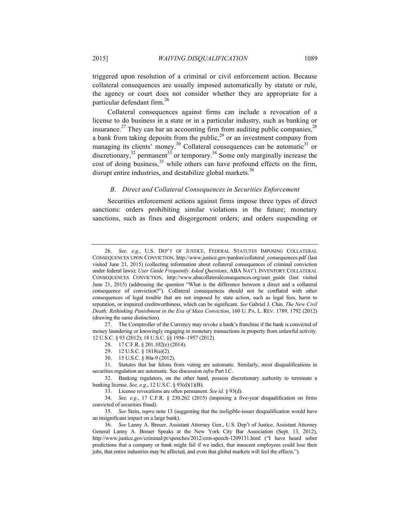triggered upon resolution of a criminal or civil enforcement action. Because collateral consequences are usually imposed automatically by statute or rule, the agency or court does not consider whether they are appropriate for a particular defendant firm.26

Collateral consequences against firms can include a revocation of a license to do business in a state or in a particular industry, such as banking or insurance.<sup>27</sup> They can bar an accounting firm from auditing public companies,  $2<sup>8</sup>$ a bank from taking deposits from the public,  $29$  or an investment company from managing its clients' money.<sup>30</sup> Collateral consequences can be automatic<sup>31</sup> or discretionary,<sup>32</sup> permanent<sup>33</sup> or temporary.<sup>34</sup> Some only marginally increase the cost of doing business,<sup>35</sup> while others can have profound effects on the firm, disrupt entire industries, and destabilize global markets.<sup>36</sup>

## *B. Direct and Collateral Consequences in Securities Enforcement*

Securities enforcement actions against firms impose three types of direct sanctions: orders prohibiting similar violations in the future; monetary sanctions, such as fines and disgorgement orders; and orders suspending or

28. 17 C.F.R. § 201.102(e) (2014).

- 30. 15 U.S.C. § 80a-9 (2012).
- 31. Statutes that bar felons from voting are automatic. Similarly, most disqualifications in securities regulation are automatic. See discussion *infra* Part I.C.

<sup>26.</sup> *See, e.g.*, U.S. DEP'T OF JUSTICE, FEDERAL STATUTES IMPOSING COLLATERAL CONSEQUENCES UPON CONVICTION, http://www.justice.gov/pardon/collateral\_consequences.pdf (last visited June 21, 2015) (collecting information about collateral consequences of criminal conviction under federal laws); *User Guide Frequently Asked Questions*, ABA NAT'L INVENTORY COLLATERAL CONSEQUENCES CONVICTION, http://www.abacollateralconsequences.org/user\_guide (last visited June 21, 2015) (addressing the question "What is the difference between a direct and a collateral consequence of conviction?"). Collateral consequences should not be conflated with other consequences of legal trouble that are not imposed by state action, such as legal fees, harm to reputation, or impaired creditworthiness, which can be significant. *See* Gabriel J. Chin, *The New Civil Death: Rethinking Punishment in the Era of Mass Conviction*, 160 U. PA. L. REV. 1789, 1792 (2012) (drawing the same distinction).

<sup>27.</sup> The Comptroller of the Currency may revoke a bank's franchise if the bank is convicted of money laundering or knowingly engaging in monetary transactions in property from unlawful activity. 12 U.S.C. § 93 (2012); 18 U.S.C. §§ 1956–1957 (2012).

<sup>29.</sup> 12 U.S.C. § 1818(a)(2).

<sup>32.</sup> Banking regulators, on the other hand, possess discretionary authority to terminate a banking license. *See, e.g.*, 12 U.S.C. § 93(d)(1)(B).

<sup>33.</sup> License revocations are often permanent. *See id.* § 93(d).

<sup>34.</sup> *See, e.g.*, 17 C.F.R. § 230.262 (2015) (imposing a five-year disqualification on firms convicted of securities fraud).

<sup>35.</sup> *See* Stein, *supra* note 13 (suggesting that the ineligible-issuer disqualification would have an insignificant impact on a large bank).

<sup>36.</sup> *See* Lanny A. Breuer, Assistant Attorney Gen., U.S. Dep't of Justice, Assistant Attorney General Lanny A. Breuer Speaks at the New York City Bar Association (Sept. 13, 2012), http://www.justice.gov/criminal/pr/speeches/2012/crm-speech-1209131.html ("I have heard sober predictions that a company or bank might fail if we indict, that innocent employees could lose their jobs, that entire industries may be affected, and even that global markets will feel the effects.").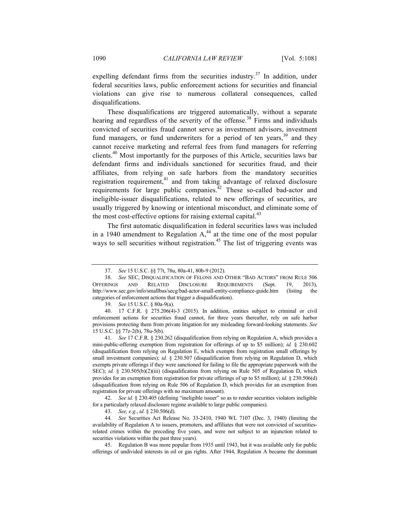expelling defendant firms from the securities industry.<sup>37</sup> In addition, under federal securities laws, public enforcement actions for securities and financial violations can give rise to numerous collateral consequences, called disqualifications.

These disqualifications are triggered automatically, without a separate hearing and regardless of the severity of the offense.<sup>38</sup> Firms and individuals convicted of securities fraud cannot serve as investment advisors, investment fund managers, or fund underwriters for a period of ten years,  $39$  and they cannot receive marketing and referral fees from fund managers for referring clients.<sup>40</sup> Most importantly for the purposes of this Article, securities laws bar defendant firms and individuals sanctioned for securities fraud, and their affiliates, from relying on safe harbors from the mandatory securities registration requirement, $41$  and from taking advantage of relaxed disclosure requirements for large public companies.<sup>42</sup> These so-called bad-actor and ineligible-issuer disqualifications, related to new offerings of securities, are usually triggered by knowing or intentional misconduct, and eliminate some of the most cost-effective options for raising external capital. $43$ 

The first automatic disqualification in federal securities laws was included in a 1940 amendment to Regulation  $A<sub>1</sub><sup>44</sup>$  at the time one of the most popular ways to sell securities without registration.<sup>45</sup> The list of triggering events was

41*. See* 17 C.F.R. § 230.262 (disqualification from relying on Regulation A, which provides a mini-public-offering exemption from registration for offerings of up to \$5 million); *id.* § 230.602 (disqualification from relying on Regulation E, which exempts from registration small offerings by small investment companies); *id.* § 230.507 (disqualification from relying on Regulation D, which exempts private offerings if they were sanctioned for failing to file the appropriate paperwork with the SEC); *id.* § 230.505(b)(2)(iii) (disqualification from relying on Rule 505 of Regulation D, which provides for an exemption from registration for private offerings of up to \$5 million); *id.* § 230.506(d) (disqualification from relying on Rule 506 of Regulation D, which provides for an exemption from registration for private offerings with no maximum amount).

42. *See id.* § 230.405 (defining "ineligible issuer" so as to render securities violators ineligible for a particularly relaxed disclosure regime available to large public companies).

44*. See* Securities Act Release No. 33-2410, 1940 WL 7107 (Dec. 3, 1940) (limiting the availability of Regulation A to issuers, promoters, and affiliates that were not convicted of securitiesrelated crimes within the preceding five years, and were not subject to an injunction related to securities violations within the past three years).

45. Regulation B was more popular from 1935 until 1943, but it was available only for public offerings of undivided interests in oil or gas rights. After 1944, Regulation A became the dominant

<sup>37.</sup> *See* 15 U.S.C. §§ 77t, 78u, 80a-41, 80b-9 (2012).

<sup>38.</sup> *See* SEC, DISQUALIFICATION OF FELONS AND OTHER "BAD ACTORS" FROM RULE 506 OFFERINGS AND RELATED DISCLOSURE REQUIREMENTS (Sept. 19, 2013), http://www.sec.gov/info/smallbus/secg/bad-actor-small-entity-compliance-guide.htm (listing the categories of enforcement actions that trigger a disqualification).

<sup>39.</sup> *See* 15 U.S.C. § 80a-9(a).

<sup>40.</sup> 17 C.F.R. § 275.206(4)-3 (2015). In addition, entities subject to criminal or civil enforcement actions for securities fraud cannot, for three years thereafter, rely on safe harbor provisions protecting them from private litigation for any misleading forward-looking statements. *See* 15 U.S.C. §§ 77z-2(b), 78u-5(b).

<sup>43.</sup> *See, e.g.*, *id.* § 230.506(d).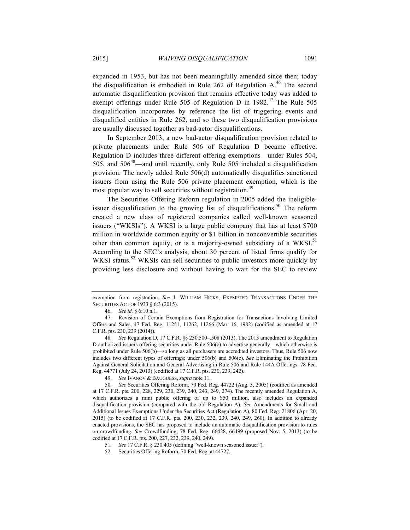expanded in 1953, but has not been meaningfully amended since then; today the disqualification is embodied in Rule 262 of Regulation A.<sup>46</sup> The second automatic disqualification provision that remains effective today was added to exempt offerings under Rule 505 of Regulation D in  $1982<sup>47</sup>$  The Rule 505 disqualification incorporates by reference the list of triggering events and disqualified entities in Rule 262, and so these two disqualification provisions are usually discussed together as bad-actor disqualifications.

In September 2013, a new bad-actor disqualification provision related to private placements under Rule 506 of Regulation D became effective. Regulation D includes three different offering exemptions—under Rules 504, 505, and  $506^{48}$ —and until recently, only Rule 505 included a disqualification provision. The newly added Rule 506(d) automatically disqualifies sanctioned issuers from using the Rule 506 private placement exemption, which is the most popular way to sell securities without registration.<sup>49</sup>

The Securities Offering Reform regulation in 2005 added the ineligibleissuer disqualification to the growing list of disqualifications.<sup>50</sup> The reform created a new class of registered companies called well-known seasoned issuers ("WKSIs"). A WKSI is a large public company that has at least \$700 million in worldwide common equity or \$1 billion in nonconvertible securities other than common equity, or is a majority-owned subsidiary of a WKSI.<sup>51</sup> According to the SEC's analysis, about 30 percent of listed firms qualify for WKSI status.<sup>52</sup> WKSIs can sell securities to public investors more quickly by providing less disclosure and without having to wait for the SEC to review

exemption from registration. *See* J. WILLIAM HICKS, EXEMPTED TRANSACTIONS UNDER THE SECURITIES ACT OF 1933 § 6:3 (2015).

<sup>46</sup>*. See id.* § 6:10 n.1.

<sup>47.</sup> Revision of Certain Exemptions from Registration for Transactions Involving Limited Offers and Sales, 47 Fed. Reg. 11251, 11262, 11266 (Mar. 16, 1982) (codified as amended at 17 C.F.R. pts. 230, 239 (2014)).

<sup>48</sup>*. See* Regulation D, 17 C.F.R. §§ 230.500–.508 (2013). The 2013 amendment to Regulation D authorized issuers offering securities under Rule 506(c) to advertise generally—which otherwise is prohibited under Rule 506(b)—so long as all purchasers are accredited investors. Thus, Rule 506 now includes two different types of offerings: under 506(b) and 506(c). *See* Eliminating the Prohibition Against General Solicitation and General Advertising in Rule 506 and Rule 144A Offerings, 78 Fed. Reg. 44771 (July 24, 2013) (codified at 17 C.F.R. pts. 230, 239, 242).

<sup>49.</sup> *See* IVANOV & BAUGUESS, *supra* note 11.

<sup>50</sup>*. See* Securities Offering Reform, 70 Fed. Reg. 44722 (Aug. 3, 2005) (codified as amended at 17 C.F.R. pts. 200, 228, 229, 230, 239, 240, 243, 249, 274). The recently amended Regulation A, which authorizes a mini public offering of up to \$50 million, also includes an expanded disqualification provision (compared with the old Regulation A). *See* Amendments for Small and Additional Issues Exemptions Under the Securities Act (Regulation A), 80 Fed. Reg. 21806 (Apr. 20, 2015) (to be codified at 17 C.F.R. pts. 200, 230, 232, 239, 240, 249, 260). In addition to already enacted provisions, the SEC has proposed to include an automatic disqualification provision to rules on crowdfunding. *See* Crowdfunding, 78 Fed. Reg. 66428, 66499 (proposed Nov. 5, 2013) (to be codified at 17 C.F.R. pts. 200, 227, 232, 239, 240, 249).

<sup>51</sup>*. See* 17 C.F.R. § 230.405 (defining "well-known seasoned issuer").

<sup>52.</sup> Securities Offering Reform, 70 Fed. Reg. at 44727.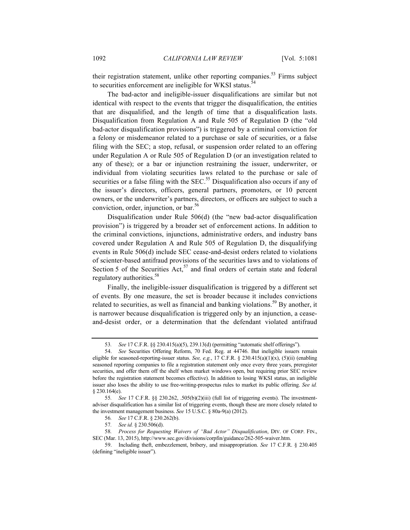their registration statement, unlike other reporting companies.<sup>53</sup> Firms subject to securities enforcement are ineligible for WKSI status.<sup>5</sup>

The bad-actor and ineligible-issuer disqualifications are similar but not identical with respect to the events that trigger the disqualification, the entities that are disqualified, and the length of time that a disqualification lasts. Disqualification from Regulation A and Rule 505 of Regulation D (the "old bad-actor disqualification provisions") is triggered by a criminal conviction for a felony or misdemeanor related to a purchase or sale of securities, or a false filing with the SEC; a stop, refusal, or suspension order related to an offering under Regulation A or Rule 505 of Regulation D (or an investigation related to any of these); or a bar or injunction restraining the issuer, underwriter, or individual from violating securities laws related to the purchase or sale of securities or a false filing with the  $SEC.55$  Disqualification also occurs if any of the issuer's directors, officers, general partners, promoters, or 10 percent owners, or the underwriter's partners, directors, or officers are subject to such a conviction, order, injunction, or bar. $56$ 

Disqualification under Rule 506(d) (the "new bad-actor disqualification provision") is triggered by a broader set of enforcement actions. In addition to the criminal convictions, injunctions, administrative orders, and industry bans covered under Regulation A and Rule 505 of Regulation D, the disqualifying events in Rule 506(d) include SEC cease-and-desist orders related to violations of scienter-based antifraud provisions of the securities laws and to violations of Section 5 of the Securities Act,  $57$  and final orders of certain state and federal regulatory authorities.<sup>58</sup>

Finally, the ineligible-issuer disqualification is triggered by a different set of events. By one measure, the set is broader because it includes convictions related to securities, as well as financial and banking violations.<sup>59</sup> By another, it is narrower because disqualification is triggered only by an injunction, a ceaseand-desist order, or a determination that the defendant violated antifraud

<sup>53</sup>*. See* 17 C.F.R. §§ 230.415(a)(5), 239.13(d) (permitting "automatic shelf offerings").

<sup>54.</sup> *See* Securities Offering Reform, 70 Fed. Reg. at 44746. But ineligible issuers remain eligible for seasoned-reporting-issuer status. *See, e.g.*, 17 C.F.R. § 230.415(a)(1)(x), (5)(ii) (enabling seasoned reporting companies to file a registration statement only once every three years, preregister securities, and offer them off the shelf when market windows open, but requiring prior SEC review before the registration statement becomes effective). In addition to losing WKSI status, an ineligible issuer also loses the ability to use free-writing-prospectus rules to market its public offering. *See id.* § 230.164(e).

<sup>55</sup>*. See* 17 C.F.R. §§ 230.262, .505(b)(2)(iii) (full list of triggering events). The investmentadviser disqualification has a similar list of triggering events, though these are more closely related to the investment management business. *See* 15 U.S.C. § 80a-9(a) (2012).

<sup>56</sup>*. See* 17 C.F.R. § 230.262(b).

<sup>57</sup>*. See id.* § 230.506(d).

<sup>58</sup>*. Process for Requesting Waivers of "Bad Actor" Disqualification*, DIV. OF CORP. FIN., SEC (Mar. 13, 2015), http://www.sec.gov/divisions/corpfin/guidance/262-505-waiver.htm.

<sup>59.</sup> Including theft, embezzlement, bribery, and misappropriation. *See* 17 C.F.R. § 230.405 (defining "ineligible issuer").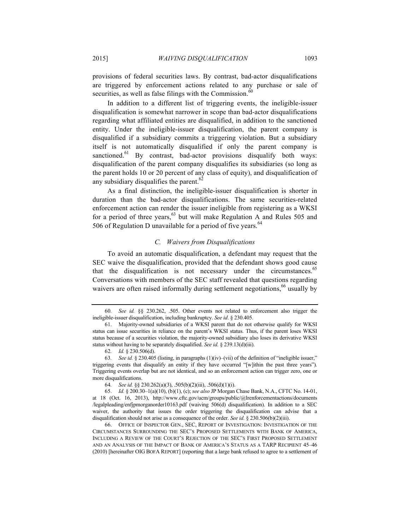provisions of federal securities laws. By contrast, bad-actor disqualifications are triggered by enforcement actions related to any purchase or sale of securities, as well as false filings with the Commission. $60$ 

In addition to a different list of triggering events, the ineligible-issuer disqualification is somewhat narrower in scope than bad-actor disqualifications regarding what affiliated entities are disqualified, in addition to the sanctioned entity. Under the ineligible-issuer disqualification, the parent company is disqualified if a subsidiary commits a triggering violation. But a subsidiary itself is not automatically disqualified if only the parent company is sanctioned.<sup>61</sup> By contrast, bad-actor provisions disqualify both ways: disqualification of the parent company disqualifies its subsidiaries (so long as the parent holds 10 or 20 percent of any class of equity), and disqualification of any subsidiary disqualifies the parent. $62$ 

As a final distinction, the ineligible-issuer disqualification is shorter in duration than the bad-actor disqualifications. The same securities-related enforcement action can render the issuer ineligible from registering as a WKSI for a period of three years,  $63$  but will make Regulation A and Rules 505 and 506 of Regulation D unavailable for a period of five years. $64$ 

## *C. Waivers from Disqualifications*

To avoid an automatic disqualification, a defendant may request that the SEC waive the disqualification, provided that the defendant shows good cause that the disqualification is not necessary under the circumstances. $65$ Conversations with members of the SEC staff revealed that questions regarding waivers are often raised informally during settlement negotiations,<sup>66</sup> usually by

<sup>60</sup>*. See id.* §§ 230.262, .505. Other events not related to enforcement also trigger the ineligible-issuer disqualification, including bankruptcy. *See id*. § 230.405.

<sup>61.</sup> Majority-owned subsidiaries of a WKSI parent that do not otherwise qualify for WKSI status can issue securities in reliance on the parent's WKSI status. Thus, if the parent loses WKSI status because of a securities violation, the majority-owned subsidiary also loses its derivative WKSI status without having to be separately disqualified. *See id.* § 239.13(d)(iii).

<sup>62</sup>*. Id.* § 230.506(d).

<sup>63</sup>*. See id.* § 230.405 (listing, in paragraphs (1)(iv)–(vii) of the definition of "ineligible issuer," triggering events that disqualify an entity if they have occurred "[w]ithin the past three years"). Triggering events overlap but are not identical, and so an enforcement action can trigger zero, one or more disqualifications.

<sup>64</sup>*. See id.* §§ 230.262(a)(3), .505(b)(2)(iii), .506(d)(1)(i).

<sup>65.</sup> *Id.* § 200.30–1(a)(10), (b)(1), (c); *see also* JP Morgan Chase Bank, N.A., CFTC No. 14-01, at 18 (Oct. 16, 2013), http://www.cftc.gov/ucm/groups/public/@lrenforcementactions/documents /legalpleading/enfjpmorganorder10163.pdf (waiving 506(d) disqualification). In addition to a SEC waiver, the authority that issues the order triggering the disqualification can advise that a disqualification should not arise as a consequence of the order. *See id.* § 230.506(b)(2)(iii).

<sup>66.</sup> OFFICE OF INSPECTOR GEN., SEC, REPORT OF INVESTIGATION: INVESTIGATION OF THE CIRCUMSTANCES SURROUNDING THE SEC'S PROPOSED SETTLEMENTS WITH BANK OF AMERICA, INCLUDING A REVIEW OF THE COURT'S REJECTION OF THE SEC'S FIRST PROPOSED SETTLEMENT AND AN ANALYSIS OF THE IMPACT OF BANK OF AMERICA'S STATUS AS A TARP RECIPIENT 45–46 (2010) [hereinafter OIG BOFA REPORT] (reporting that a large bank refused to agree to a settlement of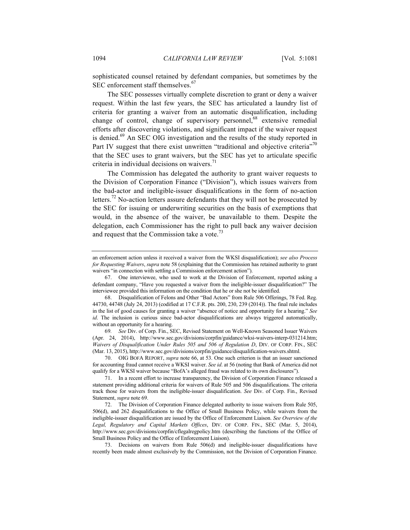sophisticated counsel retained by defendant companies, but sometimes by the SEC enforcement staff themselves.<sup>67</sup>

The SEC possesses virtually complete discretion to grant or deny a waiver request. Within the last few years, the SEC has articulated a laundry list of criteria for granting a waiver from an automatic disqualification, including change of control, change of supervisory personnel,<sup>68</sup> extensive remedial efforts after discovering violations, and significant impact if the waiver request is denied.<sup>69</sup> An SEC OIG investigation and the results of the study reported in Part IV suggest that there exist unwritten "traditional and objective criteria"<sup>70</sup> that the SEC uses to grant waivers, but the SEC has yet to articulate specific criteria in individual decisions on waivers. $71$ 

The Commission has delegated the authority to grant waiver requests to the Division of Corporation Finance ("Division"), which issues waivers from the bad-actor and ineligible-issuer disqualifications in the form of no-action letters.<sup>72</sup> No-action letters assure defendants that they will not be prosecuted by the SEC for issuing or underwriting securities on the basis of exemptions that would, in the absence of the waiver, be unavailable to them. Despite the delegation, each Commissioner has the right to pull back any waiver decision and request that the Commission take a vote.<sup>73</sup>

69*. See* Div. of Corp. Fin., SEC, Revised Statement on Well-Known Seasoned Issuer Waivers (Apr. 24, 2014), http://www.sec.gov/divisions/corpfin/guidance/wksi-waivers-interp-031214.htm; *Waivers of Disqualification Under Rules 505 and 506 of Regulation D*, DIV. OF CORP. FIN., SEC (Mar. 13, 2015), http://www.sec.gov/divisions/corpfin/guidance/disqualification-waivers.shtml.

70. OIG BOFA REPORT, *supra* note 66, at 53. One such criterion is that an issuer sanctioned for accounting fraud cannot receive a WKSI waiver. *See id*. at 56 (noting that Bank of America did not qualify for a WKSI waiver because "BofA's alleged fraud was related to its own disclosures").

an enforcement action unless it received a waiver from the WKSI disqualification); *see also Process for Requesting Waivers*, *supra* note 58 (explaining that the Commission has retained authority to grant waivers "in connection with settling a Commission enforcement action").

<sup>67.</sup> One interviewee, who used to work at the Division of Enforcement, reported asking a defendant company, "Have you requested a waiver from the ineligible-issuer disqualification?" The interviewee provided this information on the condition that he or she not be identified.

<sup>68.</sup> Disqualification of Felons and Other "Bad Actors" from Rule 506 Offerings, 78 Fed. Reg. 44730, 44748 (July 24, 2013) (codified at 17 C.F.R. pts. 200, 230, 239 (2014)). The final rule includes in the list of good causes for granting a waiver "absence of notice and opportunity for a hearing." *See id*. The inclusion is curious since bad-actor disqualifications are always triggered automatically, without an opportunity for a hearing.

<sup>71.</sup> In a recent effort to increase transparency, the Division of Corporation Finance released a statement providing additional criteria for waivers of Rule 505 and 506 disqualifications. The criteria track those for waivers from the ineligible-issuer disqualification. *See* Div. of Corp. Fin., Revised Statement, *supra* note 69.

<sup>72.</sup> The Division of Corporation Finance delegated authority to issue waivers from Rule 505, 506(d), and 262 disqualifications to the Office of Small Business Policy, while waivers from the ineligible-issuer disqualification are issued by the Office of Enforcement Liaison. *See Overview of the Legal, Regulatory and Capital Markets Offices*, DIV. OF CORP. FIN., SEC (Mar. 5, 2014), http://www.sec.gov/divisions/corpfin/cflegalregpolicy.htm (describing the functions of the Office of Small Business Policy and the Office of Enforcement Liaison).

<sup>73.</sup> Decisions on waivers from Rule 506(d) and ineligible-issuer disqualifications have recently been made almost exclusively by the Commission, not the Division of Corporation Finance.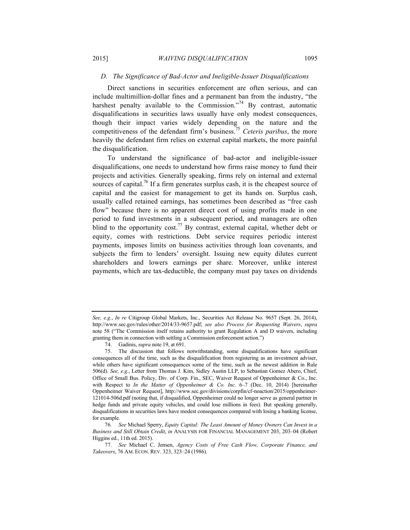## *D. The Significance of Bad-Actor and Ineligible-Issuer Disqualifications*

Direct sanctions in securities enforcement are often serious, and can include multimillion-dollar fines and a permanent ban from the industry, "the harshest penalty available to the Commission."<sup>74</sup> By contrast, automatic disqualifications in securities laws usually have only modest consequences, though their impact varies widely depending on the nature and the competitiveness of the defendant firm's business.75 *Ceteris paribus*, the more heavily the defendant firm relies on external capital markets, the more painful the disqualification.

To understand the significance of bad-actor and ineligible-issuer disqualifications, one needs to understand how firms raise money to fund their projects and activities. Generally speaking, firms rely on internal and external sources of capital.<sup>76</sup> If a firm generates surplus cash, it is the cheapest source of capital and the easiest for management to get its hands on. Surplus cash, usually called retained earnings, has sometimes been described as "free cash flow" because there is no apparent direct cost of using profits made in one period to fund investments in a subsequent period, and managers are often blind to the opportunity cost.<sup>77</sup> By contrast, external capital, whether debt or equity, comes with restrictions. Debt service requires periodic interest payments, imposes limits on business activities through loan covenants, and subjects the firm to lenders' oversight. Issuing new equity dilutes current shareholders and lowers earnings per share. Moreover, unlike interest payments, which are tax-deductible, the company must pay taxes on dividends

*See, e.g.*, *In re* Citigroup Global Markets, Inc., Securities Act Release No. 9657 (Sept. 26, 2014), http://www.sec.gov/rules/other/2014/33-9657.pdf; *see also Process for Requesting Waivers*, *supra* note 58 ("The Commission itself retains authority to grant Regulation A and D waivers, including granting them in connection with settling a Commission enforcement action.")

<sup>74.</sup> Gadinis, *supra* note 19, at 691.

<sup>75.</sup> The discussion that follows notwithstanding, some disqualifications have significant consequences all of the time, such as the disqualification from registering as an investment adviser, while others have significant consequences some of the time, such as the newest addition in Rule 506(d). *See, e.g.*, Letter from Thomas J. Kim, Sidley Austin LLP, to Sebastian Gomez Abero, Chief, Office of Small Bus. Policy, Div. of Corp. Fin., SEC, Waiver Request of Oppenheimer & Co., Inc. with Respect to *In the Matter of Oppenheimer & Co. Inc.* 6–7 (Dec. 10, 2014) [hereinafter Oppenheimer Waiver Request], http://www.sec.gov/divisions/corpfin/cf-noaction/2015/oppenheimer-121014-506d.pdf (noting that, if disqualified, Oppenheimer could no longer serve as general partner in hedge funds and private equity vehicles, and could lose millions in fees). But speaking generally, disqualifications in securities laws have modest consequences compared with losing a banking license, for example.

<sup>76</sup>*. See* Michael Sperry, *Equity Capital: The Least Amount of Money Owners Can Invest in a Business and Still Obtain Credit*, *in* ANALYSIS FOR FINANCIAL MANAGEMENT 203, 203–04 (Robert Higgins ed., 11th ed. 2015).

<sup>77.</sup> *See* Michael C. Jensen, *Agency Costs of Free Cash Flow, Corporate Finance, and Takeovers*, 76 AM. ECON. REV. 323, 323–24 (1986).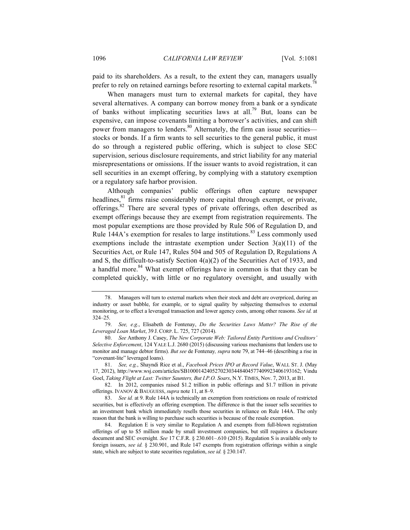paid to its shareholders. As a result, to the extent they can, managers usually prefer to rely on retained earnings before resorting to external capital markets.<sup>7</sup>

When managers must turn to external markets for capital, they have several alternatives. A company can borrow money from a bank or a syndicate of banks without implicating securities laws at all.<sup>79</sup> But, loans can be expensive, can impose covenants limiting a borrower's activities, and can shift power from managers to lenders.<sup>80</sup> Alternately, the firm can issue securities stocks or bonds. If a firm wants to sell securities to the general public, it must do so through a registered public offering, which is subject to close SEC supervision, serious disclosure requirements, and strict liability for any material misrepresentations or omissions. If the issuer wants to avoid registration, it can sell securities in an exempt offering, by complying with a statutory exemption or a regulatory safe harbor provision.

Although companies' public offerings often capture newspaper headlines, $81$  firms raise considerably more capital through exempt, or private, offerings.<sup>82</sup> There are several types of private offerings, often described as exempt offerings because they are exempt from registration requirements. The most popular exemptions are those provided by Rule 506 of Regulation D, and Rule 144A's exemption for resales to large institutions.<sup>83</sup> Less commonly used exemptions include the intrastate exemption under Section  $3(a)(11)$  of the Securities Act, or Rule 147, Rules 504 and 505 of Regulation D, Regulations A and S, the difficult-to-satisfy Section 4(a)(2) of the Securities Act of 1933, and a handful more.<sup>84</sup> What exempt offerings have in common is that they can be completed quickly, with little or no regulatory oversight, and usually with

82. In 2012, companies raised \$1.2 trillion in public offerings and \$1.7 trillion in private offerings. IVANOV & BAUGUESS, *supra* note 11, at 8–9.

<sup>78.</sup> Managers will turn to external markets when their stock and debt are overpriced, during an industry or asset bubble, for example, or to signal quality by subjecting themselves to external monitoring, or to effect a leveraged transaction and lower agency costs, among other reasons. *See id.* at 324–25.

<sup>79.</sup> *See, e.g.*, Elisabeth de Fontenay, *Do the Securities Laws Matter? The Rise of the Leveraged Loan Market*, 39 J. CORP. L. 725, 727 (2014).

<sup>80.</sup> *See* Anthony J. Casey, *The New Corporate Web: Tailored Entity Partitions and Creditors' Selective Enforcement*, 124 YALE L.J. 2680 (2015) (discussing various mechanisms that lenders use to monitor and manage debtor firms). *But see* de Fontenay*, supra* note 79, at 744–46 (describing a rise in "covenant-lite" leveraged loans).

<sup>81.</sup> *See, e.g.*, Shayndi Rice et al., *Facebook Prices IPO at Record Value*, WALL ST. J. (May 17, 2012), http://www.wsj.com/articles/SB10001424052702303448404577409923406193162; Vindu Goel, *Taking Flight at Last: Twitter Saunters, But I.P.O. Soars*, N.Y. TIMES, Nov. 7, 2013, at B1.

<sup>83.</sup> *See id.* at 9. Rule 144A is technically an exemption from restrictions on resale of restricted securities, but is effectively an offering exemption. The difference is that the issuer sells securities to an investment bank which immediately resells those securities in reliance on Rule 144A. The only reason that the bank is willing to purchase such securities is because of the resale exemption.

<sup>84.</sup> Regulation E is very similar to Regulation A and exempts from full-blown registration offerings of up to \$5 million made by small investment companies, but still requires a disclosure document and SEC oversight. *See* 17 C.F.R. § 230.601–.610 (2015). Regulation S is available only to foreign issuers, *see id.* § 230.901, and Rule 147 exempts from registration offerings within a single state, which are subject to state securities regulation, *see id.* § 230.147.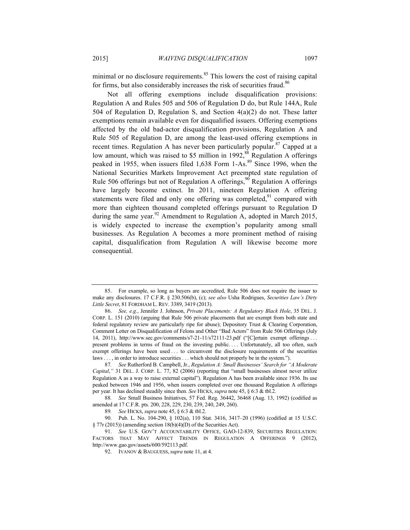minimal or no disclosure requirements. $85$  This lowers the cost of raising capital for firms, but also considerably increases the risk of securities fraud.<sup>86</sup>

Not all offering exemptions include disqualification provisions: Regulation A and Rules 505 and 506 of Regulation D do, but Rule 144A, Rule 504 of Regulation D, Regulation S, and Section 4(a)(2) do not. These latter exemptions remain available even for disqualified issuers. Offering exemptions affected by the old bad-actor disqualification provisions, Regulation A and Rule 505 of Regulation D, are among the least-used offering exemptions in recent times. Regulation A has never been particularly popular.<sup>87</sup> Capped at a low amount, which was raised to \$5 million in 1992,<sup>88</sup> Regulation A offerings peaked in 1955, when issuers filed 1,638 Form 1-As.<sup>89</sup> Since 1996, when the National Securities Markets Improvement Act preempted state regulation of Rule 506 offerings but not of Regulation A offerings,  $90$  Regulation A offerings have largely become extinct. In 2011, nineteen Regulation A offering statements were filed and only one offering was completed, $91$  compared with more than eighteen thousand completed offerings pursuant to Regulation D during the same year.<sup>92</sup> Amendment to Regulation A, adopted in March 2015, is widely expected to increase the exemption's popularity among small businesses. As Regulation A becomes a more prominent method of raising capital, disqualification from Regulation A will likewise become more consequential.

<sup>85.</sup> For example, so long as buyers are accredited, Rule 506 does not require the issuer to make any disclosures. 17 C.F.R. § 230.506(b), (c); *see also* Usha Rodrigues, *Securities Law's Dirty Little Secret*, 81 FORDHAM L. REV. 3389, 3419 (2013).

<sup>86.</sup> *See, e.g.*, Jennifer J. Johnson, *Private Placements: A Regulatory Black Hole*, 35 DEL. J. CORP. L. 151 (2010) (arguing that Rule 506 private placements that are exempt from both state and federal regulatory review are particularly ripe for abuse); Depository Trust & Clearing Corporation, Comment Letter on Disqualification of Felons and Other "Bad Actors" from Rule 506 Offerings (July 14, 2011), http://www.sec.gov/comments/s7-21-11/s72111-23.pdf ("[C]ertain exempt offerings . . . present problems in terms of fraud on the investing public. . . . Unfortunately, all too often, such exempt offerings have been used . . . to circumvent the disclosure requirements of the securities laws . . . , in order to introduce securities . . . which should not properly be in the system.").

<sup>87</sup>*. See* Rutherford B. Campbell, Jr., *Regulation A: Small Businesses' Search for "A Moderate Capital*,*"* 31 DEL. J. CORP. L. 77, 82 (2006) (reporting that "small businesses almost never utilize Regulation A as a way to raise external capital"). Regulation A has been available since 1936. Its use peaked between 1946 and 1956, when issuers completed over one thousand Regulation A offerings per year. It has declined steadily since then. *See* HICKS, *supra* note 45, § 6:3 & tbl.2.

<sup>88</sup>*. See* Small Business Initiatives, 57 Fed. Reg. 36442, 36468 (Aug. 13, 1992) (codified as amended at 17 C.F.R. pts. 200, 228, 229, 230, 239, 240, 249, 260).

<sup>89</sup>*. See* HICKS, *supra* note 45, § 6:3 & tbl.2.

<sup>90.</sup> Pub. L. No. 104-290, § 102(a), 110 Stat. 3416, 3417–20 (1996) (codified at 15 U.S.C.  $\S 77r (2015)$  (amending section 18(b)(4)(D) of the Securities Act).

<sup>91.</sup> *See* U.S. GOV'T ACCOUNTABILITY OFFICE, GAO-12-839, SECURITIES REGULATION: FACTORS THAT MAY AFFECT TRENDS IN REGULATION A OFFERINGS 9 (2012), http://www.gao.gov/assets/600/592113.pdf.

<sup>92.</sup> IVANOV & BAUGUESS,*supra* note 11, at 4.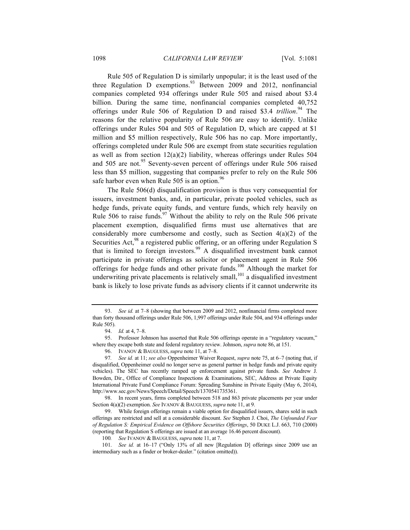Rule 505 of Regulation D is similarly unpopular; it is the least used of the three Regulation D exemptions.<sup>93</sup> Between 2009 and 2012, nonfinancial companies completed 934 offerings under Rule 505 and raised about \$3.4 billion. During the same time, nonfinancial companies completed 40,752 offerings under Rule 506 of Regulation D and raised \$3.4 *trillion*. <sup>94</sup> The reasons for the relative popularity of Rule 506 are easy to identify. Unlike offerings under Rules 504 and 505 of Regulation D, which are capped at \$1 million and \$5 million respectively, Rule 506 has no cap. More importantly, offerings completed under Rule 506 are exempt from state securities regulation as well as from section 12(a)(2) liability, whereas offerings under Rules 504 and 505 are not.<sup>95</sup> Seventy-seven percent of offerings under Rule 506 raised less than \$5 million, suggesting that companies prefer to rely on the Rule 506 safe harbor even when Rule 505 is an option. $96$ 

The Rule 506(d) disqualification provision is thus very consequential for issuers, investment banks, and, in particular, private pooled vehicles, such as hedge funds, private equity funds, and venture funds, which rely heavily on Rule 506 to raise funds.<sup>97</sup> Without the ability to rely on the Rule 506 private placement exemption, disqualified firms must use alternatives that are considerably more cumbersome and costly, such as Section  $4(a)(2)$  of the Securities Act,<sup>98</sup> a registered public offering, or an offering under Regulation S that is limited to foreign investors.99 A disqualified investment bank cannot participate in private offerings as solicitor or placement agent in Rule 506 offerings for hedge funds and other private funds.<sup>100</sup> Although the market for underwriting private placements is relatively small, $^{101}$  a disqualified investment bank is likely to lose private funds as advisory clients if it cannot underwrite its

<sup>93.</sup> *See id.* at 7–8 (showing that between 2009 and 2012, nonfinancial firms completed more than forty thousand offerings under Rule 506, 1,997 offerings under Rule 504, and 934 offerings under Rule 505).

<sup>94.</sup> *Id.* at 4, 7–8.

<sup>95.</sup> Professor Johnson has asserted that Rule 506 offerings operate in a "regulatory vacuum," where they escape both state and federal regulatory review. Johnson, *supra* note 86, at 151.

<sup>96.</sup> IVANOV & BAUGUESS,*supra* note 11, at 7–8.

<sup>97</sup>*. See id.* at 11; *see also* Oppenheimer Waiver Request, *supra* note 75, at 6–7 (noting that, if disqualified, Oppenheimer could no longer serve as general partner in hedge funds and private equity vehicles). The SEC has recently ramped up enforcement against private funds. *See* Andrew J. Bowden, Dir., Office of Compliance Inspections & Examinations, SEC, Address at Private Equity International Private Fund Compliance Forum: Spreading Sunshine in Private Equity (May 6, 2014), http://www.sec.gov/News/Speech/Detail/Speech/1370541735361.

<sup>98.</sup> In recent years, firms completed between 518 and 863 private placements per year under Section 4(a)(2) exemption. *See* IVANOV & BAUGUESS, *supra* note 11, at 9.

<sup>99.</sup> While foreign offerings remain a viable option for disqualified issuers, shares sold in such offerings are restricted and sell at a considerable discount. *See* Stephen J. Choi, *The Unfounded Fear of Regulation S: Empirical Evidence on Offshore Securities Offerings*, 50 DUKE L.J. 663, 710 (2000) (reporting that Regulation S offerings are issued at an average 16.46 percent discount).

<sup>100</sup>*. See* IVANOV & BAUGUESS, *supra* note 11, at 7.

<sup>101.</sup> *See id.* at 16–17 ("Only 13% of all new [Regulation D] offerings since 2009 use an intermediary such as a finder or broker-dealer." (citation omitted)).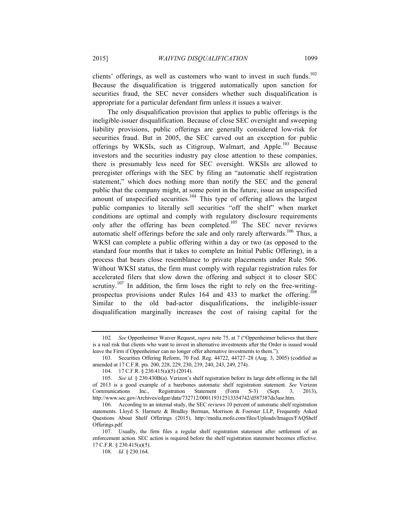clients' offerings, as well as customers who want to invest in such funds.<sup>102</sup> Because the disqualification is triggered automatically upon sanction for securities fraud, the SEC never considers whether such disqualification is appropriate for a particular defendant firm unless it issues a waiver.

The only disqualification provision that applies to public offerings is the ineligible-issuer disqualification. Because of close SEC oversight and sweeping liability provisions, public offerings are generally considered low-risk for securities fraud. But in 2005, the SEC carved out an exception for public offerings by WKSIs, such as Citigroup, Walmart, and Apple.<sup>103</sup> Because investors and the securities industry pay close attention to these companies, there is presumably less need for SEC oversight. WKSIs are allowed to preregister offerings with the SEC by filing an "automatic shelf registration statement," which does nothing more than notify the SEC and the general public that the company might, at some point in the future, issue an unspecified amount of unspecified securities.<sup>104</sup> This type of offering allows the largest public companies to literally sell securities "off the shelf" when market conditions are optimal and comply with regulatory disclosure requirements only after the offering has been completed.<sup>105</sup> The SEC never reviews automatic shelf offerings before the sale and only rarely afterwards.<sup>106</sup> Thus, a WKSI can complete a public offering within a day or two (as opposed to the standard four months that it takes to complete an Initial Public Offering), in a process that bears close resemblance to private placements under Rule 506. Without WKSI status, the firm must comply with regular registration rules for accelerated filers that slow down the offering and subject it to closer SEC scrutiny.<sup>107</sup> In addition, the firm loses the right to rely on the free-writingprospectus provisions under Rules  $164$  and  $433$  to market the offering.<sup>108</sup> Similar to the old bad-actor disqualifications, the ineligible-issuer disqualification marginally increases the cost of raising capital for the

<sup>102</sup>*. See* Oppenheimer Waiver Request, *supra* note 75, at 7 ("Oppenheimer believes that there is a real risk that clients who want to invest in alternative investments after the Order is issued would leave the Firm if Oppenheimer can no longer offer alternative investments to them.").

<sup>103.</sup> Securities Offering Reform, 70 Fed. Reg. 44722, 44727–28 (Aug. 3, 2005) (codified as amended at 17 C.F.R. pts. 200, 228, 229, 230, 239, 240, 243, 249, 274).

<sup>104.</sup> 17 C.F.R. § 230.415(a)(5) (2014).

<sup>105.</sup> *See id.* § 230.430B(a). Verizon's shelf registration before its large debt offering in the fall of 2013 is a good example of a barebones automatic shelf registration statement. *See* Verizon Communications Inc., Registration Statement (Form S-3) (Sept. 3, 2013), http://www.sec.gov/Archives/edgar/data/732712/000119312513354742/d587387ds3asr.htm.

<sup>106.</sup> According to an internal study, the SEC reviews 10 percent of automatic shelf registration statements. Lloyd S. Harmetz & Bradley Berman, Morrison & Foerster LLP, Frequently Asked Questions About Shelf Offerings (2015), http://media.mofo.com/files/Uploads/Images/FAQShelf Offerings.pdf.

<sup>107.</sup> Usually, the firm files a regular shelf registration statement after settlement of an enforcement action. SEC action is required before the shelf registration statement becomes effective. 17 C.F.R. § 230.415(a)(5).

<sup>108.</sup> *Id.* § 230.164.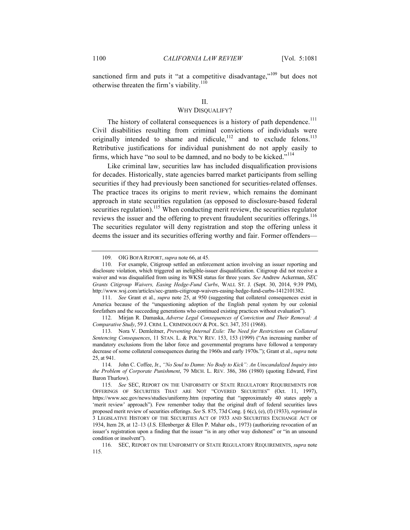sanctioned firm and puts it "at a competitive disadvantage,"<sup>109</sup> but does not otherwise threaten the firm's viability. $110$ 

#### II.

## WHY DISQUALIFY?

The history of collateral consequences is a history of path dependence.<sup>111</sup> Civil disabilities resulting from criminal convictions of individuals were originally intended to shame and ridicule,  $112$  and to exclude felons.<sup>113</sup> Retributive justifications for individual punishment do not apply easily to firms, which have "no soul to be damned, and no body to be kicked."<sup>114</sup>

Like criminal law, securities law has included disqualification provisions for decades. Historically, state agencies barred market participants from selling securities if they had previously been sanctioned for securities-related offenses. The practice traces its origins to merit review, which remains the dominant approach in state securities regulation (as opposed to disclosure-based federal securities regulation).<sup>115</sup> When conducting merit review, the securities regulator reviews the issuer and the offering to prevent fraudulent securities offerings.<sup>116</sup> The securities regulator will deny registration and stop the offering unless it deems the issuer and its securities offering worthy and fair. Former offenders—

111. *See* Grant et al., *supra* note 25, at 950 (suggesting that collateral consequences exist in America because of the "unquestioning adoption of the English penal system by our colonial forefathers and the succeeding generations who continued existing practices without evaluation").

116. SEC, REPORT ON THE UNIFORMITY OF STATE REGULATORY REQUIREMENTS, *supra* note 115.

<sup>109.</sup> OIG BOFA REPORT, *supra* note 66, at 45.

<sup>110.</sup> For example, Citigroup settled an enforcement action involving an issuer reporting and disclosure violation, which triggered an ineligible-issuer disqualification. Citigroup did not receive a waiver and was disqualified from using its WKSI status for three years. *See* Andrew Ackerman, *SEC Grants Citigroup Waivers, Easing Hedge-Fund Curbs*, WALL ST. J. (Sept. 30, 2014, 9:39 PM), http://www.wsj.com/articles/sec-grants-citigroup-waivers-easing-hedge-fund-curbs-1412101382.

<sup>112.</sup> Mirjan R. Damaska, *Adverse Legal Consequences of Conviction and Their Removal: A Comparative Study*, 59 J. CRIM. L. CRIMINOLOGY & POL. SCI. 347, 351 (1968).

<sup>113.</sup> Nora V. Demleitner, *Preventing Internal Exile: The Need for Restrictions on Collateral Sentencing Consequences*, 11 STAN. L. & POL'Y REV. 153, 153 (1999) ("An increasing number of mandatory exclusions from the labor force and governmental programs have followed a temporary decrease of some collateral consequences during the 1960s and early 1970s."); Grant et al., *supra* note 25, at 941.

<sup>114.</sup> John C. Coffee, Jr., *"No Soul to Damn: No Body to Kick": An Unscandalized Inquiry into the Problem of Corporate Punishment*, 79 MICH. L. REV. 386, 386 (1980) (quoting Edward, First Baron Thurlow).

<sup>115.</sup> *See* SEC, REPORT ON THE UNIFORMITY OF STATE REGULATORY REQUIREMENTS FOR OFFERINGS OF SECURITIES THAT ARE NOT "COVERED SECURITIES" (Oct. 11, 1997), https://www.sec.gov/news/studies/uniformy.htm (reporting that "approximately 40 states apply a 'merit review' approach"). Few remember today that the original draft of federal securities laws proposed merit review of securities offerings. *See* S. 875, 73d Cong. § 6(c), (e), (f) (1933), *reprinted in* 3 LEGISLATIVE HISTORY OF THE SECURITIES ACT OF 1933 AND SECURITIES EXCHANGE ACT OF 1934, Item 28, at 12–13 (J.S. Ellenberger & Ellen P. Mahar eds., 1973) (authorizing revocation of an issuer's registration upon a finding that the issuer "is in any other way dishonest" or "in an unsound condition or insolvent").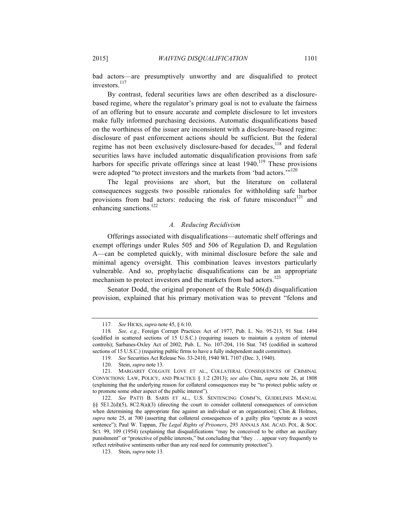bad actors—are presumptively unworthy and are disqualified to protect investors.<sup>117</sup>

By contrast, federal securities laws are often described as a disclosurebased regime, where the regulator's primary goal is not to evaluate the fairness of an offering but to ensure accurate and complete disclosure to let investors make fully informed purchasing decisions. Automatic disqualifications based on the worthiness of the issuer are inconsistent with a disclosure-based regime: disclosure of past enforcement actions should be sufficient. But the federal regime has not been exclusively disclosure-based for decades,<sup>118</sup> and federal securities laws have included automatic disqualification provisions from safe harbors for specific private offerings since at least  $1940$ .<sup>119</sup> These provisions were adopted "to protect investors and the markets from 'bad actors."<sup>120</sup>

The legal provisions are short, but the literature on collateral consequences suggests two possible rationales for withholding safe harbor provisions from bad actors: reducing the risk of future misconduct<sup>121</sup> and enhancing sanctions.<sup>122</sup>

## *A. Reducing Recidivism*

Offerings associated with disqualifications—automatic shelf offerings and exempt offerings under Rules 505 and 506 of Regulation D, and Regulation A—can be completed quickly, with minimal disclosure before the sale and minimal agency oversight. This combination leaves investors particularly vulnerable. And so, prophylactic disqualifications can be an appropriate mechanism to protect investors and the markets from bad actors.<sup>123</sup>

Senator Dodd, the original proponent of the Rule 506(d) disqualification provision, explained that his primary motivation was to prevent "felons and

<sup>117</sup>*. See* HICKS, *supra* note 45, § 6:10.

<sup>118</sup>*. See, e.g.*, Foreign Corrupt Practices Act of 1977, Pub. L. No. 95-213, 91 Stat. 1494 (codified in scattered sections of 15 U.S.C.) (requiring issuers to maintain a system of internal controls); Sarbanes-Oxley Act of 2002, Pub. L. No. 107-204, 116 Stat. 745 (codified in scattered sections of 15 U.S.C.) (requiring public firms to have a fully independent audit committee).

<sup>119.</sup> *See* Securities Act Release No. 33-2410, 1940 WL 7107 (Dec. 3, 1940).

<sup>120.</sup> Stein, *supra* note 13.

<sup>121.</sup> MARGARET COLGATE LOVE ET AL., COLLATERAL CONSEQUENCES OF CRIMINAL CONVICTIONS: LAW, POLICY, AND PRACTICE § 1:2 (2013); *see also* Chin, *supra* note 26, at 1808 (explaining that the underlying reason for collateral consequences may be "to protect public safety or to promote some other aspect of the public interest").

<sup>122.</sup> *See* PATTI B. SARIS ET AL., U.S. SENTENCING COMM'N, GUIDELINES MANUAL §§ 5E1.2(d)(5), 8C2.8(a)(3) (directing the court to consider collateral consequences of conviction when determining the appropriate fine against an individual or an organization); Chin & Holmes, *supra* note 25, at 700 (asserting that collateral consequences of a guilty plea "operate as a secret sentence"); Paul W. Tappan, *The Legal Rights of Prisoners*, 293 ANNALS AM. ACAD. POL. & SOC. SCI. 99, 109 (1954) (explaining that disqualifications "may be conceived to be either an auxiliary punishment" or "protective of public interests," but concluding that "they . . . appear very frequently to reflect retributive sentiments rather than any real need for community protection").

<sup>123.</sup> Stein, *supra* note 13.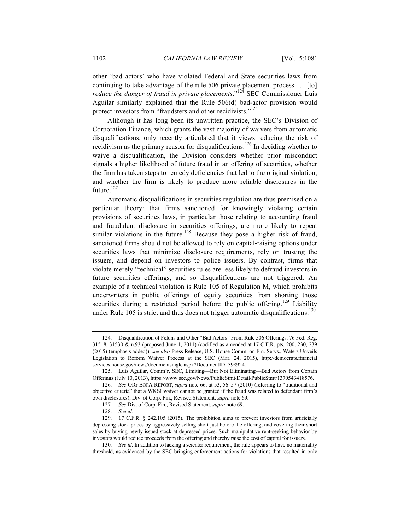other 'bad actors' who have violated Federal and State securities laws from continuing to take advantage of the rule 506 private placement process . . . [to] *reduce the danger of fraud in private placements.*"<sup>124</sup> SEC Commissioner Luis Aguilar similarly explained that the Rule 506(d) bad-actor provision would protect investors from "fraudsters and other recidivists."<sup>125</sup>

Although it has long been its unwritten practice, the SEC's Division of Corporation Finance, which grants the vast majority of waivers from automatic disqualifications, only recently articulated that it views reducing the risk of recidivism as the primary reason for disqualifications.<sup>126</sup> In deciding whether to waive a disqualification, the Division considers whether prior misconduct signals a higher likelihood of future fraud in an offering of securities, whether the firm has taken steps to remedy deficiencies that led to the original violation, and whether the firm is likely to produce more reliable disclosures in the future. $127$ 

Automatic disqualifications in securities regulation are thus premised on a particular theory: that firms sanctioned for knowingly violating certain provisions of securities laws, in particular those relating to accounting fraud and fraudulent disclosure in securities offerings, are more likely to repeat similar violations in the future.<sup>128</sup> Because they pose a higher risk of fraud, sanctioned firms should not be allowed to rely on capital-raising options under securities laws that minimize disclosure requirements, rely on trusting the issuers, and depend on investors to police issuers. By contrast, firms that violate merely "technical" securities rules are less likely to defraud investors in future securities offerings, and so disqualifications are not triggered. An example of a technical violation is Rule 105 of Regulation M, which prohibits underwriters in public offerings of equity securities from shorting those securities during a restricted period before the public offering.<sup>129</sup> Liability under Rule 105 is strict and thus does not trigger automatic disqualifications.<sup>130</sup>

<sup>124.</sup> Disqualification of Felons and Other "Bad Actors" From Rule 506 Offerings, 76 Fed. Reg. 31518, 31530 & n.93 (proposed June 1, 2011) (codified as amended at 17 C.F.R. pts. 200, 230, 239 (2015) (emphasis added)); *see also* Press Release, U.S. House Comm. on Fin. Servs., Waters Unveils Legislation to Reform Waiver Process at the SEC (Mar. 24, 2015), http://democrats.financial services.house.gov/news/documentsingle.aspx?DocumentID=398924.

<sup>125.</sup> Luis Aguilar, Comm'r, SEC, Limiting—But Not Eliminating—Bad Actors from Certain Offerings (July 10, 2013), https://www.sec.gov/News/PublicStmt/Detail/PublicStmt/1370543418576.

<sup>126.</sup> *See* OIG BOFA REPORT, *supra* note 66, at 53, 56–57 (2010) (referring to "traditional and objective criteria" that a WKSI waiver cannot be granted if the fraud was related to defendant firm's own disclosures); Div. of Corp. Fin., Revised Statement, *supra* note 69.

<sup>127.</sup> *See* Div. of Corp. Fin., Revised Statement, *supra* note 69.

<sup>128.</sup> *See id.*

<sup>129.</sup> 17 C.F.R. § 242.105 (2015). The prohibition aims to prevent investors from artificially depressing stock prices by aggressively selling short just before the offering, and covering their short sales by buying newly issued stock at depressed prices. Such manipulative rent-seeking behavior by investors would reduce proceeds from the offering and thereby raise the cost of capital for issuers.

<sup>130.</sup> *See id*. In addition to lacking a scienter requirement, the rule appears to have no materiality threshold, as evidenced by the SEC bringing enforcement actions for violations that resulted in only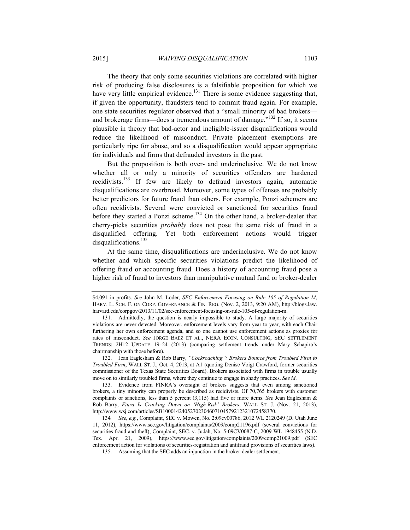The theory that only some securities violations are correlated with higher risk of producing false disclosures is a falsifiable proposition for which we have very little empirical evidence.<sup>131</sup> There is some evidence suggesting that, if given the opportunity, fraudsters tend to commit fraud again. For example, one state securities regulator observed that a "small minority of bad brokers and brokerage firms—does a tremendous amount of damage."<sup>132</sup> If so, it seems plausible in theory that bad-actor and ineligible-issuer disqualifications would reduce the likelihood of misconduct. Private placement exemptions are particularly ripe for abuse, and so a disqualification would appear appropriate for individuals and firms that defrauded investors in the past.

But the proposition is both over- and underinclusive. We do not know whether all or only a minority of securities offenders are hardened recidivists.<sup>133</sup> If few are likely to defraud investors again, automatic disqualifications are overbroad. Moreover, some types of offenses are probably better predictors for future fraud than others. For example, Ponzi schemers are often recidivists. Several were convicted or sanctioned for securities fraud before they started a Ponzi scheme.<sup>134</sup> On the other hand, a broker-dealer that cherry-picks securities *probably* does not pose the same risk of fraud in a disqualified offering. Yet both enforcement actions would trigger disqualifications.<sup>135</sup>

At the same time, disqualifications are underinclusive. We do not know whether and which specific securities violations predict the likelihood of offering fraud or accounting fraud. Does a history of accounting fraud pose a higher risk of fraud to investors than manipulative mutual fund or broker-dealer

132. Jean Eaglesham & Rob Barry, *"Cockroaching": Brokers Bounce from Troubled Firm to Troubled Firm*, WALL ST. J., Oct. 4, 2013, at A1 (quoting Denise Voigt Crawford, former securities commissioner of the Texas State Securities Board). Brokers associated with firms in trouble usually move on to similarly troubled firms, where they continue to engage in shady practices. *See id*.

135. Assuming that the SEC adds an injunction in the broker-dealer settlement.

<sup>\$4,091</sup> in profits. *See* John M. Loder, *SEC Enforcement Focusing on Rule 105 of Regulation M*, HARV. L. SCH. F. ON CORP. GOVERNANCE & FIN. REG. (Nov. 2, 2013, 9:20 AM), http://blogs.law. harvard.edu/corpgov/2013/11/02/sec-enforcement-focusing-on-rule-105-of-regulation-m.

<sup>131.</sup> Admittedly, the question is nearly impossible to study. A large majority of securities violations are never detected. Moreover, enforcement levels vary from year to year, with each Chair furthering her own enforcement agenda, and so one cannot use enforcement actions as proxies for rates of misconduct. *See* JORGE BAEZ ET AL., NERA ECON. CONSULTING, SEC SETTLEMENT TRENDS: 2H12 UPDATE 19–24 (2013) (comparing settlement trends under Mary Schapiro's chairmanship with those before).

<sup>133.</sup> Evidence from FINRA's oversight of brokers suggests that even among sanctioned brokers, a tiny minority can properly be described as recidivists. Of 70,765 brokers with customer complaints or sanctions, less than 5 percent (3,115) had five or more items. *See* Jean Eaglesham & Rob Barry, *Finra Is Cracking Down on 'High-Risk' Brokers*, WALL ST. J. (Nov. 21, 2013), http://www.wsj.com/articles/SB10001424052702304607104579212321072458370.

<sup>134</sup>*. See, e.g.*, Complaint, SEC v. Mowen, No. 2:09cv00786, 2012 WL 2120249 (D. Utah June 11, 2012), https://www.sec.gov/litigation/complaints/2009/comp21196.pdf (several convictions for securities fraud and theft); Complaint, SEC. v. Judah, No. 5-09CV0087-C, 2009 WL 1948455 (N.D. Tex. Apr. 21, 2009), https://www.sec.gov/litigation/complaints/2009/comp21009.pdf (SEC enforcement action for violations of securities-registration and antifraud provisions of securities laws).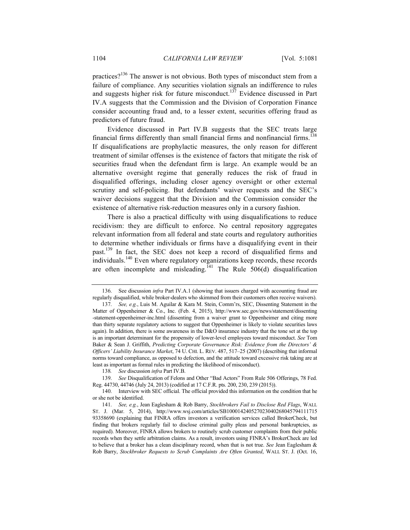practices?<sup>136</sup> The answer is not obvious. Both types of misconduct stem from a failure of compliance. Any securities violation signals an indifference to rules and suggests higher risk for future misconduct.<sup>137</sup> Evidence discussed in Part IV.A suggests that the Commission and the Division of Corporation Finance consider accounting fraud and, to a lesser extent, securities offering fraud as predictors of future fraud.

Evidence discussed in Part IV.B suggests that the SEC treats large financial firms differently than small financial firms and nonfinancial firms.<sup>138</sup> If disqualifications are prophylactic measures, the only reason for different treatment of similar offenses is the existence of factors that mitigate the risk of securities fraud when the defendant firm is large. An example would be an alternative oversight regime that generally reduces the risk of fraud in disqualified offerings, including closer agency oversight or other external scrutiny and self-policing. But defendants' waiver requests and the SEC's waiver decisions suggest that the Division and the Commission consider the existence of alternative risk-reduction measures only in a cursory fashion.

There is also a practical difficulty with using disqualifications to reduce recidivism: they are difficult to enforce. No central repository aggregates relevant information from all federal and state courts and regulatory authorities to determine whether individuals or firms have a disqualifying event in their past.<sup>139</sup> In fact, the SEC does not keep a record of disqualified firms and individuals.140 Even where regulatory organizations keep records, these records are often incomplete and misleading.<sup>141</sup> The Rule  $\frac{1}{2}$  506(d) disqualification

<sup>136.</sup> See discussion *infra* Part IV.A.1 (showing that issuers charged with accounting fraud are regularly disqualified, while broker-dealers who skimmed from their customers often receive waivers).

<sup>137.</sup> *See, e.g.*, Luis M. Aguilar & Kara M. Stein, Comm'rs, SEC, Dissenting Statement in the Matter of Oppenheimer & Co., Inc. (Feb. 4, 2015), http://www.sec.gov/news/statement/dissenting -statement-oppenheimer-inc.html (dissenting from a waiver grant to Oppenheimer and citing more than thirty separate regulatory actions to suggest that Oppenheimer is likely to violate securities laws again). In addition, there is some awareness in the D&O insurance industry that the tone set at the top is an important determinant for the propensity of lower-level employees toward misconduct. *See* Tom Baker & Sean J. Griffith, *Predicting Corporate Governance Risk: Evidence from the Directors' & Officers' Liability Insurance Market*, 74 U. CHI. L. REV. 487, 517–25 (2007) (describing that informal norms toward compliance, as opposed to defection, and the attitude toward excessive risk taking are at least as important as formal rules in predicting the likelihood of misconduct).

<sup>138</sup>*. See* discussion *infra* Part IV.B.

<sup>139.</sup> *See* Disqualification of Felons and Other "Bad Actors" From Rule 506 Offerings, 78 Fed. Reg. 44730, 44746 (July 24, 2013) (codified at 17 C.F.R. pts. 200, 230, 239 (2015)).

<sup>140.</sup> Interview with SEC official. The official provided this information on the condition that he or she not be identified.

<sup>141.</sup> *See, e.g.*, Jean Eaglesham & Rob Barry, *Stockbrokers Fail to Disclose Red Flags*, WALL ST. J. (Mar. 5, 2014), http://www.wsj.com/articles/SB100014240527023040268045794111715 93358690 (explaining that FINRA offers investors a verification services called BrokerCheck, but finding that brokers regularly fail to disclose criminal guilty pleas and personal bankruptcies, as required). Moreover, FINRA allows brokers to routinely scrub customer complaints from their public records when they settle arbitration claims. As a result, investors using FINRA's BrokerCheck are led to believe that a broker has a clean disciplinary record, when that is not true. *See* Jean Eaglesham & Rob Barry, *Stockbroker Requests to Scrub Complaints Are Often Granted*, WALL ST. J. (Oct. 16,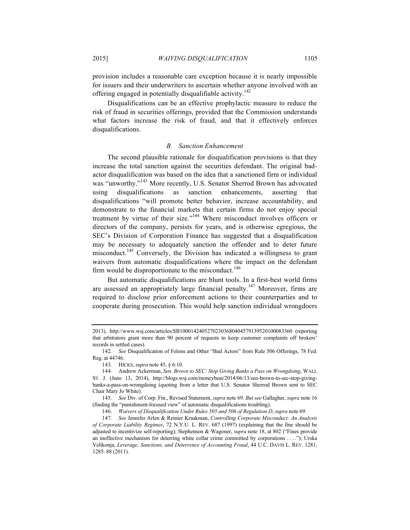provision includes a reasonable care exception because it is nearly impossible for issuers and their underwriters to ascertain whether anyone involved with an offering engaged in potentially disqualifiable activity.<sup>142</sup>

Disqualifications can be an effective prophylactic measure to reduce the risk of fraud in securities offerings, provided that the Commission understands what factors increase the risk of fraud, and that it effectively enforces disqualifications.

#### *B. Sanction Enhancement*

The second plausible rationale for disqualification provisions is that they increase the total sanction against the securities defendant. The original badactor disqualification was based on the idea that a sanctioned firm or individual was "unworthy."<sup>143</sup> More recently, U.S. Senator Sherrod Brown has advocated using disqualifications as sanction enhancements, asserting that disqualifications "will promote better behavior, increase accountability, and demonstrate to the financial markets that certain firms do not enjoy special treatment by virtue of their size."<sup>144</sup> Where misconduct involves officers or directors of the company, persists for years, and is otherwise egregious, the SEC's Division of Corporation Finance has suggested that a disqualification may be necessary to adequately sanction the offender and to deter future misconduct.<sup>145</sup> Conversely, the Division has indicated a willingness to grant waivers from automatic disqualifications where the impact on the defendant firm would be disproportionate to the misconduct.<sup>146</sup>

But automatic disqualifications are blunt tools. In a first-best world firms are assessed an appropriately large financial penalty.<sup>147</sup> Moreover, firms are required to disclose prior enforcement actions to their counterparties and to cooperate during prosecution. This would help sanction individual wrongdoers

<sup>2013),</sup> http://www.wsj.com/articles/SB10001424052702303680404579139520100083360 (reporting that arbitrators grant more than 90 percent of requests to keep customer complaints off brokers' records in settled cases).

<sup>142.</sup> *See* Disqualification of Felons and Other "Bad Actors" from Rule 506 Offerings, 78 Fed. Reg. at 44746.

<sup>143.</sup> HICKS, *supra* note 45, § 6:10.

<sup>144.</sup> Andrew Ackerman, *Sen. Brown to SEC: Stop Giving Banks a Pass on Wrongdoing*, WALL ST. J. (June 13, 2014), http://blogs.wsj.com/moneybeat/2014/06/13/sen-brown-to-sec-stop-givingbanks-a-pass-on-wrongdoing (quoting from a letter that U.S. Senator Sherrod Brown sent to SEC Chair Mary Jo White).

<sup>145.</sup> *See* Div. of Corp. Fin., Revised Statement, *supra* note 69. *But see* Gallagher, *supra* note 16 (finding the "punishment-focused view" of automatic disqualifications troubling).

<sup>146.</sup> *Waivers of Disqualification Under Rules 505 and 506 of Regulation D*, *supra* note 69.

<sup>147</sup>*. See* Jennifer Arlen & Reinier Kraakman, *Controlling Corporate Misconduct: An Analysis of Corporate Liability Regimes*, 72 N.Y.U. L. REV. 687 (1997) (explaining that the fine should be adjusted to incentivize self-reporting); Stephenson & Wagoner, *supra* note 18, at 802 ("Fines provide an ineffective mechanism for deterring white collar crime committed by corporations . . . ."); Urska Velikonja, *Leverage, Sanctions, and Deterrence of Accounting Fraud*, 44 U.C. DAVIS L. REV. 1281, 1285–88 (2011).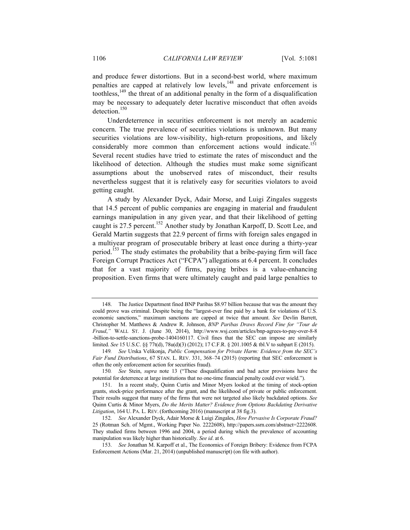and produce fewer distortions. But in a second-best world, where maximum penalties are capped at relatively low levels,<sup>148</sup> and private enforcement is toothless,149 the threat of an additional penalty in the form of a disqualification may be necessary to adequately deter lucrative misconduct that often avoids detection. 150

Underdeterrence in securities enforcement is not merely an academic concern. The true prevalence of securities violations is unknown. But many securities violations are low-visibility, high-return propositions, and likely considerably more common than enforcement actions would indicate.<sup>151</sup> Several recent studies have tried to estimate the rates of misconduct and the likelihood of detection. Although the studies must make some significant assumptions about the unobserved rates of misconduct, their results nevertheless suggest that it is relatively easy for securities violators to avoid getting caught.

A study by Alexander Dyck, Adair Morse, and Luigi Zingales suggests that 14.5 percent of public companies are engaging in material and fraudulent earnings manipulation in any given year, and that their likelihood of getting caught is 27.5 percent.<sup>152</sup> Another study by Jonathan Karpoff, D. Scott Lee, and Gerald Martin suggests that 22.9 percent of firms with foreign sales engaged in a multiyear program of prosecutable bribery at least once during a thirty-year period.<sup>153</sup> The study estimates the probability that a bribe-paying firm will face Foreign Corrupt Practices Act ("FCPA") allegations at 6.4 percent. It concludes that for a vast majority of firms, paying bribes is a value-enhancing proposition. Even firms that were ultimately caught and paid large penalties to

<sup>148.</sup> The Justice Department fined BNP Paribas \$8.97 billion because that was the amount they could prove was criminal. Despite being the "largest-ever fine paid by a bank for violations of U.S. economic sanctions," maximum sanctions are capped at twice that amount. *See* Devlin Barrett, Christopher M. Matthews & Andrew R. Johnson, *BNP Paribas Draws Record Fine for "Tour de Fraud*,*"* WALL ST. J. (June 30, 2014), http://www.wsj.com/articles/bnp-agrees-to-pay-over-8-8 -billion-to-settle-sanctions-probe-1404160117. Civil fines that the SEC can impose are similarly limited. *See* 15 U.S.C. §§ 77t(d), 78u(d)(3) (2012); 17 C.F.R. § 201.1005 & tbl.V to subpart E (2015).

<sup>149</sup>*. See* Urska Velikonja, *Public Compensation for Private Harm: Evidence from the SEC's Fair Fund Distributions*, 67 STAN. L. REV. 331, 368–74 (2015) (reporting that SEC enforcement is often the only enforcement action for securities fraud).

<sup>150</sup>*. See* Stein, *supra* note 13 ("These disqualification and bad actor provisions have the potential for deterrence at large institutions that no one-time financial penalty could ever wield.").

<sup>151.</sup> In a recent study, Quinn Curtis and Minor Myers looked at the timing of stock-option grants, stock-price performance after the grant, and the likelihood of private or public enforcement. Their results suggest that many of the firms that were not targeted also likely backdated options. *See* Quinn Curtis & Minor Myers, *Do the Merits Matter? Evidence from Options Backdating Derivative Litigation*, 164 U. PA. L. REV. (forthcoming 2016) (manuscript at 38 fig.3).

<sup>152.</sup> *See* Alexander Dyck, Adair Morse & Luigi Zingales, *How Pervasive Is Corporate Fraud?* 25 (Rotman Sch. of Mgmt., Working Paper No. 2222608), http://papers.ssrn.com/abstract=2222608. They studied firms between 1996 and 2004, a period during which the prevalence of accounting manipulation was likely higher than historically. *See id*. at 6.

<sup>153.</sup> *See* Jonathan M. Karpoff et al., The Economics of Foreign Bribery: Evidence from FCPA Enforcement Actions (Mar. 21, 2014) (unpublished manuscript) (on file with author).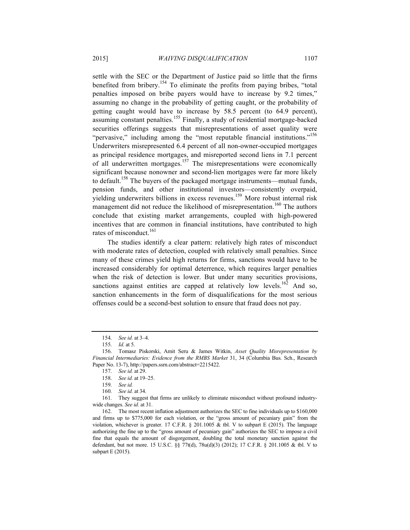settle with the SEC or the Department of Justice paid so little that the firms benefited from bribery.154 To eliminate the profits from paying bribes, "total penalties imposed on bribe payers would have to increase by 9.2 times," assuming no change in the probability of getting caught, or the probability of getting caught would have to increase by 58.5 percent (to 64.9 percent), assuming constant penalties.<sup>155</sup> Finally, a study of residential mortgage-backed securities offerings suggests that misrepresentations of asset quality were "pervasive," including among the "most reputable financial institutions."<sup>156</sup> Underwriters misrepresented 6.4 percent of all non-owner-occupied mortgages as principal residence mortgages, and misreported second liens in 7.1 percent of all underwritten mortgages.<sup>157</sup> The misrepresentations were economically significant because nonowner and second-lien mortgages were far more likely to default.<sup>158</sup> The buyers of the packaged mortgage instruments—mutual funds, pension funds, and other institutional investors—consistently overpaid, yielding underwriters billions in excess revenues.<sup>159</sup> More robust internal risk management did not reduce the likelihood of misrepresentation.<sup>160</sup> The authors conclude that existing market arrangements, coupled with high-powered incentives that are common in financial institutions, have contributed to high rates of misconduct.<sup>161</sup>

The studies identify a clear pattern: relatively high rates of misconduct with moderate rates of detection, coupled with relatively small penalties. Since many of these crimes yield high returns for firms, sanctions would have to be increased considerably for optimal deterrence, which requires larger penalties when the risk of detection is lower. But under many securities provisions, sanctions against entities are capped at relatively low levels.<sup>162</sup> And so, sanction enhancements in the form of disqualifications for the most serious offenses could be a second-best solution to ensure that fraud does not pay.

<sup>154.</sup> *See id.* at 3–4.

<sup>155.</sup> *Id.* at 5.

<sup>156.</sup> Tomasz Piskorski, Amit Seru & James Witkin, *Asset Quality Misrepresentation by Financial Intermediaries: Evidence from the RMBS Market* 31, 34 (Columbia Bus. Sch., Research Paper No. 13-7), http://papers.ssrn.com/abstract=2215422.

<sup>157.</sup> *See id.* at 29.

<sup>158.</sup> *See id.* at 19–25.

<sup>159.</sup> *See id.*

<sup>160.</sup> *See id.* at 34.

<sup>161.</sup> They suggest that firms are unlikely to eliminate misconduct without profound industrywide changes. *See id.* at 31.

<sup>162.</sup> The most recent inflation adjustment authorizes the SEC to fine individuals up to \$160,000 and firms up to \$775,000 for each violation, or the "gross amount of pecuniary gain" from the violation, whichever is greater. 17 C.F.R. § 201.1005 & tbl. V to subpart E (2015). The language authorizing the fine up to the "gross amount of pecuniary gain" authorizes the SEC to impose a civil fine that equals the amount of disgorgement, doubling the total monetary sanction against the defendant, but not more. 15 U.S.C. §§ 77t(d), 78u(d)(3) (2012); 17 C.F.R. § 201.1005 & tbl. V to subpart E (2015).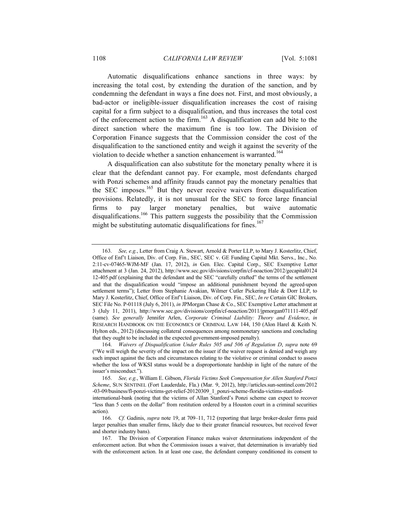Automatic disqualifications enhance sanctions in three ways: by increasing the total cost, by extending the duration of the sanction, and by condemning the defendant in ways a fine does not. First, and most obviously, a bad-actor or ineligible-issuer disqualification increases the cost of raising capital for a firm subject to a disqualification, and thus increases the total cost of the enforcement action to the firm.<sup>163</sup> A disqualification can add bite to the direct sanction where the maximum fine is too low. The Division of Corporation Finance suggests that the Commission consider the cost of the disqualification to the sanctioned entity and weigh it against the severity of the violation to decide whether a sanction enhancement is warranted.<sup>164</sup>

A disqualification can also substitute for the monetary penalty where it is clear that the defendant cannot pay. For example, most defendants charged with Ponzi schemes and affinity frauds cannot pay the monetary penalties that the SEC imposes.<sup>165</sup> But they never receive waivers from disqualification provisions. Relatedly, it is not unusual for the SEC to force large financial firms to pay larger monetary penalties, but waive automatic disqualifications.<sup>166</sup> This pattern suggests the possibility that the Commission might be substituting automatic disqualifications for fines.<sup>167</sup>

<sup>163.</sup> *See, e.g.*, Letter from Craig A. Stewart, Arnold & Porter LLP, to Mary J. Kosterlitz, Chief, Office of Enf't Liaison, Div. of Corp. Fin., SEC, SEC v. GE Funding Capital Mkt. Servs., Inc., No. 2:11-cv-07465-WJM-MF (Jan. 17, 2012), *in* Gen. Elec. Capital Corp., SEC Exemptive Letter attachment at 3 (Jan. 24, 2012), http://www.sec.gov/divisions/corpfin/cf-noaction/2012/gecapital0124 12-405.pdf (explaining that the defendant and the SEC "carefully crafted" the terms of the settlement and that the disqualification would "impose an additional punishment beyond the agreed-upon settlement terms"); Letter from Stephanie Avakian, Wilmer Cutler Pickering Hale & Dorr LLP, to Mary J. Kosterlitz, Chief, Office of Enf't Liaison, Div. of Corp. Fin., SEC, *In re* Certain GIC Brokers, SEC File No. P-01118 (July 6, 2011), *in* JPMorgan Chase & Co., SEC Exemptive Letter attachment at 3 (July 11, 2011), http://www.sec.gov/divisions/corpfin/cf-noaction/2011/jpmorgan071111-405.pdf (same). *See generally* Jennifer Arlen, *Corporate Criminal Liability: Theory and Evidence*, *in* RESEARCH HANDBOOK ON THE ECONOMICS OF CRIMINAL LAW 144, 150 (Alon Harel & Keith N. Hylton eds., 2012) (discussing collateral consequences among nonmonetary sanctions and concluding that they ought to be included in the expected government-imposed penalty).

<sup>164.</sup> *Waivers of Disqualification Under Rules 505 and 506 of Regulation D*, *supra* note 69 ("We will weigh the severity of the impact on the issuer if the waiver request is denied and weigh any such impact against the facts and circumstances relating to the violative or criminal conduct to assess whether the loss of WKSI status would be a disproportionate hardship in light of the nature of the issuer's misconduct.").

<sup>165.</sup> *See, e.g.*, William E. Gibson, *Florida Victims Seek Compensation for Allen Stanford Ponzi Scheme*, SUN SENTINEL (Fort Lauderdale, Fla.) (Mar. 9, 2012), http://articles.sun-sentinel.com/2012 -03-09/business/fl-ponzi-victims-get-relief-20120309\_1\_ponzi-scheme-florida-victims-stanford-

international-bank (noting that the victims of Allan Stanford's Ponzi scheme can expect to recover "less than 5 cents on the dollar" from restitution ordered by a Houston court in a criminal securities action).

<sup>166.</sup> *Cf.* Gadinis, *supra* note 19, at 709–11, 712 (reporting that large broker-dealer firms paid larger penalties than smaller firms, likely due to their greater financial resources, but received fewer and shorter industry bans).

<sup>167.</sup> The Division of Corporation Finance makes waiver determinations independent of the enforcement action. But when the Commission issues a waiver, that determination is invariably tied with the enforcement action. In at least one case, the defendant company conditioned its consent to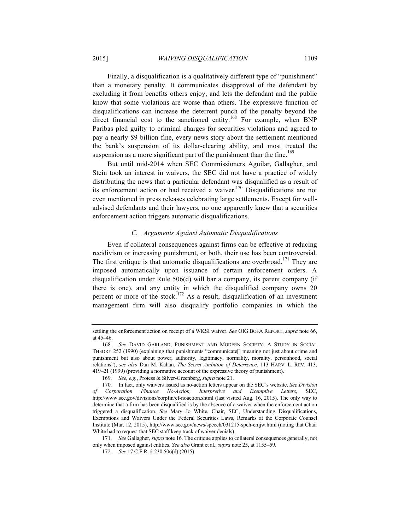Finally, a disqualification is a qualitatively different type of "punishment" than a monetary penalty. It communicates disapproval of the defendant by excluding it from benefits others enjoy, and lets the defendant and the public know that some violations are worse than others. The expressive function of disqualifications can increase the deterrent punch of the penalty beyond the direct financial cost to the sanctioned entity.<sup>168</sup> For example, when BNP Paribas pled guilty to criminal charges for securities violations and agreed to pay a nearly \$9 billion fine, every news story about the settlement mentioned the bank's suspension of its dollar-clearing ability, and most treated the suspension as a more significant part of the punishment than the fine.<sup>169</sup>

But until mid-2014 when SEC Commissioners Aguilar, Gallagher, and Stein took an interest in waivers, the SEC did not have a practice of widely distributing the news that a particular defendant was disqualified as a result of its enforcement action or had received a waiver.<sup>170</sup> Disqualifications are not even mentioned in press releases celebrating large settlements. Except for welladvised defendants and their lawyers, no one apparently knew that a securities enforcement action triggers automatic disqualifications.

## *C. Arguments Against Automatic Disqualifications*

Even if collateral consequences against firms can be effective at reducing recidivism or increasing punishment, or both, their use has been controversial. The first critique is that automatic disqualifications are overbroad.<sup>171</sup> They are imposed automatically upon issuance of certain enforcement orders. A disqualification under Rule 506(d) will bar a company, its parent company (if there is one), and any entity in which the disqualified company owns 20 percent or more of the stock.<sup>172</sup> As a result, disqualification of an investment management firm will also disqualify portfolio companies in which the

settling the enforcement action on receipt of a WKSI waiver. *See* OIG BOFA REPORT, *supra* note 66, at 45–46.

<sup>168.</sup> *See* DAVID GARLAND, PUNISHMENT AND MODERN SOCIETY: A STUDY IN SOCIAL THEORY 252 (1990) (explaining that punishments "communicate[] meaning not just about crime and punishment but also about power, authority, legitimacy, normality, morality, personhood, social relations"); *see also* Dan M. Kahan, *The Secret Ambition of Deterrence*, 113 HARV. L. REV. 413, 419–21 (1999) (providing a normative account of the expressive theory of punishment).

<sup>169.</sup> *See, e.g.*, Protess & Silver-Greenberg, *supra* note 21.

<sup>170.</sup> In fact, only waivers issued as no-action letters appear on the SEC's website. *See Division of Corporation Finance No-Action, Interpretive and Exemptive Letters*, SEC, http://www.sec.gov/divisions/corpfin/cf-noaction.shtml (last visited Aug. 16, 2015). The only way to determine that a firm has been disqualified is by the absence of a waiver when the enforcement action triggered a disqualification. *See* Mary Jo White, Chair, SEC, Understanding Disqualifications, Exemptions and Waivers Under the Federal Securities Laws, Remarks at the Corporate Counsel Institute (Mar. 12, 2015), http://www.sec.gov/news/speech/031215-spch-cmjw.html (noting that Chair White had to request that SEC staff keep track of waiver denials).

<sup>171.</sup> *See* Gallagher, *supra* note 16. The critique applies to collateral consequences generally, not only when imposed against entities. *See also* Grant et al., *supra* note 25, at 1155–59.

<sup>172</sup>*. See* 17 C.F.R. § 230.506(d) (2015).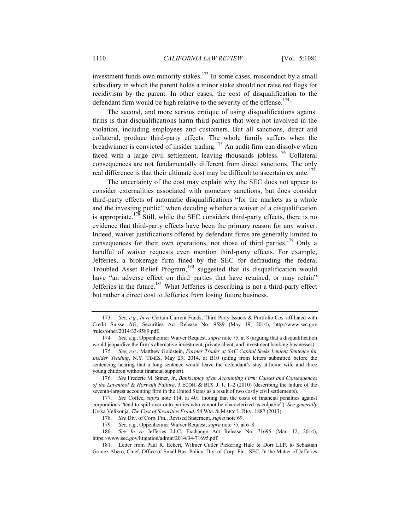investment funds own minority stakes.<sup>173</sup> In some cases, misconduct by a small subsidiary in which the parent holds a minor stake should not raise red flags for recidivism by the parent. In other cases, the cost of disqualification to the defendant firm would be high relative to the severity of the offense.<sup>174</sup>

The second, and more serious critique of using disqualifications against firms is that disqualifications harm third parties that were not involved in the violation, including employees and customers. But all sanctions, direct and collateral, produce third-party effects. The whole family suffers when the breadwinner is convicted of insider trading.<sup>175</sup> An audit firm can dissolve when faced with a large civil settlement, leaving thousands jobless.<sup>176</sup> Collateral consequences are not fundamentally different from direct sanctions. The only real difference is that their ultimate cost may be difficult to ascertain ex ante.<sup>177</sup>

The uncertainty of the cost may explain why the SEC does not appear to consider externalities associated with monetary sanctions, but does consider third-party effects of automatic disqualifications "for the markets as a whole and the investing public" when deciding whether a waiver of a disqualification is appropriate.<sup>178</sup> Still, while the SEC considers third-party effects, there is no evidence that third-party effects have been the primary reason for any waiver. Indeed, waiver justifications offered by defendant firms are generally limited to consequences for their own operations, not those of third parties.<sup>179</sup> Only a handful of waiver requests even mention third-party effects. For example, Jefferies, a brokerage firm fined by the SEC for defrauding the federal Troubled Asset Relief Program,<sup>180</sup> suggested that its disqualification would have "an adverse effect on third parties that have retained, or may retain" Jefferies in the future.<sup>181</sup> What Jefferies is describing is not a third-party effect but rather a direct cost to Jefferies from losing future business.

<sup>173.</sup> *See, e.g.*, *In re* Certain Current Funds, Third Party Issuers & Portfolio Cos. affiliated with Credit Suisse AG, Securities Act Release No. 9589 (May 19, 2014), http://www.sec.gov /rules/other/2014/33-9589.pdf.

<sup>174</sup>*. See, e.g.*, Oppenheimer Waiver Request, *supra* note 75, at 8 (arguing that a disqualification would jeopardize the firm's alternative investment, private client, and investment banking businesses).

<sup>175.</sup> *See, e.g.*, Matthew Goldstein, *Former Trader at SAC Capital Seeks Lenient Sentence for Insider Trading*, N.Y. TIMES, May 29, 2014, at B10 (citing from letters submitted before the sentencing hearing that a long sentence would leave the defendant's stay-at-home wife and three young children without financial support).

<sup>176.</sup> *See* Frederic M. Stiner, Jr., *Bankruptcy of an Accounting Firm: Causes and Consequences of the Laventhol & Horwath Failure*, 3 ECON. & BUS. J. 1, 1–2 (2010) (describing the failure of the seventh-largest accounting firm in the United States as a result of two costly civil settlements).

<sup>177.</sup> *See* Coffee, *supra* note 114, at 401 (noting that the costs of financial penalties against corporations "tend to spill over onto parties who cannot be characterized as culpable"). *See generally*  Urska Velikonja, *The Cost of Securities Fraud*, 54 WM. & MARY L. REV. 1887 (2013).

<sup>178.</sup> *See* Div. of Corp. Fin., Revised Statement, *supra* note 69.

<sup>179.</sup> *See, e.g.*, Oppenheimer Waiver Request, *supra* note 75, at 6–8.

<sup>180.</sup> *See In re* Jefferies LLC, Exchange Act Release No. 71695 (Mar. 12, 2014), https://www.sec.gov/litigation/admin/2014/34-71695.pdf.

<sup>181.</sup> Letter from Paul R. Eckert, Wilmer Cutler Pickering Hale & Dorr LLP, to Sebastian Gomez Abero, Chief, Office of Small Bus. Policy, Div. of Corp. Fin., SEC, In the Matter of Jefferies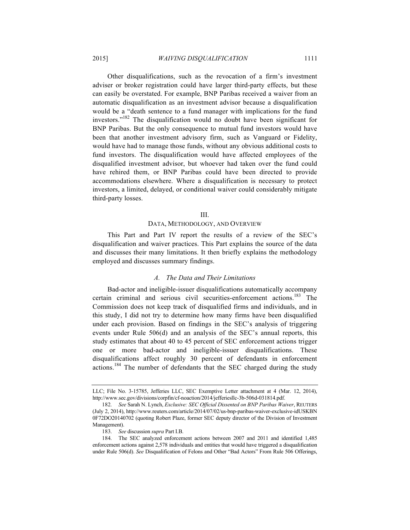Other disqualifications, such as the revocation of a firm's investment adviser or broker registration could have larger third-party effects, but these can easily be overstated. For example, BNP Paribas received a waiver from an automatic disqualification as an investment advisor because a disqualification would be a "death sentence to a fund manager with implications for the fund investors."<sup>182</sup> The disqualification would no doubt have been significant for BNP Paribas. But the only consequence to mutual fund investors would have been that another investment advisory firm, such as Vanguard or Fidelity, would have had to manage those funds, without any obvious additional costs to fund investors. The disqualification would have affected employees of the disqualified investment advisor, but whoever had taken over the fund could have rehired them, or BNP Paribas could have been directed to provide accommodations elsewhere. Where a disqualification is necessary to protect investors, a limited, delayed, or conditional waiver could considerably mitigate third-party losses.

### III.

## DATA, METHODOLOGY, AND OVERVIEW

This Part and Part IV report the results of a review of the SEC's disqualification and waiver practices. This Part explains the source of the data and discusses their many limitations. It then briefly explains the methodology employed and discusses summary findings.

## *A. The Data and Their Limitations*

Bad-actor and ineligible-issuer disqualifications automatically accompany certain criminal and serious civil securities-enforcement actions.<sup>183</sup> The Commission does not keep track of disqualified firms and individuals, and in this study, I did not try to determine how many firms have been disqualified under each provision. Based on findings in the SEC's analysis of triggering events under Rule 506(d) and an analysis of the SEC's annual reports, this study estimates that about 40 to 45 percent of SEC enforcement actions trigger one or more bad-actor and ineligible-issuer disqualifications. These disqualifications affect roughly 30 percent of defendants in enforcement actions.<sup>184</sup> The number of defendants that the SEC charged during the study

LLC; File No. 3-15785, Jefferies LLC, SEC Exemptive Letter attachment at 4 (Mar. 12, 2014), http://www.sec.gov/divisions/corpfin/cf-noaction/2014/jefferiesllc-3b-506d-031814.pdf.

<sup>182.</sup> *See* Sarah N. Lynch, *Exclusive: SEC Official Dissented on BNP Paribas Waiver*, REUTERS (July 2, 2014), http://www.reuters.com/article/2014/07/02/us-bnp-paribas-waiver-exclusive-idUSKBN 0F72DO20140702 (quoting Robert Plaze, former SEC deputy director of the Division of Investment Management).

<sup>183.</sup> *See* discussion *supra* Part I.B.

<sup>184.</sup> The SEC analyzed enforcement actions between 2007 and 2011 and identified 1,485 enforcement actions against 2,578 individuals and entities that would have triggered a disqualification under Rule 506(d). *See* Disqualification of Felons and Other "Bad Actors" From Rule 506 Offerings,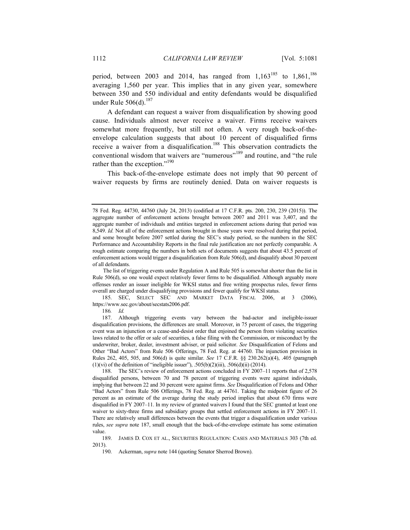period, between 2003 and 2014, has ranged from  $1,163^{185}$  to  $1,861^{186}$ averaging 1,560 per year. This implies that in any given year, somewhere between 350 and 550 individual and entity defendants would be disqualified under Rule  $506(d)$ .<sup>187</sup>

A defendant can request a waiver from disqualification by showing good cause. Individuals almost never receive a waiver. Firms receive waivers somewhat more frequently, but still not often. A very rough back-of-theenvelope calculation suggests that about 10 percent of disqualified firms receive a waiver from a disqualification.<sup>188</sup> This observation contradicts the conventional wisdom that waivers are "numerous"<sup>189</sup> and routine, and "the rule rather than the exception."<sup>190</sup>

This back-of-the-envelope estimate does not imply that 90 percent of waiver requests by firms are routinely denied. Data on waiver requests is

185. SEC, SELECT SEC AND MARKET DATA FISCAL 2006, at 3 (2006), https://www.sec.gov/about/secstats2006.pdf.

186*. Id.*

<sup>78</sup> Fed. Reg. 44730, 44760 (July 24, 2013) (codified at 17 C.F.R. pts. 200, 230, 239 (2015)). The aggregate number of enforcement actions brought between 2007 and 2011 was 3,407, and the aggregate number of individuals and entities targeted in enforcement actions during that period was 8,549. *Id.* Not all of the enforcement actions brought in those years were resolved during that period, and some brought before 2007 settled during the SEC's study period, so the numbers in the SEC Performance and Accountability Reports in the final rule justification are not perfectly comparable. A rough estimate comparing the numbers in both sets of documents suggests that about 43.5 percent of enforcement actions would trigger a disqualification from Rule 506(d), and disqualify about 30 percent of all defendants.

The list of triggering events under Regulation A and Rule 505 is somewhat shorter than the list in Rule 506(d), so one would expect relatively fewer firms to be disqualified. Although arguably more offenses render an issuer ineligible for WKSI status and free writing prospectus rules, fewer firms overall are charged under disqualifying provisions and fewer qualify for WKSI status.

<sup>187.</sup> Although triggering events vary between the bad-actor and ineligible-issuer disqualification provisions, the differences are small. Moreover, in 75 percent of cases, the triggering event was an injunction or a cease-and-desist order that enjoined the person from violating securities laws related to the offer or sale of securities, a false filing with the Commission, or misconduct by the underwriter, broker, dealer, investment adviser, or paid solicitor. *See* Disqualification of Felons and Other "Bad Actors" from Rule 506 Offerings, 78 Fed. Reg. at 44760. The injunction provision in Rules 262, 405, 505, and 506(d) is quite similar. *See* 17 C.F.R. §§ 230.262(a)(4), .405 (paragraph (1)(vi) of the definition of "ineligible issuer"), .505(b)(2)(iii), .506(d)(ii) (2014).

<sup>188.</sup> The SEC's review of enforcement actions concluded in FY 2007–11 reports that of 2,578 disqualified persons, between 70 and 78 percent of triggering events were against individuals, implying that between 22 and 30 percent were against firms. *See* Disqualification of Felons and Other "Bad Actors" from Rule 506 Offerings, 78 Fed. Reg. at 44761. Taking the midpoint figure of 26 percent as an estimate of the average during the study period implies that about 670 firms were disqualified in FY 2007–11. In my review of granted waivers I found that the SEC granted at least one waiver to sixty-three firms and subsidiary groups that settled enforcement actions in FY 2007–11. There are relatively small differences between the events that trigger a disqualification under various rules, *see supra* note 187, small enough that the back-of-the-envelope estimate has some estimation value.

<sup>189.</sup> JAMES D. COX ET AL., SECURITIES REGULATION: CASES AND MATERIALS 303 (7th ed. 2013).

<sup>190.</sup> Ackerman, *supra* note 144 (quoting Senator Sherrod Brown).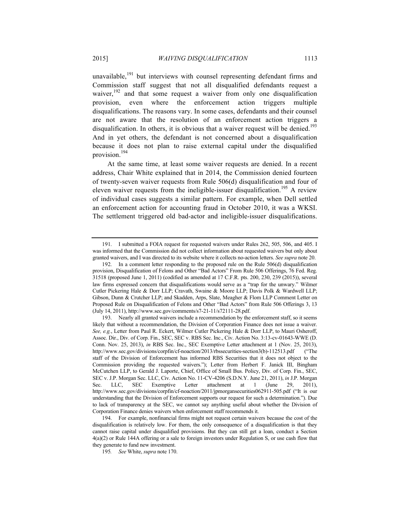unavailable, $191$  but interviews with counsel representing defendant firms and Commission staff suggest that not all disqualified defendants request a waiver,<sup>192</sup> and that some request a waiver from only one disqualification provision, even where the enforcement action triggers multiple disqualifications. The reasons vary. In some cases, defendants and their counsel are not aware that the resolution of an enforcement action triggers a disqualification. In others, it is obvious that a waiver request will be denied.<sup>193</sup> And in yet others, the defendant is not concerned about a disqualification because it does not plan to raise external capital under the disqualified provision.194

At the same time, at least some waiver requests are denied. In a recent address, Chair White explained that in 2014, the Commission denied fourteen of twenty-seven waiver requests from Rule 506(d) disqualification and four of eleven waiver requests from the ineligible-issuer disqualification.<sup>195</sup> A review of individual cases suggests a similar pattern. For example, when Dell settled an enforcement action for accounting fraud in October 2010, it was a WKSI. The settlement triggered old bad-actor and ineligible-issuer disqualifications.

195*. See* White, *supra* note 170.

<sup>191.</sup> I submitted a FOIA request for requested waivers under Rules 262, 505, 506, and 405. I was informed that the Commission did not collect information about requested waivers but only about granted waivers, and I was directed to its website where it collects no-action letters. *See supra* note 20.

<sup>192.</sup> In a comment letter responding to the proposed rule on the Rule 506(d) disqualification provision, Disqualification of Felons and Other "Bad Actors" From Rule 506 Offerings, 76 Fed. Reg. 31518 (proposed June 1, 2011) (codified as amended at 17 C.F.R. pts. 200, 230, 239 (2015)), several law firms expressed concern that disqualifications would serve as a "trap for the unwary." Wilmer Cutler Pickering Hale & Dorr LLP; Cravath, Swaine & Moore LLP; Davis Polk & Wardwell LLP; Gibson, Dunn & Crutcher LLP; and Skadden, Arps, Slate, Meagher & Flom LLP Comment Letter on Proposed Rule on Disqualification of Felons and Other "Bad Actors" from Rule 506 Offerings 3, 13 (July 14, 2011), http://www.sec.gov/comments/s7-21-11/s72111-28.pdf.

<sup>193.</sup> Nearly all granted waivers include a recommendation by the enforcement staff, so it seems likely that without a recommendation, the Division of Corporation Finance does not issue a waiver. *See, e.g.*, Letter from Paul R. Eckert, Wilmer Cutler Pickering Hale & Dorr LLP, to Mauri Osheroff, Assoc. Dir., Div. of Corp. Fin., SEC, SEC v. RBS Sec. Inc., Civ. Action No. 3:13-cv-01643-WWE (D. Conn. Nov. 25, 2013), *in* RBS Sec. Inc., SEC Exemptive Letter attachment at 1 (Nov. 25, 2013), http://www.sec.gov/divisions/corpfin/cf-noaction/2013/rbssecurities-section3(b)-112513.pdf ("The staff of the Division of Enforcement has informed RBS Securities that it does not object to the Commission providing the requested waivers."); Letter from Herbert F. Janick III, Bingham McCutchen LLP, to Gerald J. Laporte, Chief, Office of Small Bus. Policy, Div. of Corp. Fin., SEC, SEC v. J.P. Morgan Sec. LLC, Civ. Action No. 11-CV-4206 (S.D.N.Y. June 21, 2011), *in* J.P. Morgan Sec. LLC, SEC Exemptive Letter attachment at 1 (June 29, 2011), http://www.sec.gov/divisions/corpfin/cf-noaction/2011/jpmorgansecurities062911-505.pdf ("It is our understanding that the Division of Enforcement supports our request for such a determination."). Due to lack of transparency at the SEC, we cannot say anything useful about whether the Division of Corporation Finance denies waivers when enforcement staff recommends it.

<sup>194.</sup> For example, nonfinancial firms might not request certain waivers because the cost of the disqualification is relatively low. For them, the only consequence of a disqualification is that they cannot raise capital under disqualified provisions. But they can still get a loan, conduct a Section 4(a)(2) or Rule 144A offering or a sale to foreign investors under Regulation S, or use cash flow that they generate to fund new investment.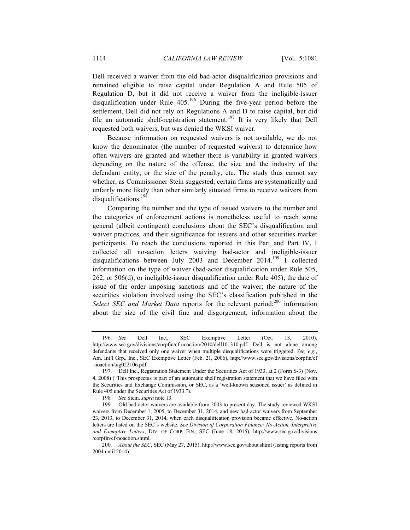Dell received a waiver from the old bad-actor disqualification provisions and remained eligible to raise capital under Regulation A and Rule 505 of Regulation D, but it did not receive a waiver from the ineligible-issuer disqualification under Rule  $405^{196}$  During the five-year period before the settlement, Dell did not rely on Regulations A and D to raise capital, but did file an automatic shelf-registration statement.<sup>197</sup> It is very likely that Dell requested both waivers, but was denied the WKSI waiver.

Because information on requested waivers is not available, we do not know the denominator (the number of requested waivers) to determine how often waivers are granted and whether there is variability in granted waivers depending on the nature of the offense, the size and the industry of the defendant entity, or the size of the penalty, etc. The study thus cannot say whether, as Commissioner Stein suggested, certain firms are systematically and unfairly more likely than other similarly situated firms to receive waivers from disqualifications.<sup>198</sup>

Comparing the number and the type of issued waivers to the number and the categories of enforcement actions is nonetheless useful to reach some general (albeit contingent) conclusions about the SEC's disqualification and waiver practices, and their significance for issuers and other securities market participants. To reach the conclusions reported in this Part and Part IV, I collected all no-action letters waiving bad-actor and ineligible-issuer disqualifications between July 2003 and December 2014.<sup>199</sup> I collected information on the type of waiver (bad-actor disqualification under Rule 505, 262, or 506(d); or ineligible-issuer disqualification under Rule 405); the date of issue of the order imposing sanctions and of the waiver; the nature of the securities violation involved using the SEC's classification published in the *Select SEC and Market Data* reports for the relevant period;<sup>200</sup> information about the size of the civil fine and disgorgement; information about the

<sup>196.</sup> *See* Dell Inc., SEC Exemptive Letter (Oct. 13, 2010), http://www.sec.gov/divisions/corpfin/cf-noaction/2010/dell101310.pdf. Dell is not alone among defendants that received only one waiver when multiple disqualifications were triggered. *See, e.g.*, Am. Int'l Grp., Inc., SEC Exemptive Letter (Feb. 21, 2006), http://www.sec.gov/divisions/corpfin/cf -noaction/aig022106.pdf.

<sup>197.</sup> Dell Inc., Registration Statement Under the Securities Act of 1933, at 2 (Form S-3) (Nov. 4, 2008) ("This prospectus is part of an automatic shelf registration statement that we have filed with the Securities and Exchange Commission, or SEC, as a 'well-known seasoned issuer' as defined in Rule 405 under the Securities Act of 1933.").

<sup>198</sup>*. See* Stein, *supra* note 13.

<sup>199.</sup> Old bad-actor waivers are available from 2003 to present day. The study reviewed WKSI waivers from December 1, 2005, to December 31, 2014, and new bad-actor waivers from September 23, 2013, to December 31, 2014, when each disqualification provision became effective. No-action letters are listed on the SEC's website. *See Division of Corporation Finance: No-Action, Interpretive and Exemptive Letters*, DIV. OF CORP. FIN., SEC (June 18, 2015), http://www.sec.gov/divisions /corpfin/cf-noaction.shtml.

<sup>200.</sup> *About the SEC*, SEC (May 27, 2015), http://www.sec.gov/about.shtml (listing reports from 2004 until 2014).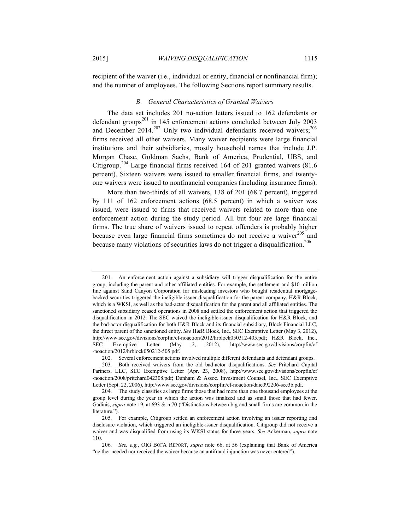recipient of the waiver (i.e., individual or entity, financial or nonfinancial firm); and the number of employees. The following Sections report summary results.

### *B. General Characteristics of Granted Waivers*

The data set includes 201 no-action letters issued to 162 defendants or defendant groups<sup>201</sup> in 145 enforcement actions concluded between July 2003 and December  $2014.<sup>202</sup>$  Only two individual defendants received waivers;<sup>203</sup> firms received all other waivers. Many waiver recipients were large financial institutions and their subsidiaries, mostly household names that include J.P. Morgan Chase, Goldman Sachs, Bank of America, Prudential, UBS, and Citigroup.<sup>204</sup> Large financial firms received 164 of 201 granted waivers (81.6 percent). Sixteen waivers were issued to smaller financial firms, and twentyone waivers were issued to nonfinancial companies (including insurance firms).

More than two-thirds of all waivers, 138 of 201 (68.7 percent), triggered by 111 of 162 enforcement actions (68.5 percent) in which a waiver was issued, were issued to firms that received waivers related to more than one enforcement action during the study period. All but four are large financial firms. The true share of waivers issued to repeat offenders is probably higher because even large financial firms sometimes do not receive a waiver $^{205}$  and because many violations of securities laws do not trigger a disqualification.<sup>206</sup>

<sup>201.</sup> An enforcement action against a subsidiary will trigger disqualification for the entire group, including the parent and other affiliated entities. For example, the settlement and \$10 million fine against Sand Canyon Corporation for misleading investors who bought residential mortgagebacked securities triggered the ineligible-issuer disqualification for the parent company, H&R Block, which is a WKSI, as well as the bad-actor disqualification for the parent and all affiliated entities. The sanctioned subsidiary ceased operations in 2008 and settled the enforcement action that triggered the disqualification in 2012. The SEC waived the ineligible-issuer disqualification for H&R Block, and the bad-actor disqualification for both H&R Block and its financial subsidiary, Block Financial LLC, the direct parent of the sanctioned entity. *See* H&R Block, Inc., SEC Exemptive Letter (May 3, 2012), http://www.sec.gov/divisions/corpfin/cf-noaction/2012/hrblock050312-405.pdf; H&R Block, Inc., SEC Exemptive Letter (May 2, 2012), http://www.sec.gov/divisions/corpfin/cf -noaction/2012/hrblock050212-505.pdf.

<sup>202.</sup> Several enforcement actions involved multiple different defendants and defendant groups.

<sup>203.</sup> Both received waivers from the old bad-actor disqualifications. *See* Pritchard Capital Partners, LLC, SEC Exemptive Letter (Apr. 23, 2008), http://www.sec.gov/divisions/corpfin/cf -noaction/2008/pritchard042308.pdf; Dunham & Assoc. Investment Counsel, Inc., SEC Exemptive Letter (Sept. 22, 2006), http://www.sec.gov/divisions/corpfin/cf-noaction/daic092206-sec3b.pdf.

<sup>204.</sup> The study classifies as large firms those that had more than one thousand employees at the group level during the year in which the action was finalized and as small those that had fewer. Gadinis, *supra* note 19, at 693 & n.70 ("Distinctions between big and small firms are common in the literature.").

<sup>205.</sup> For example, Citigroup settled an enforcement action involving an issuer reporting and disclosure violation, which triggered an ineligible-issuer disqualification. Citigroup did not receive a waiver and was disqualified from using its WKSI status for three years. *See* Ackerman, *supra* note 110.

<sup>206.</sup> *See, e.g.*, OIG BOFA REPORT, *supra* note 66, at 56 (explaining that Bank of America "neither needed nor received the waiver because an antifraud injunction was never entered").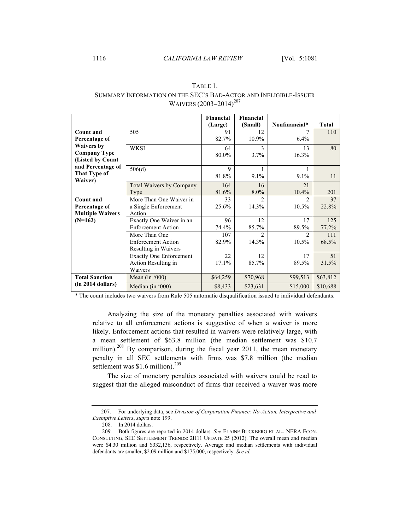## 1116 *CALIFORNIA LAW REVIEW* [Vol. 5:1081

|                         |                                 | Financial   | Financial      |                |              |
|-------------------------|---------------------------------|-------------|----------------|----------------|--------------|
|                         |                                 | (Large)     | (Small)        | Nonfinancial*  | <b>Total</b> |
| Count and               | 505                             | 91          | 12             |                | 110          |
| Percentage of           |                                 | 82.7%       | 10.9%          | 6.4%           |              |
| <b>Waivers by</b>       | <b>WKSI</b>                     | 64          | 3              | 13             | 80           |
| <b>Company Type</b>     |                                 | 80.0%       | 3.7%           | 16.3%          |              |
| (Listed by Count        |                                 |             |                |                |              |
| and Percentage of       | 506(d)                          | $\mathbf Q$ |                |                |              |
| That Type of            |                                 | 81.8%       | 9.1%           | 9.1%           | 11           |
| Waiver)                 | <b>Total Waivers by Company</b> | 164         | 16             | 21             |              |
|                         | Type                            | 81.6%       | $8.0\%$        | 10.4%          | 201          |
| <b>Count and</b>        | More Than One Waiver in         | 33          | $\mathfrak{D}$ | $\mathfrak{D}$ | 37           |
| Percentage of           | a Single Enforcement            | 25.6%       | 14.3%          | 10.5%          | 22.8%        |
| <b>Multiple Waivers</b> | Action                          |             |                |                |              |
| $(N=162)$               | Exactly One Waiver in an        | 96          | 12             | 17             | 125          |
|                         | <b>Enforcement Action</b>       | 74.4%       | 85.7%          | 89.5%          | 77.2%        |
|                         | More Than One                   | 107         | $\mathfrak{D}$ | $\mathfrak{D}$ | 111          |
|                         | <b>Enforcement Action</b>       | 82.9%       | 14.3%          | 10.5%          | 68.5%        |
|                         | Resulting in Waivers            |             |                |                |              |
|                         | <b>Exactly One Enforcement</b>  | 22          | 12             | 17             | 51           |
|                         | Action Resulting in             | 17.1%       | 85.7%          | 89.5%          | 31.5%        |
|                         | Waivers                         |             |                |                |              |
| <b>Total Sanction</b>   | Mean (in $000$ )                | \$64,259    | \$70,968       | \$99,513       | \$63,812     |
| (in 2014 dollars)       | Median (in $000$ )              | \$8,433     | \$23,631       | \$15,000       | \$10,688     |

## TABLE 1. SUMMARY INFORMATION ON THE SEC'S BAD-ACTOR AND INELIGIBLE-ISSUER WAIVERS (2003–2014)<sup>207</sup>

\* The count includes two waivers from Rule 505 automatic disqualification issued to individual defendants.

Analyzing the size of the monetary penalties associated with waivers relative to all enforcement actions is suggestive of when a waiver is more likely. Enforcement actions that resulted in waivers were relatively large, with a mean settlement of \$63.8 million (the median settlement was \$10.7 million).<sup>208</sup> By comparison, during the fiscal year 2011, the mean monetary penalty in all SEC settlements with firms was \$7.8 million (the median settlement was \$1.6 million).<sup>209</sup>

The size of monetary penalties associated with waivers could be read to suggest that the alleged misconduct of firms that received a waiver was more

 <sup>207.</sup> For underlying data, see *Division of Corporation Finance: No-Action, Interpretive and Exemptive Letters*, *supra* note 199.

<sup>208.</sup> In 2014 dollars.

<sup>209.</sup> Both figures are reported in 2014 dollars. *See* ELAINE BUCKBERG ET AL., NERA ECON. CONSULTING, SEC SETTLEMENT TRENDS: 2H11 UPDATE 25 (2012). The overall mean and median were \$4.30 million and \$332,136, respectively. Average and median settlements with individual defendants are smaller, \$2.09 million and \$175,000, respectively. *See id.*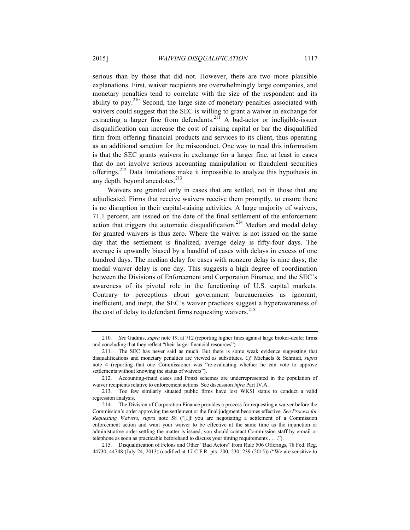serious than by those that did not. However, there are two more plausible explanations. First, waiver recipients are overwhelmingly large companies, and monetary penalties tend to correlate with the size of the respondent and its ability to pay.<sup>210</sup> Second, the large size of monetary penalties associated with waivers could suggest that the SEC is willing to grant a waiver in exchange for extracting a larger fine from defendants.<sup>211</sup> A bad-actor or ineligible-issuer disqualification can increase the cost of raising capital or bar the disqualified firm from offering financial products and services to its client, thus operating as an additional sanction for the misconduct. One way to read this information is that the SEC grants waivers in exchange for a larger fine, at least in cases that do not involve serious accounting manipulation or fraudulent securities offerings.<sup>212</sup> Data limitations make it impossible to analyze this hypothesis in any depth, beyond anecdotes.<sup>213</sup>

Waivers are granted only in cases that are settled, not in those that are adjudicated. Firms that receive waivers receive them promptly, to ensure there is no disruption in their capital-raising activities. A large majority of waivers, 71.1 percent, are issued on the date of the final settlement of the enforcement action that triggers the automatic disqualification.<sup>214</sup> Median and modal delay for granted waivers is thus zero. Where the waiver is not issued on the same day that the settlement is finalized, average delay is fifty-four days. The average is upwardly biased by a handful of cases with delays in excess of one hundred days. The median delay for cases with nonzero delay is nine days; the modal waiver delay is one day. This suggests a high degree of coordination between the Divisions of Enforcement and Corporation Finance, and the SEC's awareness of its pivotal role in the functioning of U.S. capital markets. Contrary to perceptions about government bureaucracies as ignorant, inefficient, and inept, the SEC's waiver practices suggest a hyperawareness of the cost of delay to defendant firms requesting waivers.<sup>215</sup>

<sup>210.</sup> *See* Gadinis, *supra* note 19, at 712 (reporting higher fines against large broker-dealer firms and concluding that they reflect "their larger financial resources").

<sup>211.</sup> The SEC has never said as much. But there is some weak evidence suggesting that disqualifications and monetary penalties are viewed as substitutes. *Cf.* Michaels & Schmidt, *supra*  note 4 (reporting that one Commissioner was "re-evaluating whether he can vote to approve settlements without knowing the status of waivers").

<sup>212.</sup> Accounting-fraud cases and Ponzi schemes are underrepresented in the population of waiver recipients relative to enforcement actions. See discussion *infra* Part IV.A.

<sup>213.</sup> Too few similarly situated public firms have lost WKSI status to conduct a valid regression analysis.

<sup>214.</sup> The Division of Corporation Finance provides a process for requesting a waiver before the Commission's order approving the settlement or the final judgment becomes effective. *See Process for Requesting Waivers*, *supra* note 58 ("[I]f you are negotiating a settlement of a Commission enforcement action and want your waiver to be effective at the same time as the injunction or administrative order settling the matter is issued, you should contact Commission staff by e-mail or telephone as soon as practicable beforehand to discuss your timing requirements . . . .").

<sup>215.</sup> Disqualification of Felons and Other "Bad Actors" from Rule 506 Offerings, 78 Fed. Reg. 44730, 44748 (July 24, 2013) (codified at 17 C.F.R. pts. 200, 230, 239 (2015)) ("We are sensitive to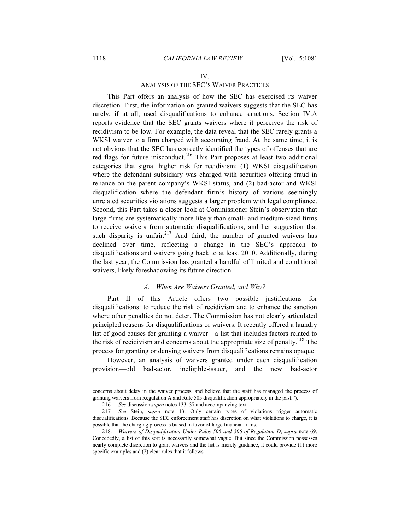#### IV.

## ANALYSIS OF THE SEC'S WAIVER PRACTICES

This Part offers an analysis of how the SEC has exercised its waiver discretion. First, the information on granted waivers suggests that the SEC has rarely, if at all, used disqualifications to enhance sanctions. Section IV.A reports evidence that the SEC grants waivers where it perceives the risk of recidivism to be low. For example, the data reveal that the SEC rarely grants a WKSI waiver to a firm charged with accounting fraud. At the same time, it is not obvious that the SEC has correctly identified the types of offenses that are red flags for future misconduct.<sup>216</sup> This Part proposes at least two additional categories that signal higher risk for recidivism: (1) WKSI disqualification where the defendant subsidiary was charged with securities offering fraud in reliance on the parent company's WKSI status, and (2) bad-actor and WKSI disqualification where the defendant firm's history of various seemingly unrelated securities violations suggests a larger problem with legal compliance. Second, this Part takes a closer look at Commissioner Stein's observation that large firms are systematically more likely than small- and medium-sized firms to receive waivers from automatic disqualifications, and her suggestion that such disparity is unfair.<sup>217</sup> And third, the number of granted waivers has declined over time, reflecting a change in the SEC's approach to disqualifications and waivers going back to at least 2010. Additionally, during the last year, the Commission has granted a handful of limited and conditional waivers, likely foreshadowing its future direction.

## *A. When Are Waivers Granted, and Why?*

Part II of this Article offers two possible justifications for disqualifications: to reduce the risk of recidivism and to enhance the sanction where other penalties do not deter. The Commission has not clearly articulated principled reasons for disqualifications or waivers. It recently offered a laundry list of good causes for granting a waiver—a list that includes factors related to the risk of recidivism and concerns about the appropriate size of penalty.<sup>218</sup> The process for granting or denying waivers from disqualifications remains opaque.

However, an analysis of waivers granted under each disqualification provision—old bad-actor, ineligible-issuer, and the new bad-actor

concerns about delay in the waiver process, and believe that the staff has managed the process of granting waivers from Regulation A and Rule 505 disqualification appropriately in the past.").

<sup>216.</sup> *See* discussion *supra* notes 133–37 and accompanying text.

<sup>217</sup>*. See* Stein, *supra* note 13. Only certain types of violations trigger automatic disqualifications. Because the SEC enforcement staff has discretion on what violations to charge, it is possible that the charging process is biased in favor of large financial firms.

<sup>218.</sup> *Waivers of Disqualification Under Rules 505 and 506 of Regulation D*, *supra* note 69. Concededly, a list of this sort is necessarily somewhat vague. But since the Commission possesses nearly complete discretion to grant waivers and the list is merely guidance, it could provide (1) more specific examples and (2) clear rules that it follows.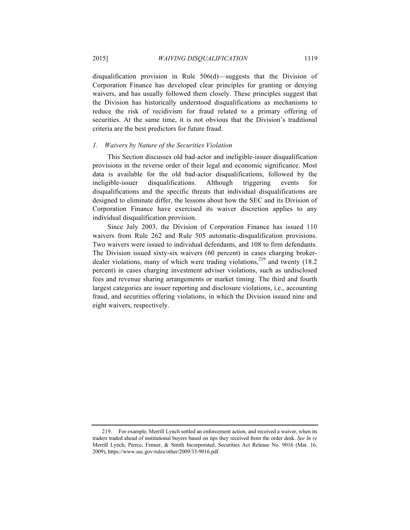disqualification provision in Rule 506(d)—suggests that the Division of Corporation Finance has developed clear principles for granting or denying waivers, and has usually followed them closely. These principles suggest that the Division has historically understood disqualifications as mechanisms to reduce the risk of recidivism for fraud related to a primary offering of securities. At the same time, it is not obvious that the Division's traditional criteria are the best predictors for future fraud.

#### *1. Waivers by Nature of the Securities Violation*

This Section discusses old bad-actor and ineligible-issuer disqualification provisions in the reverse order of their legal and economic significance. Most data is available for the old bad-actor disqualifications, followed by the ineligible-issuer disqualifications. Although triggering events for disqualifications and the specific threats that individual disqualifications are designed to eliminate differ, the lessons about how the SEC and its Division of Corporation Finance have exercised its waiver discretion applies to any individual disqualification provision.

Since July 2003, the Division of Corporation Finance has issued 110 waivers from Rule 262 and Rule 505 automatic-disqualification provisions. Two waivers were issued to individual defendants, and 108 to firm defendants. The Division issued sixty-six waivers (60 percent) in cases charging brokerdealer violations, many of which were trading violations,<sup>219</sup> and twenty (18.2) percent) in cases charging investment adviser violations, such as undisclosed fees and revenue sharing arrangements or market timing. The third and fourth largest categories are issuer reporting and disclosure violations, i.e., accounting fraud, and securities offering violations, in which the Division issued nine and eight waivers, respectively.

<sup>219.</sup> For example, Merrill Lynch settled an enforcement action, and received a waiver, when its traders traded ahead of institutional buyers based on tips they received from the order desk. *See In re*  Merrill Lynch, Pierce, Fenner, & Smith Incorporated, Securities Act Release No. 9016 (Mar. 16, 2009), https://www.sec.gov/rules/other/2009/33-9016.pdf.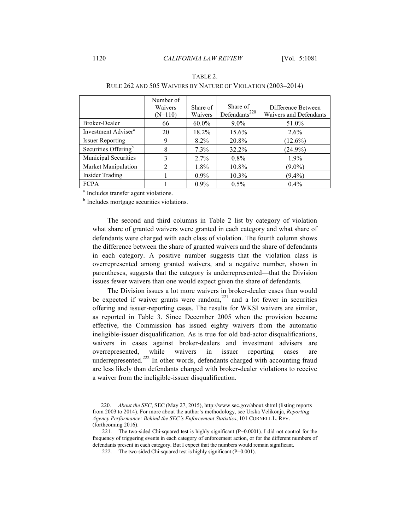|                                  | Number of<br>Waivers<br>$(N=110)$ | Share of<br>Waivers | Share of<br>Defendants <sup>220</sup> | Difference Between<br>Waivers and Defendants |
|----------------------------------|-----------------------------------|---------------------|---------------------------------------|----------------------------------------------|
| Broker-Dealer                    | 66                                | $60.0\%$            | $9.0\%$                               | 51.0%                                        |
| Investment Adviser <sup>a</sup>  | 20                                | 18.2%               | 15.6%                                 | $2.6\%$                                      |
| <b>Issuer Reporting</b>          | 9                                 | $8.2\%$             | 20.8%                                 | $(12.6\%)$                                   |
| Securities Offering <sup>b</sup> | 8                                 | 7.3%                | $32.2\%$                              | $(24.9\%)$                                   |
| Municipal Securities             | 3                                 | $2.7\%$             | $0.8\%$                               | 1.9%                                         |
| Market Manipulation              | $\overline{2}$                    | $1.8\%$             | 10.8%                                 | $(9.0\%)$                                    |
| <b>Insider Trading</b>           |                                   | $0.9\%$             | $10.3\%$                              | $(9.4\%)$                                    |
| <b>FCPA</b>                      |                                   | $0.9\%$             | $0.5\%$                               | $0.4\%$                                      |

## TABLE 2. RULE 262 AND 505 WAIVERS BY NATURE OF VIOLATION (2003–2014)

<sup>a.</sup> Includes transfer agent violations.

<sup>b.</sup> Includes mortgage securities violations.

The second and third columns in Table 2 list by category of violation what share of granted waivers were granted in each category and what share of defendants were charged with each class of violation. The fourth column shows the difference between the share of granted waivers and the share of defendants in each category. A positive number suggests that the violation class is overrepresented among granted waivers, and a negative number, shown in parentheses, suggests that the category is underrepresented—that the Division issues fewer waivers than one would expect given the share of defendants.

The Division issues a lot more waivers in broker-dealer cases than would be expected if waiver grants were random,  $221$  and a lot fewer in securities offering and issuer-reporting cases. The results for WKSI waivers are similar, as reported in Table 3. Since December 2005 when the provision became effective, the Commission has issued eighty waivers from the automatic ineligible-issuer disqualification. As is true for old bad-actor disqualifications, waivers in cases against broker-dealers and investment advisers are overrepresented, while waivers in issuer reporting cases are underrepresented.<sup>222</sup> In other words, defendants charged with accounting fraud are less likely than defendants charged with broker-dealer violations to receive a waiver from the ineligible-issuer disqualification.

 <sup>220.</sup> *About the SEC*, SEC (May 27, 2015), http://www.sec.gov/about.shtml (listing reports from 2003 to 2014). For more about the author's methodology, see Urska Velikonja, *Reporting Agency Performance: Behind the SEC's Enforcement Statistics*, 101 CORNELL L. REV. (forthcoming 2016).

<sup>221.</sup> The two-sided Chi-squared test is highly significant (P=0.0001). I did not control for the frequency of triggering events in each category of enforcement action, or for the different numbers of defendants present in each category. But I expect that the numbers would remain significant.

<sup>222.</sup> The two-sided Chi-squared test is highly significant (P=0.001).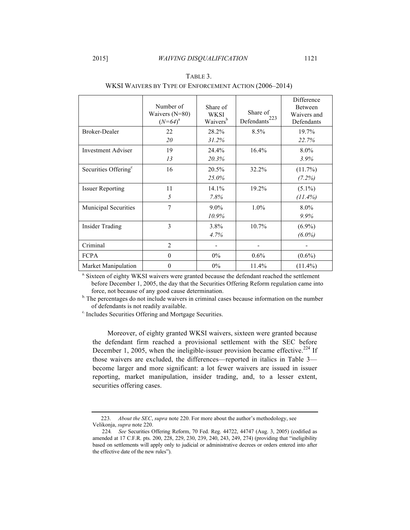|                                  | Number of<br>Waivers $(N=80)$<br>$(N=64)^a$ | Share of<br>WKSI<br>Waivers <sup>b</sup> | Share of<br>223<br>Defendants <sup>®</sup> | Difference<br>Between<br>Waivers and<br>Defendants |
|----------------------------------|---------------------------------------------|------------------------------------------|--------------------------------------------|----------------------------------------------------|
| <b>Broker-Dealer</b>             | 22                                          | 28.2%                                    | 8.5%                                       | 19.7%                                              |
|                                  | 20                                          | 31.2%                                    |                                            | 22.7%                                              |
| <b>Investment Adviser</b>        | 19                                          | 24.4%                                    | 16.4%                                      | 8.0%                                               |
|                                  | 13                                          | 20.3%                                    |                                            | 3.9%                                               |
| Securities Offering <sup>c</sup> | 16                                          | 20.5%                                    | 32.2%                                      | $(11.7\%)$                                         |
|                                  |                                             | 25.0%                                    |                                            | (7.2%)                                             |
| <b>Issuer Reporting</b>          | 11                                          | 14.1%                                    | 19.2%                                      | $(5.1\%)$                                          |
|                                  | 5                                           | 7.8%                                     |                                            | $(11.4\%)$                                         |
| Municipal Securities             | $\overline{7}$                              | $9.0\%$                                  | $1.0\%$                                    | 8.0%                                               |
|                                  |                                             | 10.9%                                    |                                            | 9.9%                                               |
| <b>Insider Trading</b>           | 3                                           | 3.8%                                     | $10.7\%$                                   | $(6.9\%)$                                          |
|                                  |                                             | 4.7%                                     |                                            | $(6.0\%)$                                          |
| Criminal                         | 2                                           |                                          |                                            |                                                    |
| <b>FCPA</b>                      | $\theta$                                    | $0\%$                                    | $0.6\%$                                    | $(0.6\%)$                                          |
| Market Manipulation              | $\theta$                                    | 0%                                       | 11.4%                                      | $(11.4\%)$                                         |

TABLE 3. WKSI WAIVERS BY TYPE OF ENFORCEMENT ACTION (2006–2014)

a. Sixteen of eighty WKSI waivers were granted because the defendant reached the settlement before December 1, 2005, the day that the Securities Offering Reform regulation came into

force, not because of any good cause determination.<br><sup>b.</sup> The percentages do not include waivers in criminal cases because information on the number of defendants is not readily available.

<sup>c.</sup> Includes Securities Offering and Mortgage Securities.

Moreover, of eighty granted WKSI waivers, sixteen were granted because the defendant firm reached a provisional settlement with the SEC before December 1, 2005, when the ineligible-issuer provision became effective.<sup>224</sup> If those waivers are excluded, the differences—reported in italics in Table 3 become larger and more significant: a lot fewer waivers are issued in issuer reporting, market manipulation, insider trading, and, to a lesser extent, securities offering cases.

 <sup>223.</sup> *About the SEC*, *supra* note 220. For more about the author's methodology, see Velikonja, *supra* note 220.

<sup>224</sup>*. See* Securities Offering Reform, 70 Fed. Reg. 44722, 44747 (Aug. 3, 2005) (codified as amended at 17 C.F.R. pts. 200, 228, 229, 230, 239, 240, 243, 249, 274) (providing that "ineligibility based on settlements will apply only to judicial or administrative decrees or orders entered into after the effective date of the new rules").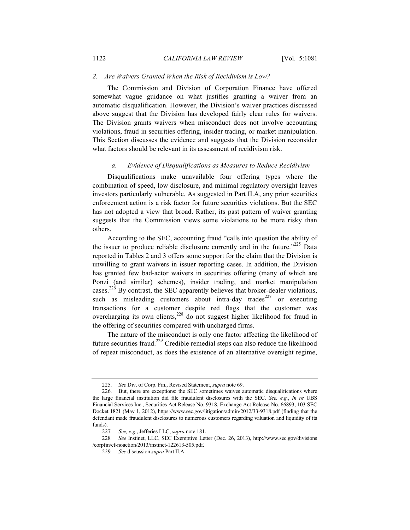#### *2. Are Waivers Granted When the Risk of Recidivism is Low?*

The Commission and Division of Corporation Finance have offered somewhat vague guidance on what justifies granting a waiver from an automatic disqualification. However, the Division's waiver practices discussed above suggest that the Division has developed fairly clear rules for waivers. The Division grants waivers when misconduct does not involve accounting violations, fraud in securities offering, insider trading, or market manipulation. This Section discusses the evidence and suggests that the Division reconsider what factors should be relevant in its assessment of recidivism risk.

### *a. Evidence of Disqualifications as Measures to Reduce Recidivism*

Disqualifications make unavailable four offering types where the combination of speed, low disclosure, and minimal regulatory oversight leaves investors particularly vulnerable. As suggested in Part II.A, any prior securities enforcement action is a risk factor for future securities violations. But the SEC has not adopted a view that broad. Rather, its past pattern of waiver granting suggests that the Commission views some violations to be more risky than others.

According to the SEC, accounting fraud "calls into question the ability of the issuer to produce reliable disclosure currently and in the future." $225$  Data reported in Tables 2 and 3 offers some support for the claim that the Division is unwilling to grant waivers in issuer reporting cases. In addition, the Division has granted few bad-actor waivers in securities offering (many of which are Ponzi (and similar) schemes), insider trading, and market manipulation cases.<sup>226</sup> By contrast, the SEC apparently believes that broker-dealer violations, such as misleading customers about intra-day trades<sup>227</sup> or executing transactions for a customer despite red flags that the customer was overcharging its own clients,<sup>228</sup> do not suggest higher likelihood for fraud in the offering of securities compared with uncharged firms.

The nature of the misconduct is only one factor affecting the likelihood of future securities fraud.<sup>229</sup> Credible remedial steps can also reduce the likelihood of repeat misconduct, as does the existence of an alternative oversight regime,

<sup>225.</sup> *See* Div. of Corp. Fin., Revised Statement, *supra* note 69.

<sup>226.</sup> But, there are exceptions: the SEC sometimes waives automatic disqualifications where the large financial institution did file fraudulent disclosures with the SEC. *See, e.g.*, *In re* UBS Financial Services Inc., Securities Act Release No. 9318, Exchange Act Release No. 66893, 103 SEC Docket 1821 (May 1, 2012), https://www.sec.gov/litigation/admin/2012/33-9318.pdf (finding that the defendant made fraudulent disclosures to numerous customers regarding valuation and liquidity of its funds).

<sup>227</sup>*. See, e.g.*, Jefferies LLC, *supra* note 181.

<sup>228</sup>*. See* Instinet, LLC, SEC Exemptive Letter (Dec. 26, 2013), http://www.sec.gov/divisions /corpfin/cf-noaction/2013/instinet-122613-505.pdf.

<sup>229</sup>*. See* discussion *supra* Part II.A.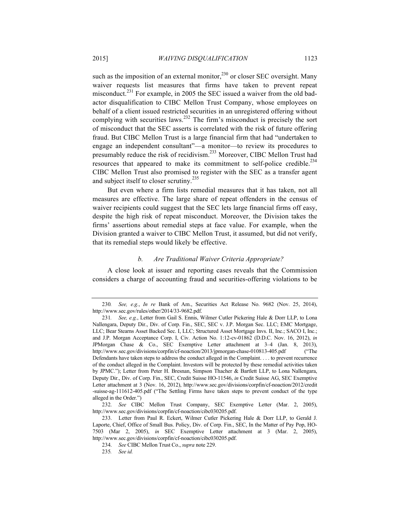such as the imposition of an external monitor, $^{230}$  or closer SEC oversight. Many waiver requests list measures that firms have taken to prevent repeat misconduct.<sup>231</sup> For example, in 2005 the SEC issued a waiver from the old badactor disqualification to CIBC Mellon Trust Company, whose employees on behalf of a client issued restricted securities in an unregistered offering without

complying with securities laws.<sup>232</sup> The firm's misconduct is precisely the sort of misconduct that the SEC asserts is correlated with the risk of future offering fraud. But CIBC Mellon Trust is a large financial firm that had "undertaken to engage an independent consultant"—a monitor—to review its procedures to presumably reduce the risk of recidivism.233 Moreover, CIBC Mellon Trust had resources that appeared to make its commitment to self-police credible.<sup>234</sup> CIBC Mellon Trust also promised to register with the SEC as a transfer agent and subject itself to closer scrutiny.<sup>235</sup>

But even where a firm lists remedial measures that it has taken, not all measures are effective. The large share of repeat offenders in the census of waiver recipients could suggest that the SEC lets large financial firms off easy, despite the high risk of repeat misconduct. Moreover, the Division takes the firms' assertions about remedial steps at face value. For example, when the Division granted a waiver to CIBC Mellon Trust, it assumed, but did not verify, that its remedial steps would likely be effective.

## *b. Are Traditional Waiver Criteria Appropriate?*

A close look at issuer and reporting cases reveals that the Commission considers a charge of accounting fraud and securities-offering violations to be

<sup>230</sup>*. See, e.g.*, *In re* Bank of Am., Securities Act Release No. 9682 (Nov. 25, 2014), http://www.sec.gov/rules/other/2014/33-9682.pdf.

<sup>231</sup>*. See, e.g.*, Letter from Gail S. Ennis, Wilmer Cutler Pickering Hale & Dorr LLP, to Lona Nallengara, Deputy Dir., Div. of Corp. Fin., SEC, SEC v. J.P. Morgan Sec. LLC; EMC Mortgage, LLC; Bear Stearns Asset Backed Sec. I, LLC; Structured Asset Mortgage Invs. II, Inc.; SACO I, Inc.; and J.P. Morgan Acceptance Corp. I, Civ. Action No. 1:12-cv-01862 (D.D.C. Nov. 16, 2012), *in*  JPMorgan Chase & Co., SEC Exemptive Letter attachment at 3–4 (Jan. 8, 2013), http://www.sec.gov/divisions/corpfin/cf-noaction/2013/jpmorgan-chase-010813-405.pdf ("The Defendants have taken steps to address the conduct alleged in the Complaint. . . . to prevent recurrence of the conduct alleged in the Complaint. Investors will be protected by these remedial activities taken by JPMC."); Letter from Peter H. Bresnan, Simpson Thacher & Bartlett LLP, to Lona Nallengara, Deputy Dir., Div. of Corp. Fin., SEC, Credit Suisse HO-11546, *in* Credit Suisse AG, SEC Exemptive Letter attachment at 3 (Nov. 16, 2012), http://www.sec.gov/divisions/corpfin/cf-noaction/2012/credit -suisse-ag-111612-405.pdf ("The Settling Firms have taken steps to prevent conduct of the type alleged in the Order.")

<sup>232.</sup> *See* CIBC Mellon Trust Company, SEC Exemptive Letter (Mar. 2, 2005), http://www.sec.gov/divisions/corpfin/cf-noaction/cibc030205.pdf.

<sup>233.</sup> Letter from Paul R. Eckert, Wilmer Cutler Pickering Hale & Dorr LLP, to Gerald J. Laporte, Chief, Office of Small Bus. Policy, Div. of Corp. Fin., SEC, In the Matter of Pay Pop, HO-7503 (Mar 2, 2005), *in* SEC Exemptive Letter attachment at 3 (Mar. 2, 2005), http://www.sec.gov/divisions/corpfin/cf-noaction/cibc030205.pdf.

<sup>234.</sup> *See* CIBC Mellon Trust Co., *supra* note 229.

<sup>235</sup>*. See id.*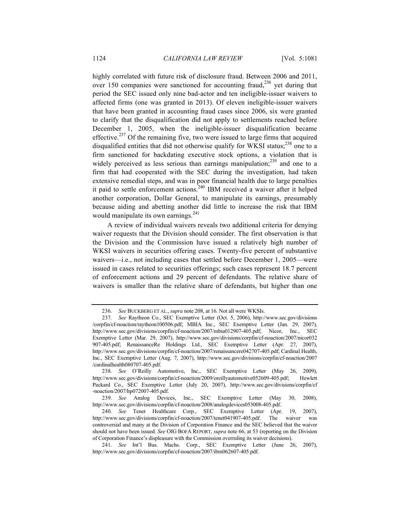highly correlated with future risk of disclosure fraud. Between 2006 and 2011, over 150 companies were sanctioned for accounting fraud,<sup>236</sup> yet during that period the SEC issued only nine bad-actor and ten ineligible-issuer waivers to affected firms (one was granted in 2013). Of eleven ineligible-issuer waivers that have been granted in accounting fraud cases since 2006, six were granted to clarify that the disqualification did not apply to settlements reached before December 1, 2005, when the ineligible-issuer disqualification became effective.<sup>237</sup> Of the remaining five, two were issued to large firms that acquired disqualified entities that did not otherwise qualify for WKSI status; $^{238}$  one to a firm sanctioned for backdating executive stock options, a violation that is widely perceived as less serious than earnings manipulation; $^{239}$  and one to a firm that had cooperated with the SEC during the investigation, had taken extensive remedial steps, and was in poor financial health due to large penalties it paid to settle enforcement actions.240 IBM received a waiver after it helped another corporation, Dollar General, to manipulate its earnings, presumably because aiding and abetting another did little to increase the risk that IBM would manipulate its own earnings. $^{241}$ 

A review of individual waivers reveals two additional criteria for denying waiver requests that the Division should consider. The first observation is that the Division and the Commission have issued a relatively high number of WKSI waivers in securities offering cases. Twenty-five percent of substantive waivers—i.e., not including cases that settled before December 1, 2005—were issued in cases related to securities offerings; such cases represent 18.7 percent of enforcement actions and 29 percent of defendants. The relative share of waivers is smaller than the relative share of defendants, but higher than one

<sup>236.</sup> *See* BUCKBERG ET AL.,*supra* note 208, at 16. Not all were WKSIs.

<sup>237.</sup> *See* Raytheon Co., SEC Exemptive Letter (Oct. 5, 2006), http://www.sec.gov/divisions /corpfin/cf-noaction/raytheon100506.pdf; MBIA Inc., SEC Exemptive Letter (Jan. 29, 2007), http://www.sec.gov/divisions/corpfin/cf-noaction/2007/mbia012907-405.pdf; Nicor, Inc., SEC Exemptive Letter (Mar. 29, 2007), http://www.sec.gov/divisions/corpfin/cf-noaction/2007/nicor032 907-405.pdf; RenaissanceRe Holdings Ltd., SEC Exemptive Letter (Apr. 27, 2007), http://www.sec.gov/divisions/corpfin/cf-noaction/2007/renaissancere042707-405.pdf; Cardinal Health, Inc., SEC Exemptive Letter (Aug. 7, 2007), http://www.sec.gov/divisions/corpfin/cf-noaction/2007 /cardinalhealth080707-405.pdf.

<sup>238.</sup> *See* O'Reilly Automotive, Inc., SEC Exemptive Letter (May 26, 2009), http://www.sec.gov/divisions/corpfin/cf-noaction/2009/oreillyautomotive052609-405.pdf; Hewlett Packard Co., SEC Exemptive Letter (July 20, 2007), http://www.sec.gov/divisions/corpfin/cf -noaction/2007/hp072007-405.pdf.

<sup>239.</sup> *See* Analog Devices, Inc., SEC Exemptive Letter (May 30, 2008), http://www.sec.gov/divisions/corpfin/cf-noaction/2008/analogdevices053008-405.pdf.

<sup>240.</sup> *See* Tenet Healthcare Corp., SEC Exemptive Letter (Apr. 19, 2007), http://www.sec.gov/divisions/corpfin/cf-noaction/2007/tenet041907-405.pdf. The waiver was controversial and many at the Division of Corporation Finance and the SEC believed that the waiver should not have been issued. *See* OIG BOFA REPORT, *supra* note 66, at 53 (reporting on the Division of Corporation Finance's displeasure with the Commission overruling its waiver decisions).

<sup>241.</sup> *See* Int'l Bus. Machs. Corp., SEC Exemptive Letter (June 26, 2007), http://www.sec.gov/divisions/corpfin/cf-noaction/2007/ibm062607-405.pdf.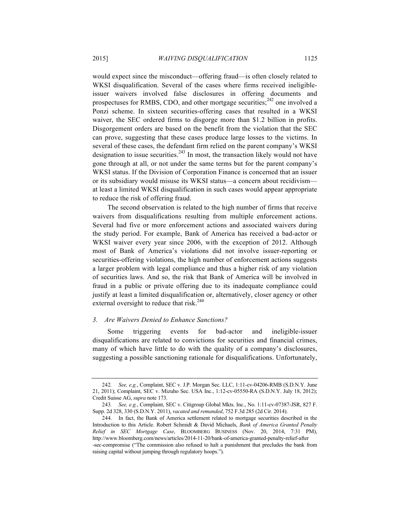would expect since the misconduct—offering fraud—is often closely related to WKSI disqualification. Several of the cases where firms received ineligibleissuer waivers involved false disclosures in offering documents and prospectuses for RMBS, CDO, and other mortgage securities; $^{242}$  one involved a Ponzi scheme. In sixteen securities-offering cases that resulted in a WKSI waiver, the SEC ordered firms to disgorge more than \$1.2 billion in profits. Disgorgement orders are based on the benefit from the violation that the SEC can prove, suggesting that these cases produce large losses to the victims. In several of these cases, the defendant firm relied on the parent company's WKSI designation to issue securities. $243$  In most, the transaction likely would not have gone through at all, or not under the same terms but for the parent company's WKSI status. If the Division of Corporation Finance is concerned that an issuer or its subsidiary would misuse its WKSI status—a concern about recidivism at least a limited WKSI disqualification in such cases would appear appropriate to reduce the risk of offering fraud.

The second observation is related to the high number of firms that receive waivers from disqualifications resulting from multiple enforcement actions. Several had five or more enforcement actions and associated waivers during the study period. For example, Bank of America has received a bad-actor or WKSI waiver every year since 2006, with the exception of 2012. Although most of Bank of America's violations did not involve issuer-reporting or securities-offering violations, the high number of enforcement actions suggests a larger problem with legal compliance and thus a higher risk of any violation of securities laws. And so, the risk that Bank of America will be involved in fraud in a public or private offering due to its inadequate compliance could justify at least a limited disqualification or, alternatively, closer agency or other external oversight to reduce that risk.<sup>244</sup>

## *3. Are Waivers Denied to Enhance Sanctions?*

Some triggering events for bad-actor and ineligible-issuer disqualifications are related to convictions for securities and financial crimes, many of which have little to do with the quality of a company's disclosures, suggesting a possible sanctioning rationale for disqualifications. Unfortunately,

<sup>242</sup>*. See, e.g.*, Complaint, SEC v. J.P. Morgan Sec. LLC, 1:11-cv-04206-RMB (S.D.N.Y. June 21, 2011); Complaint, SEC v. Mizuho Sec. USA Inc., 1:12-cv-05550-RA (S.D.N.Y. July 18, 2012); Credit Suisse AG, *supra* note 173.

<sup>243</sup>*. See, e.g.*, Complaint, SEC v. Citigroup Global Mkts. Inc., No. 1:11-cv-07387-JSR, 827 F. Supp. 2d 328, 330 (S.D.N.Y. 2011), *vacated and remanded*, 752 F.3d 285 (2d Cir. 2014).

<sup>244.</sup> In fact, the Bank of America settlement related to mortgage securities described in the Introduction to this Article. Robert Schmidt & David Michaels, *Bank of America Granted Penalty Relief in SEC Mortgage Case*, BLOOMBERG BUSINESS (Nov. 20, 2014, 7:31 PM), http://www.bloomberg.com/news/articles/2014-11-20/bank-of-america-granted-penalty-relief-after -sec-compromise ("The commission also refused to halt a punishment that precludes the bank from raising capital without jumping through regulatory hoops.").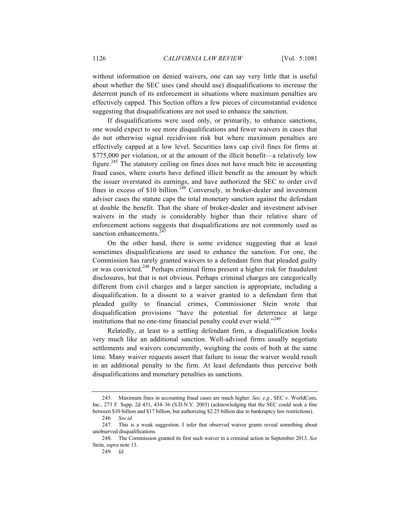without information on denied waivers, one can say very little that is useful about whether the SEC uses (and should use) disqualifications to increase the deterrent punch of its enforcement in situations where maximum penalties are effectively capped. This Section offers a few pieces of circumstantial evidence suggesting that disqualifications are not used to enhance the sanction.

If disqualifications were used only, or primarily, to enhance sanctions, one would expect to see more disqualifications and fewer waivers in cases that do not otherwise signal recidivism risk but where maximum penalties are effectively capped at a low level. Securities laws cap civil fines for firms at \$775,000 per violation, or at the amount of the illicit benefit—a relatively low figure.<sup>245</sup> The statutory ceiling on fines does not have much bite in accounting fraud cases, where courts have defined illicit benefit as the amount by which the issuer overstated its earnings, and have authorized the SEC to order civil fines in excess of \$10 billion.<sup>246</sup> Conversely, in broker-dealer and investment adviser cases the statute caps the total monetary sanction against the defendant at double the benefit. That the share of broker-dealer and investment adviser waivers in the study is considerably higher than their relative share of enforcement actions suggests that disqualifications are not commonly used as sanction enhancements.<sup>2</sup>

On the other hand, there is some evidence suggesting that at least sometimes disqualifications are used to enhance the sanction. For one, the Commission has rarely granted waivers to a defendant firm that pleaded guilty or was convicted.<sup>248</sup> Perhaps criminal firms present a higher risk for fraudulent disclosures, but that is not obvious. Perhaps criminal charges are categorically different from civil charges and a larger sanction is appropriate, including a disqualification. In a dissent to a waiver granted to a defendant firm that pleaded guilty to financial crimes, Commissioner Stein wrote that disqualification provisions "have the potential for deterrence at large institutions that no one-time financial penalty could ever wield."<sup>249</sup>

Relatedly, at least to a settling defendant firm, a disqualification looks very much like an additional sanction. Well-advised firms usually negotiate settlements and waivers concurrently, weighing the costs of both at the same time. Many waiver requests assert that failure to issue the waiver would result in an additional penalty to the firm. At least defendants thus perceive both disqualifications and monetary penalties as sanctions.

<sup>245.</sup> Maximum fines in accounting fraud cases are much higher. *See, e.g.*, SEC v. WorldCom, Inc., 273 F. Supp. 2d 431, 434–36 (S.D.N.Y. 2003) (acknowledging that the SEC could seek a fine between \$10 billion and \$17 billion, but authorizing \$2.25 billion due to bankruptcy law restrictions).

<sup>246</sup>*. See id.*

<sup>247.</sup> This is a weak suggestion. I infer that observed waiver grants reveal something about unobserved disqualifications.

<sup>248.</sup> The Commission granted its first such waiver in a criminal action in September 2013. *See* Stein, *supra* note 13.

<sup>249</sup>*. Id*.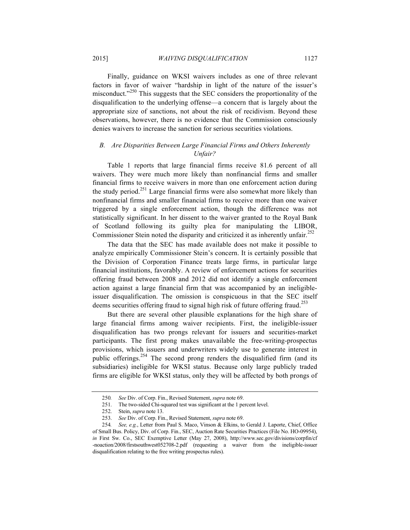Finally, guidance on WKSI waivers includes as one of three relevant factors in favor of waiver "hardship in light of the nature of the issuer's misconduct."<sup>250</sup> This suggests that the SEC considers the proportionality of the disqualification to the underlying offense—a concern that is largely about the appropriate size of sanctions, not about the risk of recidivism. Beyond these observations, however, there is no evidence that the Commission consciously denies waivers to increase the sanction for serious securities violations.

## *B. Are Disparities Between Large Financial Firms and Others Inherently Unfair?*

Table 1 reports that large financial firms receive 81.6 percent of all waivers. They were much more likely than nonfinancial firms and smaller financial firms to receive waivers in more than one enforcement action during the study period.<sup>251</sup> Large financial firms were also somewhat more likely than nonfinancial firms and smaller financial firms to receive more than one waiver triggered by a single enforcement action, though the difference was not statistically significant. In her dissent to the waiver granted to the Royal Bank of Scotland following its guilty plea for manipulating the LIBOR, Commissioner Stein noted the disparity and criticized it as inherently unfair.<sup>252</sup>

The data that the SEC has made available does not make it possible to analyze empirically Commissioner Stein's concern. It is certainly possible that the Division of Corporation Finance treats large firms, in particular large financial institutions, favorably. A review of enforcement actions for securities offering fraud between 2008 and 2012 did not identify a single enforcement action against a large financial firm that was accompanied by an ineligibleissuer disqualification. The omission is conspicuous in that the SEC itself deems securities offering fraud to signal high risk of future offering fraud.<sup>253</sup>

But there are several other plausible explanations for the high share of large financial firms among waiver recipients. First, the ineligible-issuer disqualification has two prongs relevant for issuers and securities-market participants. The first prong makes unavailable the free-writing-prospectus provisions, which issuers and underwriters widely use to generate interest in public offerings.<sup>254</sup> The second prong renders the disqualified firm (and its subsidiaries) ineligible for WKSI status. Because only large publicly traded firms are eligible for WKSI status, only they will be affected by both prongs of

<sup>250</sup>*. See* Div. of Corp. Fin., Revised Statement, *supra* note 69.

<sup>251.</sup> The two-sided Chi-squared test was significant at the 1 percent level.

<sup>252.</sup> Stein, *supra* note 13.

<sup>253.</sup> *See* Div. of Corp. Fin., Revised Statement, *supra* note 69.

<sup>254</sup>*. See, e.g.*, Letter from Paul S. Maco, Vinson & Elkins, to Gerald J. Laporte, Chief, Office of Small Bus. Policy, Div. of Corp. Fin., SEC, Auction Rate Securities Practices (File No. HO-09954), *in* First Sw. Co., SEC Exemptive Letter (May 27, 2008), http://www.sec.gov/divisions/corpfin/cf -noaction/2008/firstsouthwest052708-2.pdf (requesting a waiver from the ineligible-issuer disqualification relating to the free writing prospectus rules).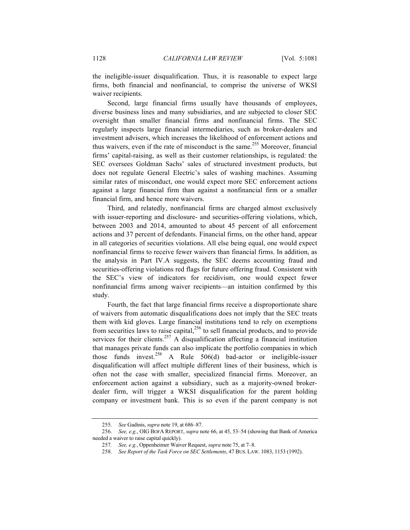the ineligible-issuer disqualification. Thus, it is reasonable to expect large firms, both financial and nonfinancial, to comprise the universe of WKSI waiver recipients.

Second, large financial firms usually have thousands of employees, diverse business lines and many subsidiaries, and are subjected to closer SEC oversight than smaller financial firms and nonfinancial firms. The SEC regularly inspects large financial intermediaries, such as broker-dealers and investment advisers, which increases the likelihood of enforcement actions and thus waivers, even if the rate of misconduct is the same.<sup>255</sup> Moreover, financial firms' capital-raising, as well as their customer relationships, is regulated: the SEC oversees Goldman Sachs' sales of structured investment products, but does not regulate General Electric's sales of washing machines. Assuming similar rates of misconduct, one would expect more SEC enforcement actions against a large financial firm than against a nonfinancial firm or a smaller financial firm, and hence more waivers.

Third, and relatedly, nonfinancial firms are charged almost exclusively with issuer-reporting and disclosure- and securities-offering violations, which, between 2003 and 2014, amounted to about 45 percent of all enforcement actions and 37 percent of defendants. Financial firms, on the other hand, appear in all categories of securities violations. All else being equal, one would expect nonfinancial firms to receive fewer waivers than financial firms. In addition, as the analysis in Part IV.A suggests, the SEC deems accounting fraud and securities-offering violations red flags for future offering fraud. Consistent with the SEC's view of indicators for recidivism, one would expect fewer nonfinancial firms among waiver recipients—an intuition confirmed by this study.

Fourth, the fact that large financial firms receive a disproportionate share of waivers from automatic disqualifications does not imply that the SEC treats them with kid gloves. Large financial institutions tend to rely on exemptions from securities laws to raise capital,  $256$  to sell financial products, and to provide services for their clients.<sup>257</sup> A disqualification affecting a financial institution that manages private funds can also implicate the portfolio companies in which those funds invest.<sup>258</sup> A Rule  $506(d)$  bad-actor or ineligible-issuer disqualification will affect multiple different lines of their business, which is often not the case with smaller, specialized financial firms. Moreover, an enforcement action against a subsidiary, such as a majority-owned brokerdealer firm, will trigger a WKSI disqualification for the parent holding company or investment bank. This is so even if the parent company is not

<sup>255.</sup> *See* Gadinis, *supra* note 19, at 686–87.

<sup>256.</sup> *See, e.g.*, OIG BOFA REPORT, *supra* note 66, at 45, 53–54 (showing that Bank of America needed a waiver to raise capital quickly).

<sup>257</sup>*. See, e.g.*, Oppenheimer Waiver Request, *supra* note 75, at 7–8.

<sup>258.</sup> *See Report of the Task Force on SEC Settlements*, 47 BUS. LAW. 1083, 1153 (1992).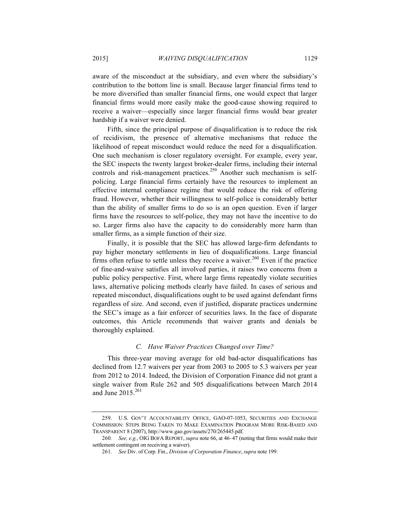aware of the misconduct at the subsidiary, and even where the subsidiary's contribution to the bottom line is small. Because larger financial firms tend to be more diversified than smaller financial firms, one would expect that larger financial firms would more easily make the good-cause showing required to receive a waiver—especially since larger financial firms would bear greater hardship if a waiver were denied.

Fifth, since the principal purpose of disqualification is to reduce the risk of recidivism, the presence of alternative mechanisms that reduce the likelihood of repeat misconduct would reduce the need for a disqualification. One such mechanism is closer regulatory oversight. For example, every year, the SEC inspects the twenty largest broker-dealer firms, including their internal controls and risk-management practices. <sup>259</sup> Another such mechanism is selfpolicing. Large financial firms certainly have the resources to implement an effective internal compliance regime that would reduce the risk of offering fraud. However, whether their willingness to self-police is considerably better than the ability of smaller firms to do so is an open question. Even if larger firms have the resources to self-police, they may not have the incentive to do so. Larger firms also have the capacity to do considerably more harm than smaller firms, as a simple function of their size.

Finally, it is possible that the SEC has allowed large-firm defendants to pay higher monetary settlements in lieu of disqualifications. Large financial firms often refuse to settle unless they receive a waiver.<sup>260</sup> Even if the practice of fine-and-waive satisfies all involved parties, it raises two concerns from a public policy perspective. First, where large firms repeatedly violate securities laws, alternative policing methods clearly have failed. In cases of serious and repeated misconduct, disqualifications ought to be used against defendant firms regardless of size. And second, even if justified, disparate practices undermine the SEC's image as a fair enforcer of securities laws. In the face of disparate outcomes, this Article recommends that waiver grants and denials be thoroughly explained.

## *C. Have Waiver Practices Changed over Time?*

This three-year moving average for old bad-actor disqualifications has declined from 12.7 waivers per year from 2003 to 2005 to 5.3 waivers per year from 2012 to 2014. Indeed, the Division of Corporation Finance did not grant a single waiver from Rule 262 and 505 disqualifications between March 2014 and June  $2015.<sup>261</sup>$ 

<sup>259.</sup> U.S. GOV'T ACCOUNTABILITY OFFICE, GAO-07-1053, SECURITIES AND EXCHANGE COMMISSION: STEPS BEING TAKEN TO MAKE EXAMINATION PROGRAM MORE RISK-BASED AND TRANSPARENT 8 (2007), http://www.gao.gov/assets/270/265445.pdf.

<sup>260</sup>*. See, e.g.*, OIG BOFA REPORT, *supra* note 66, at 46–47 (noting that firms would make their settlement contingent on receiving a waiver).

<sup>261.</sup> *See* Div. of Corp. Fin., *Division of Corporation Finance*, *supra* note 199.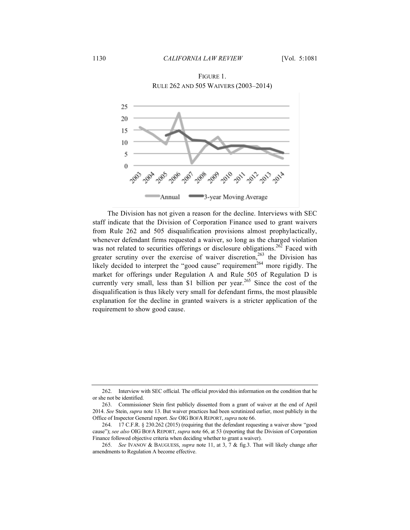FIGURE 1. RULE 262 AND 505 WAIVERS (2003–2014)



The Division has not given a reason for the decline. Interviews with SEC staff indicate that the Division of Corporation Finance used to grant waivers from Rule 262 and 505 disqualification provisions almost prophylactically, whenever defendant firms requested a waiver, so long as the charged violation was not related to securities offerings or disclosure obligations.<sup>262</sup> Faced with greater scrutiny over the exercise of waiver discretion,  $^{263}$  the Division has likely decided to interpret the "good cause" requirement<sup>264</sup> more rigidly. The market for offerings under Regulation A and Rule 505 of Regulation D is currently very small, less than \$1 billion per year.<sup>265</sup> Since the cost of the disqualification is thus likely very small for defendant firms, the most plausible explanation for the decline in granted waivers is a stricter application of the requirement to show good cause.

<sup>262.</sup> Interview with SEC official. The official provided this information on the condition that he or she not be identified.

<sup>263.</sup> Commissioner Stein first publicly dissented from a grant of waiver at the end of April 2014. *See* Stein, *supra* note 13. But waiver practices had been scrutinized earlier, most publicly in the Office of Inspector General report. *See* OIG BOFA REPORT, *supra* note 66.

<sup>264.</sup> 17 C.F.R. § 230.262 (2015) (requiring that the defendant requesting a waiver show "good cause"); *see also* OIG BOFA REPORT, *supra* note 66, at 53 (reporting that the Division of Corporation Finance followed objective criteria when deciding whether to grant a waiver).

<sup>265.</sup> *See* IVANOV & BAUGUESS, *supra* note 11, at 3, 7 & fig.3. That will likely change after amendments to Regulation A become effective.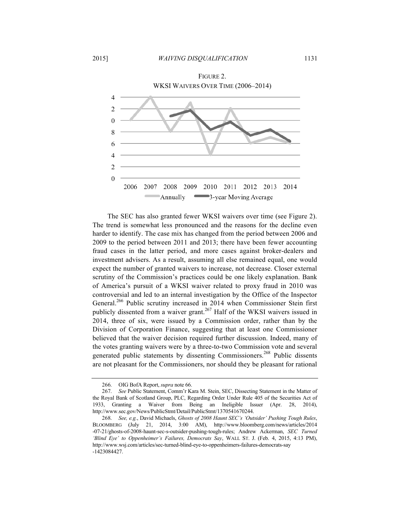

The SEC has also granted fewer WKSI waivers over time (see Figure 2). The trend is somewhat less pronounced and the reasons for the decline even harder to identify. The case mix has changed from the period between 2006 and 2009 to the period between 2011 and 2013; there have been fewer accounting fraud cases in the latter period, and more cases against broker-dealers and investment advisers. As a result, assuming all else remained equal, one would expect the number of granted waivers to increase, not decrease. Closer external scrutiny of the Commission's practices could be one likely explanation. Bank of America's pursuit of a WKSI waiver related to proxy fraud in 2010 was controversial and led to an internal investigation by the Office of the Inspector General.<sup>266</sup> Public scrutiny increased in 2014 when Commissioner Stein first publicly dissented from a waiver grant.<sup>267</sup> Half of the WKSI waivers issued in 2014, three of six, were issued by a Commission order, rather than by the Division of Corporation Finance, suggesting that at least one Commissioner believed that the waiver decision required further discussion. Indeed, many of the votes granting waivers were by a three-to-two Commission vote and several generated public statements by dissenting Commissioners.<sup>268</sup> Public dissents are not pleasant for the Commissioners, nor should they be pleasant for rational

<sup>266.</sup> OIG BofA Report, *supra* note 66.

<sup>267.</sup> *See* Public Statement, Comm'r Kara M. Stein, SEC, Dissecting Statement in the Matter of the Royal Bank of Scotland Group, PLC, Regarding Order Under Rule 405 of the Securities Act of 1933, Granting a Waiver from Being an Ineligible Issuer (Apr. 28, 2014), http://www.sec.gov/News/PublicStmt/Detail/PublicStmt/1370541670244.

<sup>268.</sup> *See, e.g.*, David Michaels, *Ghosts of 2008 Haunt SEC's 'Outsider' Pushing Tough Rules*, BLOOMBERG (July 21, 2014, 3:00 AM), http://www.bloomberg.com/news/articles/2014 -07-21/ghosts-of-2008-haunt-sec-s-outsider-pushing-tough-rules; Andrew Ackerman, *SEC Turned 'Blind Eye' to Oppenheimer's Failures, Democrats Say*, WALL ST. J. (Feb. 4, 2015, 4:13 PM), http://www.wsj.com/articles/sec-turned-blind-eye-to-oppenheimers-failures-democrats-say -1423084427.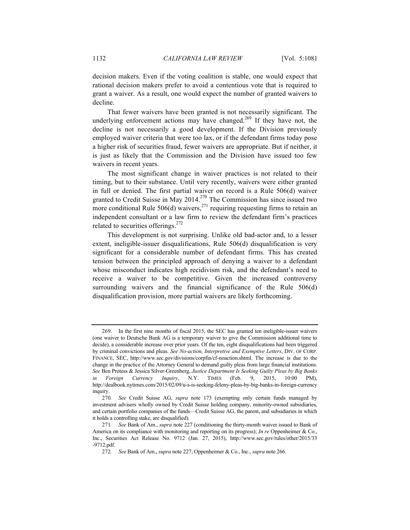decision makers. Even if the voting coalition is stable, one would expect that rational decision makers prefer to avoid a contentious vote that is required to grant a waiver. As a result, one would expect the number of granted waivers to decline.

That fewer waivers have been granted is not necessarily significant. The underlying enforcement actions may have changed.<sup>269</sup> If they have not, the decline is not necessarily a good development. If the Division previously employed waiver criteria that were too lax, or if the defendant firms today pose a higher risk of securities fraud, fewer waivers are appropriate. But if neither, it is just as likely that the Commission and the Division have issued too few waivers in recent years.

The most significant change in waiver practices is not related to their timing, but to their substance. Until very recently, waivers were either granted in full or denied. The first partial waiver on record is a Rule 506(d) waiver granted to Credit Suisse in May  $2014$ .<sup>270</sup> The Commission has since issued two more conditional Rule  $506(d)$  waivers,<sup>271</sup> requiring requesting firms to retain an independent consultant or a law firm to review the defendant firm's practices related to securities offerings.<sup>272</sup>

This development is not surprising. Unlike old bad-actor and, to a lesser extent, ineligible-issuer disqualifications, Rule 506(d) disqualification is very significant for a considerable number of defendant firms. This has created tension between the principled approach of denying a waiver to a defendant whose misconduct indicates high recidivism risk, and the defendant's need to receive a waiver to be competitive. Given the increased controversy surrounding waivers and the financial significance of the Rule 506(d) disqualification provision, more partial waivers are likely forthcoming.

<sup>269.</sup> In the first nine months of fiscal 2015, the SEC has granted ten ineligible-issuer waivers (one waiver to Deutsche Bank AG is a temporary waiver to give the Commission additional time to decide), a considerable increase over prior years. Of the ten, eight disqualifications had been triggered by criminal convictions and pleas. *See No-action, Interpretive and Exemptive Letters*, DIV. OF CORP. FINANCE, SEC, http://www.sec.gov/divisions/corpfin/cf-noaction.shtml. The increase is due to the change in the practice of the Attorney General to demand guilty pleas from large financial institutions. *See* Ben Protess & Jessica Silver-Greenberg, *Justice Department Is Seeking Guilty Pleas by Big Banks in Foreign Currency Inquiry*, N.Y. TIMES (Feb. 9, 2015, 10:00 PM), http://dealbook.nytimes.com/2015/02/09/u-s-is-seeking-felony-pleas-by-big-banks-in-foreign-currency inquiry.

<sup>270</sup>*. See* Credit Suisse AG, *supra* note 173 (exempting only certain funds managed by investment advisers wholly owned by Credit Suisse holding company, minority-owned subsidiaries, and certain portfolio companies of the funds—Credit Suisse AG, the parent, and subsidiaries in which it holds a controlling stake, are disqualified).

<sup>271</sup>*. See* Bank of Am., *supra* note 227 (conditioning the thirty-month waiver issued to Bank of America on its compliance with monitoring and reporting on its progress); *In re* Oppenheimer & Co., Inc., Securities Act Release No. 9712 (Jan. 27, 2015), http://www.sec.gov/rules/other/2015/33 -9712.pdf.

<sup>272</sup>*. See* Bank of Am., *supra* note 227; Oppenheimer & Co., Inc., *supra* note 266.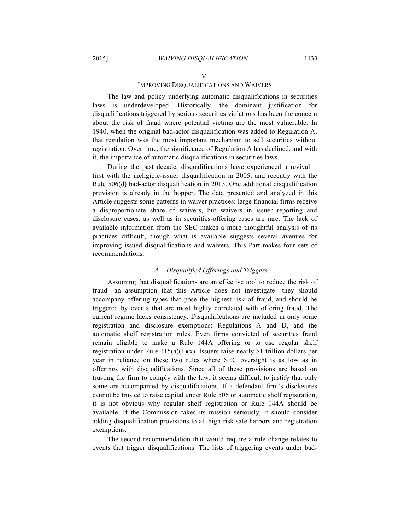#### V.

## IMPROVING DISQUALIFICATIONS AND WAIVERS

The law and policy underlying automatic disqualifications in securities laws is underdeveloped. Historically, the dominant justification for disqualifications triggered by serious securities violations has been the concern about the risk of fraud where potential victims are the most vulnerable. In 1940, when the original bad-actor disqualification was added to Regulation A, that regulation was the most important mechanism to sell securities without registration. Over time, the significance of Regulation A has declined, and with it, the importance of automatic disqualifications in securities laws.

During the past decade, disqualifications have experienced a revival first with the ineligible-issuer disqualification in 2005, and recently with the Rule 506(d) bad-actor disqualification in 2013. One additional disqualification provision is already in the hopper. The data presented and analyzed in this Article suggests some patterns in waiver practices: large financial firms receive a disproportionate share of waivers, but waivers in issuer reporting and disclosure cases, as well as in securities-offering cases are rare. The lack of available information from the SEC makes a more thoughtful analysis of its practices difficult, though what is available suggests several avenues for improving issued disqualifications and waivers. This Part makes four sets of recommendations.

## *A. Disqualified Offerings and Triggers*

Assuming that disqualifications are an effective tool to reduce the risk of fraud—an assumption that this Article does not investigate—they should accompany offering types that pose the highest risk of fraud, and should be triggered by events that are most highly correlated with offering fraud. The current regime lacks consistency. Disqualifications are included in only some registration and disclosure exemptions: Regulations A and D, and the automatic shelf registration rules. Even firms convicted of securities fraud remain eligible to make a Rule 144A offering or to use regular shelf registration under Rule  $415(a)(1)(x)$ . Issuers raise nearly \$1 trillion dollars per year in reliance on these two rules where SEC oversight is as low as in offerings with disqualifications. Since all of these provisions are based on trusting the firm to comply with the law, it seems difficult to justify that only some are accompanied by disqualifications. If a defendant firm's disclosures cannot be trusted to raise capital under Rule 506 or automatic shelf registration, it is not obvious why regular shelf registration or Rule 144A should be available. If the Commission takes its mission seriously, it should consider adding disqualification provisions to all high-risk safe harbors and registration exemptions.

The second recommendation that would require a rule change relates to events that trigger disqualifications. The lists of triggering events under bad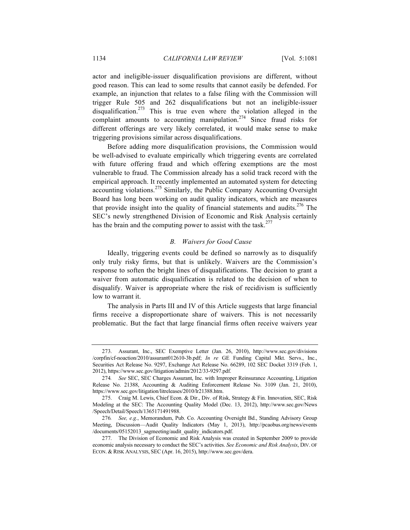actor and ineligible-issuer disqualification provisions are different, without good reason. This can lead to some results that cannot easily be defended. For example, an injunction that relates to a false filing with the Commission will trigger Rule 505 and 262 disqualifications but not an ineligible-issuer disqualification.<sup>273</sup> This is true even where the violation alleged in the complaint amounts to accounting manipulation.<sup>274</sup> Since fraud risks for different offerings are very likely correlated, it would make sense to make triggering provisions similar across disqualifications.

Before adding more disqualification provisions, the Commission would be well-advised to evaluate empirically which triggering events are correlated with future offering fraud and which offering exemptions are the most vulnerable to fraud. The Commission already has a solid track record with the empirical approach. It recently implemented an automated system for detecting accounting violations.<sup>275</sup> Similarly, the Public Company Accounting Oversight Board has long been working on audit quality indicators, which are measures that provide insight into the quality of financial statements and audits.<sup>276</sup> The SEC's newly strengthened Division of Economic and Risk Analysis certainly has the brain and the computing power to assist with the task.<sup>277</sup>

## *B. Waivers for Good Cause*

Ideally, triggering events could be defined so narrowly as to disqualify only truly risky firms, but that is unlikely. Waivers are the Commission's response to soften the bright lines of disqualifications. The decision to grant a waiver from automatic disqualification is related to the decision of when to disqualify. Waiver is appropriate where the risk of recidivism is sufficiently low to warrant it.

The analysis in Parts III and IV of this Article suggests that large financial firms receive a disproportionate share of waivers. This is not necessarily problematic. But the fact that large financial firms often receive waivers year

<sup>273.</sup> Assurant, Inc., SEC Exemptive Letter (Jan. 26, 2010), http://www.sec.gov/divisions /corpfin/cf-noaction/2010/assurant012610-3b.pdf; *In re* GE Funding Capital Mkt. Servs., Inc., Securities Act Release No. 9297, Exchange Act Release No. 66289, 102 SEC Docket 3319 (Feb. 1, 2012), https://www.sec.gov/litigation/admin/2012/33-9297.pdf.

<sup>274</sup>*. See* SEC, SEC Charges Assurant, Inc. with Improper Reinsurance Accounting, Litigation Release No. 21388, Accounting & Auditing Enforcement Release No. 3109 (Jan. 21, 2010), https://www.sec.gov/litigation/litreleases/2010/lr21388.htm.

<sup>275.</sup> Craig M. Lewis, Chief Econ. & Dir., Div. of Risk, Strategy & Fin. Innovation, SEC, Risk Modeling at the SEC: The Accounting Quality Model (Dec. 13, 2012), http://www.sec.gov/News /Speech/Detail/Speech/1365171491988.

<sup>276</sup>*. See, e.g.*, Memorandum, Pub. Co. Accounting Oversight Bd., Standing Advisory Group Meeting, Discussion—Audit Quality Indicators (May 1, 2013), http://pcaobus.org/news/events /documents/05152013\_sagmeeting/audit\_quality\_indicators.pdf.

<sup>277.</sup> The Division of Economic and Risk Analysis was created in September 2009 to provide economic analysis necessary to conduct the SEC's activities. *See Economic and Risk Analysis*, DIV. OF ECON. & RISK ANALYSIS, SEC (Apr. 16, 2015), http://www.sec.gov/dera.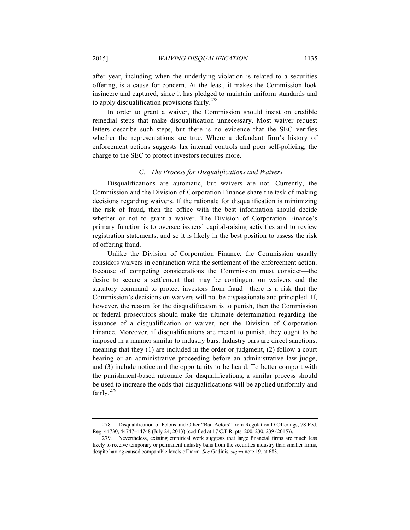after year, including when the underlying violation is related to a securities offering, is a cause for concern. At the least, it makes the Commission look insincere and captured, since it has pledged to maintain uniform standards and to apply disqualification provisions fairly.<sup>278</sup>

In order to grant a waiver, the Commission should insist on credible remedial steps that make disqualification unnecessary. Most waiver request letters describe such steps, but there is no evidence that the SEC verifies whether the representations are true. Where a defendant firm's history of enforcement actions suggests lax internal controls and poor self-policing, the charge to the SEC to protect investors requires more.

#### *C. The Process for Disqualifications and Waivers*

Disqualifications are automatic, but waivers are not. Currently, the Commission and the Division of Corporation Finance share the task of making decisions regarding waivers. If the rationale for disqualification is minimizing the risk of fraud, then the office with the best information should decide whether or not to grant a waiver. The Division of Corporation Finance's primary function is to oversee issuers' capital-raising activities and to review registration statements, and so it is likely in the best position to assess the risk of offering fraud.

Unlike the Division of Corporation Finance, the Commission usually considers waivers in conjunction with the settlement of the enforcement action. Because of competing considerations the Commission must consider—the desire to secure a settlement that may be contingent on waivers and the statutory command to protect investors from fraud—there is a risk that the Commission's decisions on waivers will not be dispassionate and principled. If, however, the reason for the disqualification is to punish, then the Commission or federal prosecutors should make the ultimate determination regarding the issuance of a disqualification or waiver, not the Division of Corporation Finance. Moreover, if disqualifications are meant to punish, they ought to be imposed in a manner similar to industry bars. Industry bars are direct sanctions, meaning that they (1) are included in the order or judgment, (2) follow a court hearing or an administrative proceeding before an administrative law judge, and (3) include notice and the opportunity to be heard. To better comport with the punishment-based rationale for disqualifications, a similar process should be used to increase the odds that disqualifications will be applied uniformly and fairly.<sup>279</sup>

<sup>278.</sup> Disqualification of Felons and Other "Bad Actors" from Regulation D Offerings, 78 Fed. Reg. 44730, 44747–44748 (July 24, 2013) (codified at 17 C.F.R. pts. 200, 230, 239 (2015)).

<sup>279.</sup> Nevertheless, existing empirical work suggests that large financial firms are much less likely to receive temporary or permanent industry bans from the securities industry than smaller firms, despite having caused comparable levels of harm. *See* Gadinis, *supra* note 19, at 683.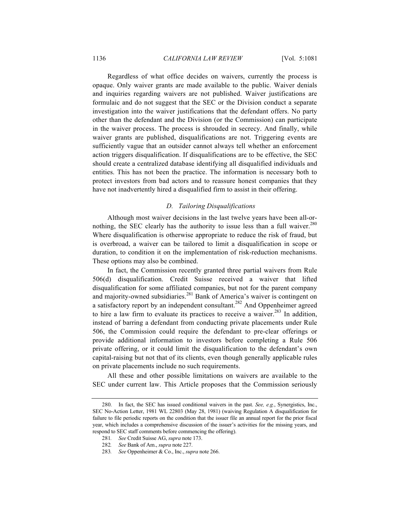Regardless of what office decides on waivers, currently the process is opaque. Only waiver grants are made available to the public. Waiver denials and inquiries regarding waivers are not published. Waiver justifications are formulaic and do not suggest that the SEC or the Division conduct a separate investigation into the waiver justifications that the defendant offers. No party other than the defendant and the Division (or the Commission) can participate in the waiver process. The process is shrouded in secrecy. And finally, while waiver grants are published, disqualifications are not. Triggering events are sufficiently vague that an outsider cannot always tell whether an enforcement action triggers disqualification. If disqualifications are to be effective, the SEC should create a centralized database identifying all disqualified individuals and entities. This has not been the practice. The information is necessary both to protect investors from bad actors and to reassure honest companies that they have not inadvertently hired a disqualified firm to assist in their offering.

## *D. Tailoring Disqualifications*

Although most waiver decisions in the last twelve years have been all-ornothing, the SEC clearly has the authority to issue less than a full waiver. $^{280}$ Where disqualification is otherwise appropriate to reduce the risk of fraud, but is overbroad, a waiver can be tailored to limit a disqualification in scope or duration, to condition it on the implementation of risk-reduction mechanisms. These options may also be combined.

In fact, the Commission recently granted three partial waivers from Rule 506(d) disqualification. Credit Suisse received a waiver that lifted disqualification for some affiliated companies, but not for the parent company and majority-owned subsidiaries.<sup>281</sup> Bank of America's waiver is contingent on a satisfactory report by an independent consultant.<sup>282</sup> And Oppenheimer agreed to hire a law firm to evaluate its practices to receive a waiver.<sup>283</sup> In addition, instead of barring a defendant from conducting private placements under Rule 506, the Commission could require the defendant to pre-clear offerings or provide additional information to investors before completing a Rule 506 private offering, or it could limit the disqualification to the defendant's own capital-raising but not that of its clients, even though generally applicable rules on private placements include no such requirements.

All these and other possible limitations on waivers are available to the SEC under current law. This Article proposes that the Commission seriously

<sup>280.</sup> In fact, the SEC has issued conditional waivers in the past. *See, e.g.*, Synergistics, Inc., SEC No-Action Letter, 1981 WL 22803 (May 28, 1981) (waiving Regulation A disqualification for failure to file periodic reports on the condition that the issuer file an annual report for the prior fiscal year, which includes a comprehensive discussion of the issuer's activities for the missing years, and respond to SEC staff comments before commencing the offering).

<sup>281</sup>*. See* Credit Suisse AG, *supra* note 173.

<sup>282</sup>*. See* Bank of Am., *supra* note 227.

<sup>283</sup>*. See* Oppenheimer & Co., Inc., *supra* note 266.